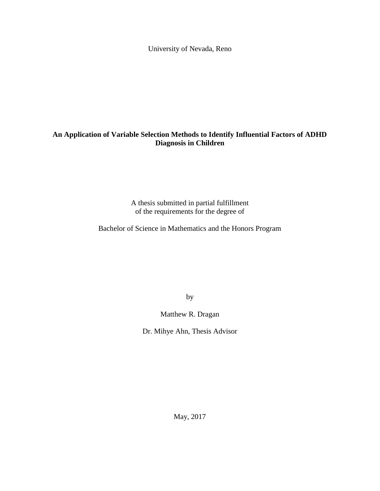University of Nevada, Reno

### **An Application of Variable Selection Methods to Identify Influential Factors of ADHD Diagnosis in Children**

A thesis submitted in partial fulfillment of the requirements for the degree of

Bachelor of Science in Mathematics and the Honors Program

by

Matthew R. Dragan

Dr. Mihye Ahn, Thesis Advisor

May, 2017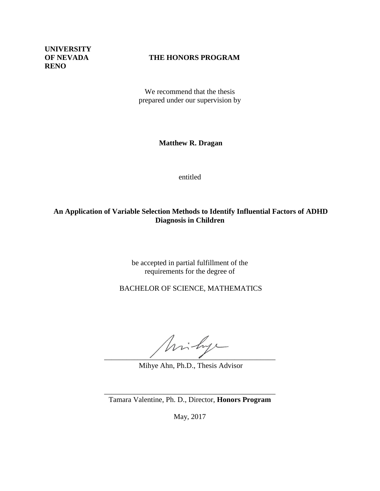**UNIVERSITY RENO**

### **OF NEVADA THE HONORS PROGRAM**

We recommend that the thesis prepared under our supervision by

**Matthew R. Dragan**

entitled

### **An Application of Variable Selection Methods to Identify Influential Factors of ADHD Diagnosis in Children**

be accepted in partial fulfillment of the requirements for the degree of

BACHELOR OF SCIENCE, MATHEMATICS

 $\overline{\phantom{a}}$ 

Mihye Ahn, Ph.D., Thesis Advisor

\_\_\_\_\_\_\_\_\_\_\_\_\_\_\_\_\_\_\_\_\_\_\_\_\_\_\_\_\_\_\_\_\_\_\_\_\_\_\_\_\_\_\_\_\_\_ Tamara Valentine, Ph. D., Director, **Honors Program**

May, 2017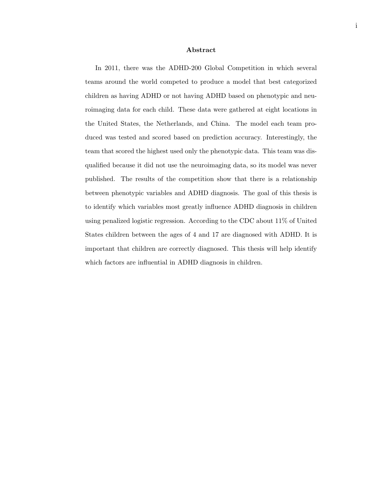#### Abstract

In 2011, there was the ADHD-200 Global Competition in which several teams around the world competed to produce a model that best categorized children as having ADHD or not having ADHD based on phenotypic and neuroimaging data for each child. These data were gathered at eight locations in the United States, the Netherlands, and China. The model each team produced was tested and scored based on prediction accuracy. Interestingly, the team that scored the highest used only the phenotypic data. This team was disqualified because it did not use the neuroimaging data, so its model was never published. The results of the competition show that there is a relationship between phenotypic variables and ADHD diagnosis. The goal of this thesis is to identify which variables most greatly influence ADHD diagnosis in children using penalized logistic regression. According to the CDC about 11% of United States children between the ages of 4 and 17 are diagnosed with ADHD. It is important that children are correctly diagnosed. This thesis will help identify which factors are influential in ADHD diagnosis in children.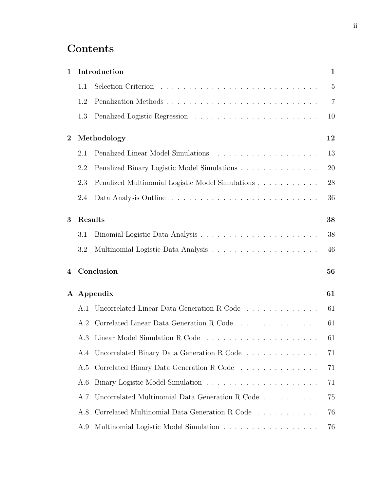## **Contents**

| 1                |         | Introduction                                     | $\mathbf{1}$   |
|------------------|---------|--------------------------------------------------|----------------|
|                  | 1.1     |                                                  | 5              |
|                  | 1.2     | Penalization Methods                             | $\overline{7}$ |
|                  | 1.3     |                                                  | 10             |
| $\boldsymbol{2}$ |         | Methodology                                      | 12             |
|                  | 2.1     |                                                  | 13             |
|                  | 2.2     | Penalized Binary Logistic Model Simulations      | 20             |
|                  | 2.3     | Penalized Multinomial Logistic Model Simulations | 28             |
|                  | 2.4     |                                                  | 36             |
| 3                | Results |                                                  | 38             |
|                  | 3.1     |                                                  | 38             |
|                  | 3.2     |                                                  | 46             |
| 4                |         | Conclusion                                       | 56             |
| $\mathbf{A}$     |         | Appendix                                         | 61             |
|                  | A.1     | Uncorrelated Linear Data Generation R Code       | 61             |
|                  | A.2     |                                                  | 61             |
|                  |         |                                                  | 61             |
|                  |         | A.4 Uncorrelated Binary Data Generation R Code   | 71             |
|                  | A.5     | Correlated Binary Data Generation R Code         | 71             |
|                  | A.6     |                                                  | 71             |
|                  | A.7     | Uncorrelated Multinomial Data Generation R Code  | 75             |
|                  | A.8     | Correlated Multinomial Data Generation R Code    | 76             |
|                  | A.9     | Multinomial Logistic Model Simulation            | 76             |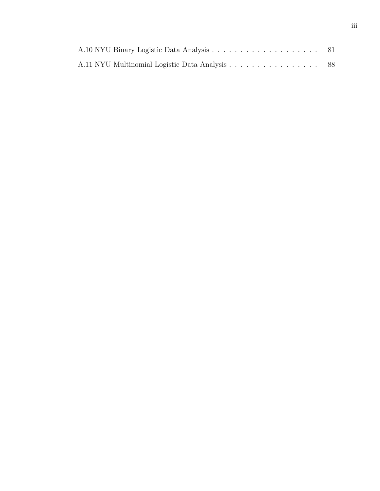| A.11 NYU Multinomial Logistic Data Analysis 88 |  |
|------------------------------------------------|--|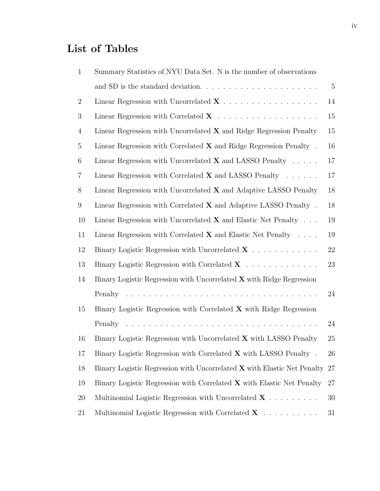# List of Tables

| $\mathbf{1}$   | Summary Statistics of NYU Data Set. N is the number of observations         |                |
|----------------|-----------------------------------------------------------------------------|----------------|
|                |                                                                             | $\overline{5}$ |
| $\overline{2}$ | Linear Regression with Uncorrelated $X \dots \dots \dots \dots \dots \dots$ | 14             |
| 3              |                                                                             | 15             |
| 4              | Linear Regression with Uncorrelated $X$ and Ridge Regression Penalty        | 15             |
| 5              | Linear Regression with Correlated $X$ and Ridge Regression Penalty.         | 16             |
| 6              | Linear Regression with Uncorrelated $X$ and LASSO Penalty $\ldots$ .        | 17             |
| $\overline{7}$ | Linear Regression with Correlated $X$ and LASSO Penalty $\ldots \ldots$     | 17             |
| 8              | Linear Regression with Uncorrelated $X$ and Adaptive LASSO Penalty          | 18             |
| 9              | Linear Regression with Correlated $X$ and Adaptive LASSO Penalty.           | 18             |
| 10             | Linear Regression with Uncorrelated $X$ and Elastic Net Penalty $\ldots$    | 19             |
| 11             | Linear Regression with Correlated $X$ and Elastic Net Penalty $\ldots$ .    | 19             |
| 12             | Binary Logistic Regression with Uncorrelated $X \dots \dots \dots$          | 22             |
| 13             | Binary Logistic Regression with Correlated $X \dots \dots \dots \dots$      | 23             |
| 14             | Binary Logistic Regression with Uncorrelated X with Ridge Regression        |                |
|                |                                                                             | 24             |
| 15             | Binary Logistic Regression with Correlated $X$ with Ridge Regression        |                |
|                |                                                                             | 24             |
| 16             | Binary Logistic Regression with Uncorrelated X with LASSO Penalty           | 25             |
| 17             | Binary Logistic Regression with Correlated $X$ with LASSO Penalty.          | 26             |
| 18             | Binary Logistic Regression with Uncorrelated X with Elastic Net Penalty     | 27             |
| 19             | Binary Logistic Regression with Correlated $X$ with Elastic Net Penalty     | $27\,$         |
| 20             | Multinomial Logistic Regression with Uncorrelated $X \dots \dots$           | 30             |
| 21             | Multinomial Logistic Regression with Correlated $X$                         | 31             |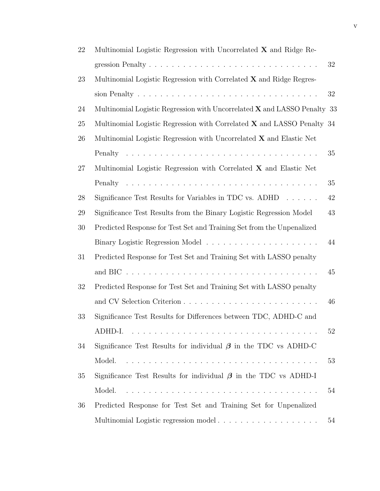| 22 | Multinomial Logistic Regression with Uncorrelated $X$ and Ridge Re-                           |    |
|----|-----------------------------------------------------------------------------------------------|----|
|    |                                                                                               | 32 |
| 23 | Multinomial Logistic Regression with Correlated X and Ridge Regres-                           |    |
|    |                                                                                               | 32 |
| 24 | Multinomial Logistic Regression with Uncorrelated $X$ and LASSO Penalty 33                    |    |
| 25 | Multinomial Logistic Regression with Correlated X and LASSO Penalty 34                        |    |
| 26 | Multinomial Logistic Regression with Uncorrelated X and Elastic Net                           |    |
|    |                                                                                               | 35 |
| 27 | Multinomial Logistic Regression with Correlated X and Elastic Net                             |    |
|    |                                                                                               | 35 |
| 28 | Significance Test Results for Variables in TDC vs. $ADHD \dots \dots$                         | 42 |
| 29 | Significance Test Results from the Binary Logistic Regression Model                           | 43 |
| 30 | Predicted Response for Test Set and Training Set from the Unpenalized                         |    |
|    |                                                                                               | 44 |
| 31 | Predicted Response for Test Set and Training Set with LASSO penalty                           |    |
|    | and BIC $\ldots \ldots \ldots \ldots \ldots \ldots \ldots \ldots \ldots \ldots \ldots \ldots$ | 45 |
| 32 | Predicted Response for Test Set and Training Set with LASSO penalty                           |    |
|    |                                                                                               | 46 |
| 33 | Significance Test Results for Differences between TDC, ADHD-C and                             |    |
|    | ADHD-I.                                                                                       | 52 |
| 34 | Significance Test Results for individual $\beta$ in the TDC vs ADHD-C                         |    |
|    | Model.                                                                                        | 53 |
| 35 | Significance Test Results for individual $\beta$ in the TDC vs ADHD-I                         |    |
|    | Model.                                                                                        | 54 |
| 36 | Predicted Response for Test Set and Training Set for Unpenalized                              |    |
|    |                                                                                               | 54 |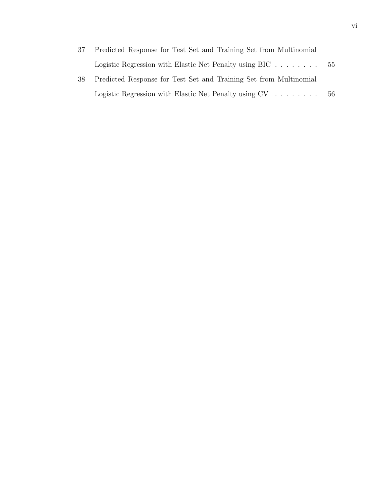| 37  | Predicted Response for Test Set and Training Set from Multinomial             |     |
|-----|-------------------------------------------------------------------------------|-----|
|     | Logistic Regression with Elastic Net Penalty using BIC $\dots \dots \dots$ 55 |     |
| -38 | Predicted Response for Test Set and Training Set from Multinomial             |     |
|     | Logistic Regression with Elastic Net Penalty using $CV \dots \dots$           | -56 |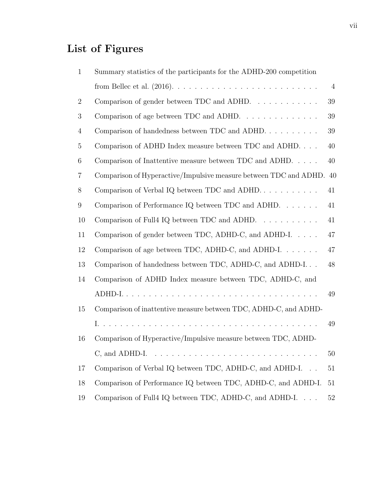# List of Figures

| $\mathbf{1}$   | Summary statistics of the participants for the ADHD-200 competition   |                |
|----------------|-----------------------------------------------------------------------|----------------|
|                |                                                                       | $\overline{4}$ |
| $\overline{2}$ | Comparison of gender between TDC and ADHD.                            | 39             |
| 3              | Comparison of age between TDC and ADHD. $\ldots \ldots \ldots \ldots$ | 39             |
| $\overline{4}$ | Comparison of handedness between TDC and ADHD. $\dots \dots \dots$    | 39             |
| $\overline{5}$ | Comparison of ADHD Index measure between TDC and ADHD.                | 40             |
| 6              | Comparison of Inattentive measure between TDC and ADHD. $\dots$ .     | 40             |
| 7              | Comparison of Hyperactive/Impulsive measure between TDC and ADHD. 40  |                |
| 8              | Comparison of Verbal IQ between TDC and ADHD. $\dots \dots \dots$     | 41             |
| 9              | Comparison of Performance IQ between TDC and ADHD. $\dots \dots$      | 41             |
| 10             | Comparison of Full4 IQ between TDC and ADHD.                          | 41             |
| 11             | Comparison of gender between TDC, ADHD-C, and ADHD-I                  | 47             |
| 12             | Comparison of age between TDC, ADHD-C, and ADHD-I                     | 47             |
| 13             | Comparison of handedness between TDC, ADHD-C, and ADHD-I              | 48             |
| 14             | Comparison of ADHD Index measure between TDC, ADHD-C, and             |                |
|                |                                                                       | 49             |
| 15             | Comparison of inattentive measure between TDC, ADHD-C, and ADHD-      |                |
|                |                                                                       | 49             |
| 16             | Comparison of Hyperactive/Impulsive measure between TDC, ADHD-        |                |
|                |                                                                       | 50             |
| 17             | Comparison of Verbal IQ between TDC, ADHD-C, and ADHD-I               | 51             |
| 18             | Comparison of Performance IQ between TDC, ADHD-C, and ADHD-I.         | 51             |
| 19             | Comparison of Full4 IQ between TDC, ADHD-C, and ADHD-I                | 52             |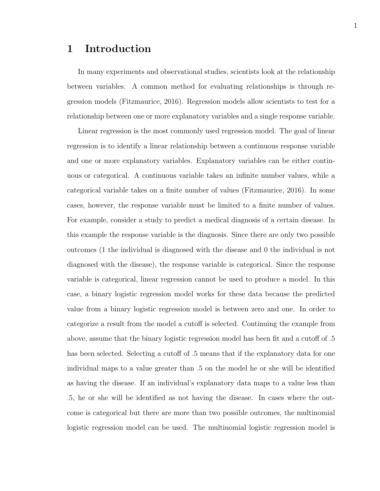## 1 Introduction

In many experiments and observational studies, scientists look at the relationship between variables. A common method for evaluating relationships is through regression models (Fitzmaurice, 2016). Regression models allow scientists to test for a relationship between one or more explanatory variables and a single response variable.

Linear regression is the most commonly used regression model. The goal of linear regression is to identify a linear relationship between a continuous response variable and one or more explanatory variables. Explanatory variables can be either continuous or categorical. A continuous variable takes an infinite number values, while a categorical variable takes on a finite number of values (Fitzmaurice, 2016). In some cases, however, the response variable must be limited to a finite number of values. For example, consider a study to predict a medical diagnosis of a certain disease. In this example the response variable is the diagnosis. Since there are only two possible outcomes (1 the individual is diagnosed with the disease and 0 the individual is not diagnosed with the disease), the response variable is categorical. Since the response variable is categorical, linear regression cannot be used to produce a model. In this case, a binary logistic regression model works for these data because the predicted value from a binary logistic regression model is between zero and one. In order to categorize a result from the model a cutoff is selected. Continuing the example from above, assume that the binary logistic regression model has been fit and a cutoff of .5 has been selected. Selecting a cutoff of  $.5$  means that if the explanatory data for one individual maps to a value greater than .5 on the model he or she will be identified as having the disease. If an individual's explanatory data maps to a value less than .5, he or she will be identified as not having the disease. In cases where the outcome is categorical but there are more than two possible outcomes, the multinomial logistic regression model can be used. The multinomial logistic regression model is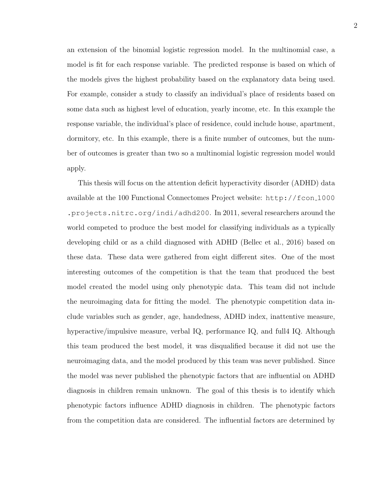an extension of the binomial logistic regression model. In the multinomial case, a model is fit for each response variable. The predicted response is based on which of the models gives the highest probability based on the explanatory data being used. For example, consider a study to classify an individual's place of residents based on some data such as highest level of education, yearly income, etc. In this example the response variable, the individual's place of residence, could include house, apartment, dormitory, etc. In this example, there is a finite number of outcomes, but the number of outcomes is greater than two so a multinomial logistic regression model would apply.

This thesis will focus on the attention deficit hyperactivity disorder (ADHD) data available at the 100 Functional Connectomes Project website: http://fcon 1000 .projects.nitrc.org/indi/adhd200. In 2011, several researchers around the world competed to produce the best model for classifying individuals as a typically developing child or as a child diagnosed with ADHD (Bellec et al., 2016) based on these data. These data were gathered from eight different sites. One of the most interesting outcomes of the competition is that the team that produced the best model created the model using only phenotypic data. This team did not include the neuroimaging data for fitting the model. The phenotypic competition data include variables such as gender, age, handedness, ADHD index, inattentive measure, hyperactive/impulsive measure, verbal IQ, performance IQ, and full4 IQ. Although this team produced the best model, it was disqualified because it did not use the neuroimaging data, and the model produced by this team was never published. Since the model was never published the phenotypic factors that are influential on ADHD diagnosis in children remain unknown. The goal of this thesis is to identify which phenotypic factors influence ADHD diagnosis in children. The phenotypic factors from the competition data are considered. The influential factors are determined by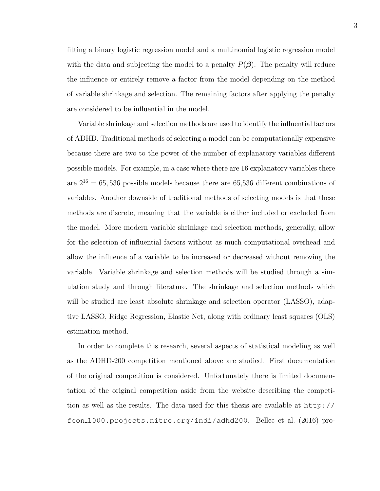fitting a binary logistic regression model and a multinomial logistic regression model with the data and subjecting the model to a penalty  $P(\beta)$ . The penalty will reduce the influence or entirely remove a factor from the model depending on the method of variable shrinkage and selection. The remaining factors after applying the penalty are considered to be influential in the model.

Variable shrinkage and selection methods are used to identify the influential factors of ADHD. Traditional methods of selecting a model can be computationally expensive because there are two to the power of the number of explanatory variables different possible models. For example, in a case where there are 16 explanatory variables there are  $2^{16} = 65,536$  possible models because there are 65,536 different combinations of variables. Another downside of traditional methods of selecting models is that these methods are discrete, meaning that the variable is either included or excluded from the model. More modern variable shrinkage and selection methods, generally, allow for the selection of influential factors without as much computational overhead and allow the influence of a variable to be increased or decreased without removing the variable. Variable shrinkage and selection methods will be studied through a simulation study and through literature. The shrinkage and selection methods which will be studied are least absolute shrinkage and selection operator (LASSO), adaptive LASSO, Ridge Regression, Elastic Net, along with ordinary least squares (OLS) estimation method.

In order to complete this research, several aspects of statistical modeling as well as the ADHD-200 competition mentioned above are studied. First documentation of the original competition is considered. Unfortunately there is limited documentation of the original competition aside from the website describing the competition as well as the results. The data used for this thesis are available at http:// fcon 1000.projects.nitrc.org/indi/adhd200. Bellec et al. (2016) pro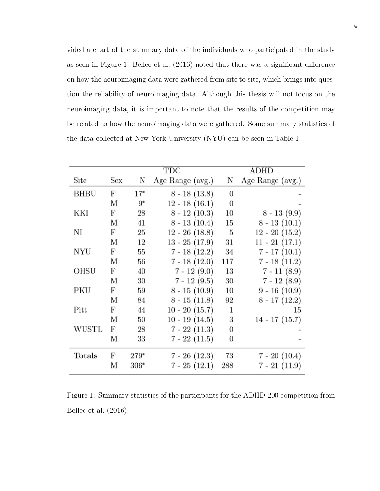vided a chart of the summary data of the individuals who participated in the study as seen in Figure 1. Bellec et al. (2016) noted that there was a significant difference on how the neuroimaging data were gathered from site to site, which brings into question the reliability of neuroimaging data. Although this thesis will not focus on the neuroimaging data, it is important to note that the results of the competition may be related to how the neuroimaging data were gathered. Some summary statistics of the data collected at New York University (NYU) can be seen in Table 1.

|              |     |        | TDC              |                  | $\mathop{\rm ADHD}\nolimits$ |
|--------------|-----|--------|------------------|------------------|------------------------------|
| Site         | Sex | Ν      | Age Range (avg.) | Ν                | Age Range (avg.)             |
| BHBU         | F   | $17*$  | $8 - 18(13.8)$   | $\theta$         |                              |
|              | М   | 9*     | $12 - 18(16.1)$  | $\boldsymbol{0}$ |                              |
| KKI          | F   | 28     | $8 - 12(10.3)$   | 10               | $8 - 13(9.9)$                |
|              | М   | 41     | $8 - 13(10.4)$   | 15               | $8 - 13(10.1)$               |
| NI           | F   | 25     | $12 - 26$ (18.8) | - 5              | $12 - 20(15.2)$              |
|              | М   | 12     | $13 - 25(17.9)$  | 31               | $11 - 21(17.1)$              |
| NYU          | F   | 55     | $7 - 18(12.2)$   | 34               | $7 - 17(10.1)$               |
|              | М   | 56     | $7 - 18(12.0)$   | 117              | $7 - 18(11.2)$               |
| <b>OHSU</b>  | F   | 40     | $7 - 12(9.0)$    | 13               | $7 - 11(8.9)$                |
|              | М   | 30     | $7 - 12(9.5)$    | 30               | $7 - 12(8.9)$                |
| PKU          | F   | 59     | $8 - 15(10.9)$   | 10               | $9 - 16(10.9)$               |
|              | М   | 84     | $8 - 15(11.8)$   | 92               | $8 - 17(12.2)$               |
| ${\rm Pitt}$ | F   | 44     | $10 - 20(15.7)$  | $\mathbf 1$      | 15                           |
|              | М   | 50     | $10 - 19(14.5)$  | 3                | $14 - 17(15.7)$              |
| WUSTL        | F   | 28     | $7 - 22(11.3)$   | 0                |                              |
|              | М   | 33     | $7 - 22(11.5)$   | 0                |                              |
| Totals       | F   | $279*$ | $7 - 26$ (12.3)  | 73               | $7 - 20(10.4)$               |
|              | М   | $306*$ | $7 - 25(12.1)$   | 288              | $7 - 21(11.9)$               |

Figure 1: Summary statistics of the participants for the ADHD-200 competition from Bellec et al. (2016).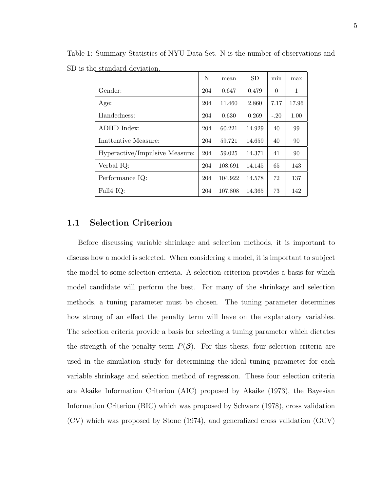|                                | N   | mean    | <b>SD</b> | min      | max   |
|--------------------------------|-----|---------|-----------|----------|-------|
| Gender:                        | 204 | 0.647   | 0.479     | $\theta$ | 1     |
| Age:                           | 204 | 11.460  | 2.860     | 7.17     | 17.96 |
| Handedness:                    | 204 | 0.630   | 0.269     | $-.20$   | 1.00  |
| ADHD Index:                    | 204 | 60.221  | 14.929    | 40       | 99    |
| Inattentive Measure:           | 204 | 59.721  | 14.659    | 40       | 90    |
| Hyperactive/Impulsive Measure: | 204 | 59.025  | 14.371    | 41       | 90    |
| Verbal IQ:                     | 204 | 108.691 | 14.145    | 65       | 143   |
| Performance IQ:                | 204 | 104.922 | 14.578    | 72       | 137   |
| Full4 IQ:                      | 204 | 107.808 | 14.365    | 73       | 142   |

Table 1: Summary Statistics of NYU Data Set. N is the number of observations and SD is the standard deviation.

### 1.1 Selection Criterion

Before discussing variable shrinkage and selection methods, it is important to discuss how a model is selected. When considering a model, it is important to subject the model to some selection criteria. A selection criterion provides a basis for which model candidate will perform the best. For many of the shrinkage and selection methods, a tuning parameter must be chosen. The tuning parameter determines how strong of an effect the penalty term will have on the explanatory variables. The selection criteria provide a basis for selecting a tuning parameter which dictates the strength of the penalty term  $P(\beta)$ . For this thesis, four selection criteria are used in the simulation study for determining the ideal tuning parameter for each variable shrinkage and selection method of regression. These four selection criteria are Akaike Information Criterion (AIC) proposed by Akaike (1973), the Bayesian Information Criterion (BIC) which was proposed by Schwarz (1978), cross validation (CV) which was proposed by Stone (1974), and generalized cross validation (GCV)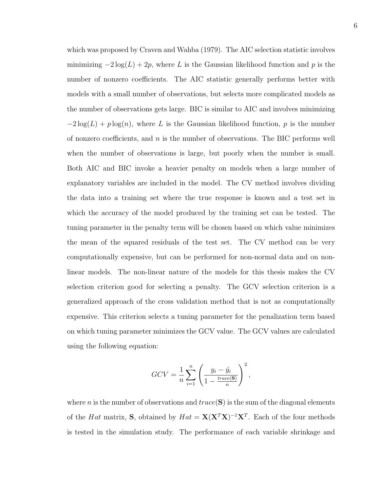which was proposed by Craven and Wahba (1979). The AIC selection statistic involves minimizing  $-2\log(L) + 2p$ , where L is the Gaussian likelihood function and p is the number of nonzero coefficients. The AIC statistic generally performs better with models with a small number of observations, but selects more complicated models as the number of observations gets large. BIC is similar to AIC and involves minimizing  $-2\log(L) + p \log(n)$ , where L is the Gaussian likelihood function, p is the number of nonzero coefficients, and  $n$  is the number of observations. The BIC performs well when the number of observations is large, but poorly when the number is small. Both AIC and BIC invoke a heavier penalty on models when a large number of explanatory variables are included in the model. The CV method involves dividing the data into a training set where the true response is known and a test set in which the accuracy of the model produced by the training set can be tested. The tuning parameter in the penalty term will be chosen based on which value minimizes the mean of the squared residuals of the test set. The CV method can be very computationally expensive, but can be performed for non-normal data and on nonlinear models. The non-linear nature of the models for this thesis makes the CV selection criterion good for selecting a penalty. The GCV selection criterion is a generalized approach of the cross validation method that is not as computationally expensive. This criterion selects a tuning parameter for the penalization term based on which tuning parameter minimizes the GCV value. The GCV values are calculated using the following equation:

$$
GCV = \frac{1}{n} \sum_{i=1}^{n} \left( \frac{y_i - \hat{y}_i}{1 - \frac{trace(S)}{n}} \right)^2,
$$

where n is the number of observations and  $trace(S)$  is the sum of the diagonal elements of the Hat matrix, S, obtained by  $Hat = \mathbf{X}(\mathbf{X}^T\mathbf{X})^{-1}\mathbf{X}^T$ . Each of the four methods is tested in the simulation study. The performance of each variable shrinkage and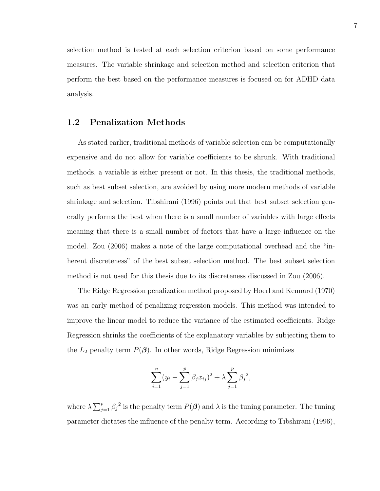selection method is tested at each selection criterion based on some performance measures. The variable shrinkage and selection method and selection criterion that perform the best based on the performance measures is focused on for ADHD data analysis.

### 1.2 Penalization Methods

As stated earlier, traditional methods of variable selection can be computationally expensive and do not allow for variable coefficients to be shrunk. With traditional methods, a variable is either present or not. In this thesis, the traditional methods, such as best subset selection, are avoided by using more modern methods of variable shrinkage and selection. Tibshirani (1996) points out that best subset selection generally performs the best when there is a small number of variables with large effects meaning that there is a small number of factors that have a large influence on the model. Zou (2006) makes a note of the large computational overhead and the "inherent discreteness" of the best subset selection method. The best subset selection method is not used for this thesis due to its discreteness discussed in Zou (2006).

The Ridge Regression penalization method proposed by Hoerl and Kennard (1970) was an early method of penalizing regression models. This method was intended to improve the linear model to reduce the variance of the estimated coefficients. Ridge Regression shrinks the coefficients of the explanatory variables by subjecting them to the  $L_2$  penalty term  $P(\boldsymbol{\beta})$ . In other words, Ridge Regression minimizes

$$
\sum_{i=1}^{n} (y_i - \sum_{j=1}^{p} \beta_j x_{ij})^2 + \lambda \sum_{j=1}^{p} \beta_j^2,
$$

where  $\lambda \sum_{j=1}^p \beta_j^2$  is the penalty term  $P(\boldsymbol{\beta})$  and  $\lambda$  is the tuning parameter. The tuning parameter dictates the influence of the penalty term. According to Tibshirani (1996),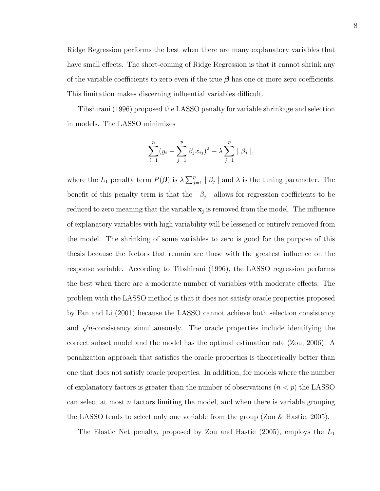Ridge Regression performs the best when there are many explanatory variables that have small effects. The short-coming of Ridge Regression is that it cannot shrink any of the variable coefficients to zero even if the true  $\beta$  has one or more zero coefficients. This limitation makes discerning influential variables difficult.

Tibshirani (1996) proposed the LASSO penalty for variable shrinkage and selection in models. The LASSO minimizes

$$
\sum_{i=1}^{n} (y_i - \sum_{j=1}^{p} \beta_j x_{ij})^2 + \lambda \sum_{j=1}^{p} |\beta_j|,
$$

where the  $L_1$  penalty term  $P(\boldsymbol{\beta})$  is  $\lambda \sum_{j=1}^p |\beta_j|$  and  $\lambda$  is the tuning parameter. The benefit of this penalty term is that the  $\vert \beta_j \vert$  allows for regression coefficients to be reduced to zero meaning that the variable  $x_j$  is removed from the model. The influence of explanatory variables with high variability will be lessened or entirely removed from the model. The shrinking of some variables to zero is good for the purpose of this thesis because the factors that remain are those with the greatest influence on the response variable. According to Tibshirani (1996), the LASSO regression performs the best when there are a moderate number of variables with moderate effects. The problem with the LASSO method is that it does not satisfy oracle properties proposed by Fan and Li (2001) because the LASSO cannot achieve both selection consistency and  $\sqrt{n}$ -consistency simultaneously. The oracle properties include identifying the correct subset model and the model has the optimal estimation rate (Zou, 2006). A penalization approach that satisfies the oracle properties is theoretically better than one that does not satisfy oracle properties. In addition, for models where the number of explanatory factors is greater than the number of observations  $(n < p)$  the LASSO can select at most  $n$  factors limiting the model, and when there is variable grouping the LASSO tends to select only one variable from the group (Zou & Hastie, 2005).

The Elastic Net penalty, proposed by Zou and Hastie  $(2005)$ , employs the  $L_1$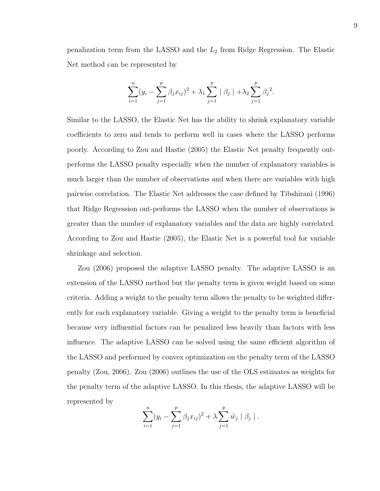penalization term from the LASSO and the  $L_2$  from Ridge Regression. The Elastic Net method can be represented by

$$
\sum_{i=1}^{n} (y_i - \sum_{j=1}^{p} \beta_j x_{ij})^2 + \lambda_1 \sum_{j=1}^{p} |\beta_j| + \lambda_2 \sum_{j=1}^{p} \beta_j^2.
$$

Similar to the LASSO, the Elastic Net has the ability to shrink explanatory variable coefficients to zero and tends to perform well in cases where the LASSO performs poorly. According to Zou and Hastie (2005) the Elastic Net penalty frequently outperforms the LASSO penalty especially when the number of explanatory variables is much larger than the number of observations and when there are variables with high pairwise correlation. The Elastic Net addresses the case defined by Tibshirani (1996) that Ridge Regression out-performs the LASSO when the number of observations is greater than the number of explanatory variables and the data are highly correlated. According to Zou and Hastie (2005), the Elastic Net is a powerful tool for variable shrinkage and selection.

Zou (2006) proposed the adaptive LASSO penalty. The adaptive LASSO is an extension of the LASSO method but the penalty term is given weight based on some criteria. Adding a weight to the penalty term allows the penalty to be weighted differently for each explanatory variable. Giving a weight to the penalty term is beneficial because very influential factors can be penalized less heavily than factors with less influence. The adaptive LASSO can be solved using the same efficient algorithm of the LASSO and performed by convex optimization on the penalty term of the LASSO penalty (Zou, 2006). Zou (2006) outlines the use of the OLS estimates as weights for the penalty term of the adaptive LASSO. In this thesis, the adaptive LASSO will be represented by

$$
\sum_{i=1}^{n} (y_i - \sum_{j=1}^{p} \beta_j x_{ij})^2 + \lambda \sum_{j=1}^{p} \hat{w}_j \mid \beta_j \mid.
$$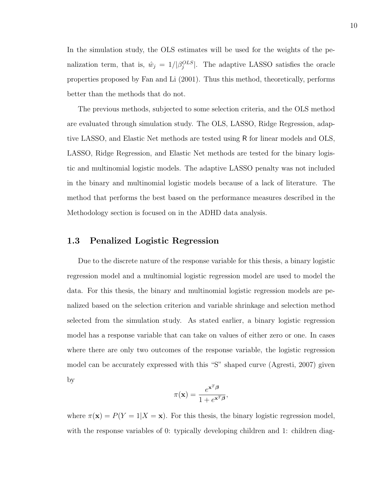In the simulation study, the OLS estimates will be used for the weights of the penalization term, that is,  $\hat{w}_j = 1/|\beta_j^{OLS}|$ . The adaptive LASSO satisfies the oracle properties proposed by Fan and Li (2001). Thus this method, theoretically, performs better than the methods that do not.

The previous methods, subjected to some selection criteria, and the OLS method are evaluated through simulation study. The OLS, LASSO, Ridge Regression, adaptive LASSO, and Elastic Net methods are tested using R for linear models and OLS, LASSO, Ridge Regression, and Elastic Net methods are tested for the binary logistic and multinomial logistic models. The adaptive LASSO penalty was not included in the binary and multinomial logistic models because of a lack of literature. The method that performs the best based on the performance measures described in the Methodology section is focused on in the ADHD data analysis.

#### 1.3 Penalized Logistic Regression

Due to the discrete nature of the response variable for this thesis, a binary logistic regression model and a multinomial logistic regression model are used to model the data. For this thesis, the binary and multinomial logistic regression models are penalized based on the selection criterion and variable shrinkage and selection method selected from the simulation study. As stated earlier, a binary logistic regression model has a response variable that can take on values of either zero or one. In cases where there are only two outcomes of the response variable, the logistic regression model can be accurately expressed with this "S" shaped curve (Agresti, 2007) given by

$$
\pi(\mathbf{x}) = \frac{e^{\mathbf{x}^T \boldsymbol{\beta}}}{1 + e^{\mathbf{x}^T \boldsymbol{\beta}}},
$$

where  $\pi(\mathbf{x}) = P(Y = 1 | X = \mathbf{x})$ . For this thesis, the binary logistic regression model, with the response variables of 0: typically developing children and 1: children diag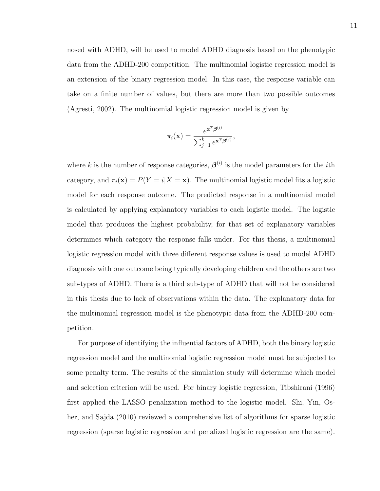nosed with ADHD, will be used to model ADHD diagnosis based on the phenotypic data from the ADHD-200 competition. The multinomial logistic regression model is an extension of the binary regression model. In this case, the response variable can take on a finite number of values, but there are more than two possible outcomes (Agresti, 2002). The multinomial logistic regression model is given by

$$
\pi_i(\mathbf{x}) = \frac{e^{\mathbf{x}^T \boldsymbol{\beta}^{(i)}}}{\sum_{j=1}^k e^{\mathbf{x}^T \boldsymbol{\beta}^{(j)}}},
$$

where k is the number of response categories,  $\boldsymbol{\beta}^{(i)}$  is the model parameters for the *i*th category, and  $\pi_i(\mathbf{x}) = P(Y = i | X = \mathbf{x})$ . The multinomial logistic model fits a logistic model for each response outcome. The predicted response in a multinomial model is calculated by applying explanatory variables to each logistic model. The logistic model that produces the highest probability, for that set of explanatory variables determines which category the response falls under. For this thesis, a multinomial logistic regression model with three different response values is used to model ADHD diagnosis with one outcome being typically developing children and the others are two sub-types of ADHD. There is a third sub-type of ADHD that will not be considered in this thesis due to lack of observations within the data. The explanatory data for the multinomial regression model is the phenotypic data from the ADHD-200 competition.

For purpose of identifying the influential factors of ADHD, both the binary logistic regression model and the multinomial logistic regression model must be subjected to some penalty term. The results of the simulation study will determine which model and selection criterion will be used. For binary logistic regression, Tibshirani (1996) first applied the LASSO penalization method to the logistic model. Shi, Yin, Osher, and Sajda (2010) reviewed a comprehensive list of algorithms for sparse logistic regression (sparse logistic regression and penalized logistic regression are the same).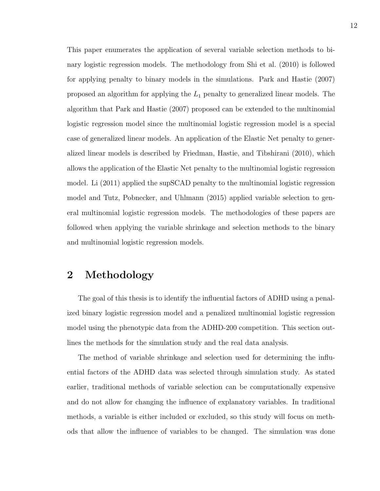This paper enumerates the application of several variable selection methods to binary logistic regression models. The methodology from Shi et al. (2010) is followed for applying penalty to binary models in the simulations. Park and Hastie (2007) proposed an algorithm for applying the  $L_1$  penalty to generalized linear models. The algorithm that Park and Hastie (2007) proposed can be extended to the multinomial logistic regression model since the multinomial logistic regression model is a special case of generalized linear models. An application of the Elastic Net penalty to generalized linear models is described by Friedman, Hastie, and Tibshirani (2010), which allows the application of the Elastic Net penalty to the multinomial logistic regression model. Li (2011) applied the supSCAD penalty to the multinomial logistic regression model and Tutz, Pobnecker, and Uhlmann (2015) applied variable selection to general multinomial logistic regression models. The methodologies of these papers are followed when applying the variable shrinkage and selection methods to the binary and multinomial logistic regression models.

## 2 Methodology

The goal of this thesis is to identify the influential factors of ADHD using a penalized binary logistic regression model and a penalized multinomial logistic regression model using the phenotypic data from the ADHD-200 competition. This section outlines the methods for the simulation study and the real data analysis.

The method of variable shrinkage and selection used for determining the influential factors of the ADHD data was selected through simulation study. As stated earlier, traditional methods of variable selection can be computationally expensive and do not allow for changing the influence of explanatory variables. In traditional methods, a variable is either included or excluded, so this study will focus on methods that allow the influence of variables to be changed. The simulation was done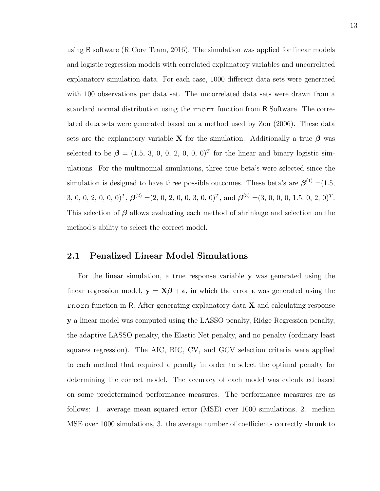using R software (R Core Team, 2016). The simulation was applied for linear models and logistic regression models with correlated explanatory variables and uncorrelated explanatory simulation data. For each case, 1000 different data sets were generated with 100 observations per data set. The uncorrelated data sets were drawn from a standard normal distribution using the rnorm function from R Software. The correlated data sets were generated based on a method used by Zou (2006). These data sets are the explanatory variable X for the simulation. Additionally a true  $\beta$  was selected to be  $\beta = (1.5, 3, 0, 0, 2, 0, 0, 0)^T$  for the linear and binary logistic simulations. For the multinomial simulations, three true beta's were selected since the simulation is designed to have three possible outcomes. These beta's are β (1) =(1.5, 3, 0, 0, 2, 0, 0)<sup>T</sup>,  $\boldsymbol{\beta}^{(2)} = (2, 0, 2, 0, 0, 3, 0, 0)^T$ , and  $\boldsymbol{\beta}^{(3)} = (3, 0, 0, 0, 1.5, 0, 2, 0)^T$ . This selection of  $\beta$  allows evaluating each method of shrinkage and selection on the method's ability to select the correct model.

### 2.1 Penalized Linear Model Simulations

For the linear simulation, a true response variable y was generated using the linear regression model,  $y = X\beta + \epsilon$ , in which the error  $\epsilon$  was generated using the rnorm function in R. After generating explanatory data  $X$  and calculating response y a linear model was computed using the LASSO penalty, Ridge Regression penalty, the adaptive LASSO penalty, the Elastic Net penalty, and no penalty (ordinary least squares regression). The AIC, BIC, CV, and GCV selection criteria were applied to each method that required a penalty in order to select the optimal penalty for determining the correct model. The accuracy of each model was calculated based on some predetermined performance measures. The performance measures are as follows: 1. average mean squared error (MSE) over 1000 simulations, 2. median MSE over 1000 simulations, 3. the average number of coefficients correctly shrunk to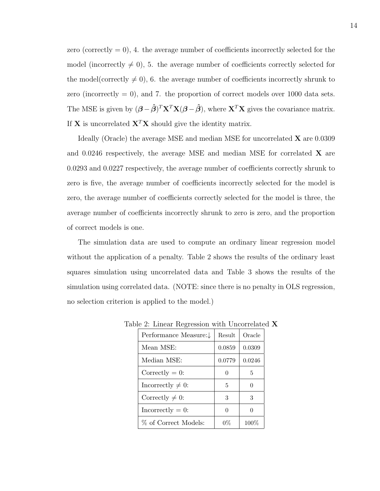zero (correctly  $= 0$ ), 4. the average number of coefficients incorrectly selected for the model (incorrectly  $\neq 0$ ), 5. the average number of coefficients correctly selected for the model(correctly  $\neq 0$ ), 6. the average number of coefficients incorrectly shrunk to zero (incorrectly  $= 0$ ), and 7. the proportion of correct models over 1000 data sets. The MSE is given by  $(\boldsymbol{\beta} - \boldsymbol{\hat{\beta}})^T \mathbf{X}^T \mathbf{X} (\boldsymbol{\beta} - \boldsymbol{\hat{\beta}})$ , where  $\mathbf{X}^T \mathbf{X}$  gives the covariance matrix. If **X** is uncorrelated  $X^T X$  should give the identity matrix.

Ideally (Oracle) the average MSE and median MSE for uncorrelated X are 0.0309 and 0.0246 respectively, the average MSE and median MSE for correlated  $\bf{X}$  are 0.0293 and 0.0227 respectively, the average number of coefficients correctly shrunk to zero is five, the average number of coefficients incorrectly selected for the model is zero, the average number of coefficients correctly selected for the model is three, the average number of coefficients incorrectly shrunk to zero is zero, and the proportion of correct models is one.

The simulation data are used to compute an ordinary linear regression model without the application of a penalty. Table 2 shows the results of the ordinary least squares simulation using uncorrelated data and Table 3 shows the results of the simulation using correlated data. (NOTE: since there is no penalty in OLS regression, no selection criterion is applied to the model.)

| Performance Measure:↓  | Result | Oracle  |
|------------------------|--------|---------|
| Mean MSE:              | 0.0859 | 0.0309  |
| Median MSE:            | 0.0779 | 0.0246  |
| Correctly $= 0$ :      | 0      | 5       |
| Incorrectly $\neq 0$ : | 5      |         |
| Correctly $\neq 0$ :   | 3      | 3       |
| $In correctly = 0:$    | 0      |         |
| % of Correct Models:   | 0%     | $100\%$ |

Table 2: Linear Regression with Uncorrelated X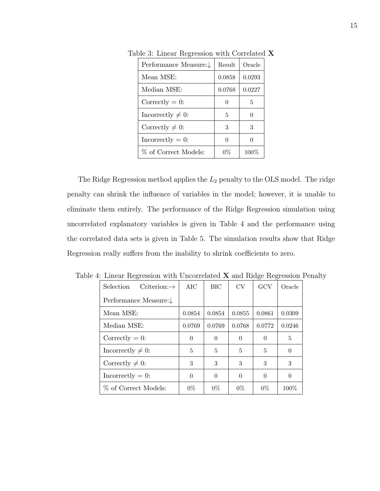| Performance Measure:↓  | Result | Oracle |
|------------------------|--------|--------|
| Mean MSE:              | 0.0858 | 0.0293 |
| Median MSE:            | 0.0768 | 0.0227 |
| Correctly $= 0$ :      |        | 5      |
| Incorrectly $\neq 0$ : | 5      |        |
| Correctly $\neq 0$ :   | 3      | 3      |
| $In correctly = 0:$    |        |        |
| % of Correct Models:   | $0\%$  | 100%   |

Table 3: Linear Regression with Correlated X

The Ridge Regression method applies the  $L_2$  penalty to the OLS model. The ridge penalty can shrink the influence of variables in the model; however, it is unable to eliminate them entirely. The performance of the Ridge Regression simulation using uncorrelated explanatory variables is given in Table 4 and the performance using the correlated data sets is given in Table 5. The simulation results show that Ridge Regression really suffers from the inability to shrink coefficients to zero.

| 4. Linear regression with Uncorrelated $\Lambda$ and rudge regression is |            |            |          |                |          |
|--------------------------------------------------------------------------|------------|------------|----------|----------------|----------|
| $Criterion:\rightarrow$<br><b>Selection</b>                              | <b>AIC</b> | <b>BIC</b> | CV       | GCV            | Oracle   |
| Performance Measure: $\downarrow$                                        |            |            |          |                |          |
| Mean MSE:                                                                | 0.0854     | 0.0854     | 0.0855   | 0.0861         | 0.0309   |
| Median MSE:                                                              | 0.0769     | 0.0769     | 0.0768   | 0.0772         | 0.0246   |
| Correctly $= 0$ :                                                        | $\Omega$   | $\Omega$   | $\Omega$ | $\Omega$       | 5        |
| Incorrectly $\neq 0$ :                                                   | 5          | 5          | 5        | $\overline{5}$ | $\theta$ |
| Correctly $\neq$ 0:                                                      | 3          | 3          | 3        | 3              | 3        |
| Incorrectly $= 0$ :                                                      | $\theta$   | $\Omega$   | $\theta$ | $\Omega$       | $\theta$ |
| % of Correct Models:                                                     | $0\%$      | $0\%$      | $0\%$    | $0\%$          | 100\%    |

Table 4: Linear Regression with Uncorrelated X and Ridge Regression Penalty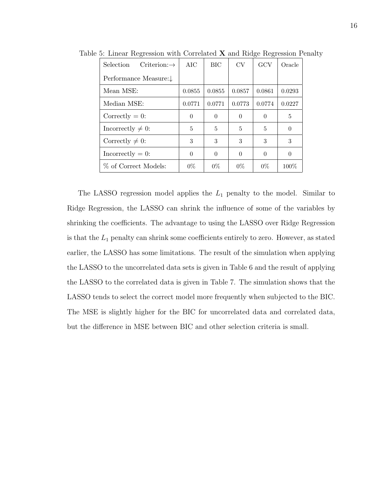| Criterion: $\rightarrow$<br><b>Selection</b> | AIC      | <b>BIC</b> | CV       | GCV      | Oracle |
|----------------------------------------------|----------|------------|----------|----------|--------|
| Performance Measure:↓                        |          |            |          |          |        |
| Mean MSE:                                    | 0.0855   | 0.0855     | 0.0857   | 0.0861   | 0.0293 |
| Median MSE:                                  | 0.0771   | 0.0771     | 0.0773   | 0.0774   | 0.0227 |
| Correctly $= 0$ :                            | $\Omega$ | $\Omega$   | $\Omega$ | $\Omega$ | 5      |
| Incorrectly $\neq 0$ :                       | 5        | 5          | 5        | 5        | 0      |
| Correctly $\neq$ 0:                          | 3        | 3          | 3        | 3        | 3      |
| $In correctly = 0:$                          | $\Omega$ | $\Omega$   | $\Omega$ | $\Omega$ | 0      |
| % of Correct Models:                         | $0\%$    | $0\%$      | $0\%$    | $0\%$    | 100%   |

Table 5: Linear Regression with Correlated X and Ridge Regression Penalty

The LASSO regression model applies the  $L_1$  penalty to the model. Similar to Ridge Regression, the LASSO can shrink the influence of some of the variables by shrinking the coefficients. The advantage to using the LASSO over Ridge Regression is that the  $L_1$  penalty can shrink some coefficients entirely to zero. However, as stated earlier, the LASSO has some limitations. The result of the simulation when applying the LASSO to the uncorrelated data sets is given in Table 6 and the result of applying the LASSO to the correlated data is given in Table 7. The simulation shows that the LASSO tends to select the correct model more frequently when subjected to the BIC. The MSE is slightly higher for the BIC for uncorrelated data and correlated data, but the difference in MSE between BIC and other selection criteria is small.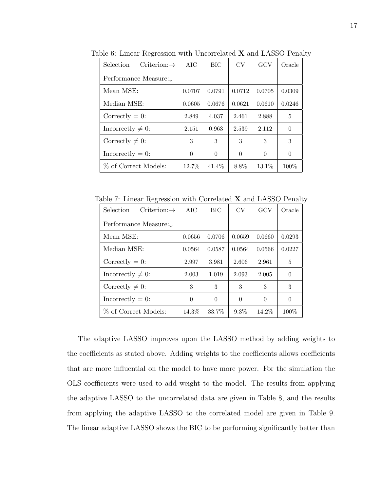| Selection<br>$Criterion:\rightarrow$ | AIC      | <b>BIC</b> | CV       | GCV      | Oracle   |
|--------------------------------------|----------|------------|----------|----------|----------|
| Performance Measure:↓                |          |            |          |          |          |
| Mean MSE:                            | 0.0707   | 0.0791     | 0.0712   | 0.0705   | 0.0309   |
| Median MSE:                          | 0.0605   | 0.0676     | 0.0621   | 0.0610   | 0.0246   |
| Correctly $= 0$ :                    | 2.849    | 4.037      | 2.461    | 2.888    | 5        |
| Incorrectly $\neq 0$ :               | 2.151    | 0.963      | 2.539    | 2.112    | $\theta$ |
| Correctly $\neq 0$ :                 | 3        | 3          | 3        | 3        | 3        |
| $In correctly = 0$ :                 | $\Omega$ | $\Omega$   | $\theta$ | $\theta$ | $\theta$ |
| % of Correct Models:                 | 12.7%    | 41.4\%     | 8.8%     | 13.1\%   | $100\%$  |

Table 6: Linear Regression with Uncorrelated X and LASSO Penalty

Table 7: Linear Regression with Correlated X and LASSO Penalty

| Selection<br>$Criterion:\rightarrow$ | AIC      | <b>BIC</b> | CV       | GCV      | Oracle   |
|--------------------------------------|----------|------------|----------|----------|----------|
| Performance Measure:↓                |          |            |          |          |          |
| Mean MSE:                            | 0.0656   | 0.0706     | 0.0659   | 0.0660   | 0.0293   |
| Median MSE:                          | 0.0564   | 0.0587     | 0.0564   | 0.0566   | 0.0227   |
| Correctly $= 0$ :                    | 2.997    | 3.981      | 2.606    | 2.961    | 5        |
| Incorrectly $\neq 0$ :               | 2.003    | 1.019      | 2.093    | 2.005    | $\theta$ |
| Correctly $\neq 0$ :                 | 3        | 3          | 3        | 3        | 3        |
| $In correctly = 0:$                  | $\Omega$ | $\Omega$   | $\Omega$ | $\theta$ | $\theta$ |
| % of Correct Models:                 | 14.3%    | 33.7%      | $9.3\%$  | $14.2\%$ | 100\%    |

The adaptive LASSO improves upon the LASSO method by adding weights to the coefficients as stated above. Adding weights to the coefficients allows coefficients that are more influential on the model to have more power. For the simulation the OLS coefficients were used to add weight to the model. The results from applying the adaptive LASSO to the uncorrelated data are given in Table 8, and the results from applying the adaptive LASSO to the correlated model are given in Table 9. The linear adaptive LASSO shows the BIC to be performing significantly better than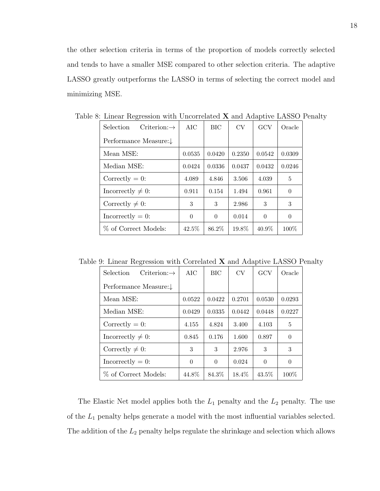the other selection criteria in terms of the proportion of models correctly selected and tends to have a smaller MSE compared to other selection criteria. The adaptive LASSO greatly outperforms the LASSO in terms of selecting the correct model and minimizing MSE.

| Selection<br>$Criterion:\rightarrow$ | AIC      | <b>BIC</b> | <b>CV</b> | GCV      | Oracle   |
|--------------------------------------|----------|------------|-----------|----------|----------|
| Performance Measure:↓                |          |            |           |          |          |
| Mean MSE:                            | 0.0535   | 0.0420     | 0.2350    | 0.0542   | 0.0309   |
| Median MSE:                          | 0.0424   | 0.0336     | 0.0437    | 0.0432   | 0.0246   |
| Correctly $= 0$ :                    | 4.089    | 4.846      | 3.506     | 4.039    | 5        |
| Incorrectly $\neq 0$ :               | 0.911    | 0.154      | 1.494     | 0.961    | $\theta$ |
| Correctly $\neq 0$ :                 | 3        | 3          | 2.986     | 3        | 3        |
| $In correctly = 0:$                  | $\Omega$ | $\Omega$   | 0.014     | $\theta$ | $\theta$ |
| % of Correct Models:                 | 42.5%    | 86.2%      | 19.8%     | 40.9%    | $100\%$  |

Table 8: Linear Regression with Uncorrelated X and Adaptive LASSO Penalty

Table 9: Linear Regression with Correlated X and Adaptive LASSO Penalty

| $Criterion: \rightarrow$<br>Selection | AIC      | <b>BIC</b> | CV       | GCV      | Oracle   |
|---------------------------------------|----------|------------|----------|----------|----------|
| Performance Measure: $\downarrow$     |          |            |          |          |          |
| Mean MSE:                             | 0.0522   | 0.0422     | 0.2701   | 0.0530   | 0.0293   |
| Median MSE:                           | 0.0429   | 0.0335     | 0.0442   | 0.0448   | 0.0227   |
| Correctly $= 0$ :                     | 4.155    | 4.824      | 3.400    | 4.103    | 5        |
| Incorrectly $\neq 0$ :                | 0.845    | 0.176      | 1.600    | 0.897    | $\theta$ |
| Correctly $\neq 0$ :                  | 3        | 3          | 2.976    | 3        | 3        |
| $In correctly = 0:$                   | $\Omega$ | $\theta$   | 0.024    | $\Omega$ | $\theta$ |
| % of Correct Models:                  | 44.8%    | 84.3%      | $18.4\%$ | 43.5%    | $100\%$  |

The Elastic Net model applies both the  $L_1$  penalty and the  $L_2$  penalty. The use of the  $L_1$  penalty helps generate a model with the most influential variables selected. The addition of the  $L_2$  penalty helps regulate the shrinkage and selection which allows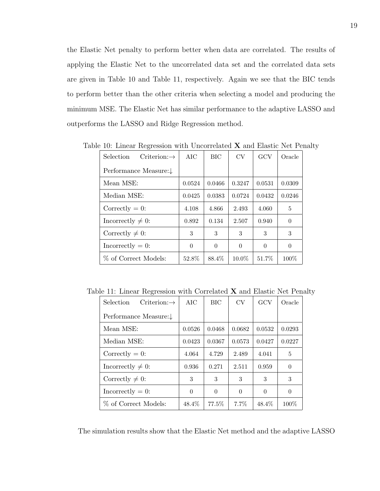the Elastic Net penalty to perform better when data are correlated. The results of applying the Elastic Net to the uncorrelated data set and the correlated data sets are given in Table 10 and Table 11, respectively. Again we see that the BIC tends to perform better than the other criteria when selecting a model and producing the minimum MSE. The Elastic Net has similar performance to the adaptive LASSO and outperforms the LASSO and Ridge Regression method.

| <b>Selection</b><br>$Criterion:\rightarrow$ | <b>AIC</b> | BIC      | CV       | GCV      | Oracle   |
|---------------------------------------------|------------|----------|----------|----------|----------|
| Performance Measure:↓                       |            |          |          |          |          |
| Mean MSE:                                   | 0.0524     | 0.0466   | 0.3247   | 0.0531   | 0.0309   |
| Median MSE:                                 | 0.0425     | 0.0383   | 0.0724   | 0.0432   | 0.0246   |
| Correctly $= 0$ :                           | 4.108      | 4.866    | 2.493    | 4.060    | 5        |
| Incorrectly $\neq 0$ :                      | 0.892      | 0.134    | 2.507    | 0.940    | $\Omega$ |
| Correctly $\neq 0$ :                        | 3          | 3        | 3        | 3        | 3        |
| Incorrectly $= 0$ :                         | $\Omega$   | $\Omega$ | $\Omega$ | $\Omega$ | $\theta$ |
| % of Correct Models:                        | 52.8%      | 88.4%    | 10.0%    | 51.7%    | 100%     |

Table 10: Linear Regression with Uncorrelated X and Elastic Net Penalty

Table 11: Linear Regression with Correlated X and Elastic Net Penalty

| <b>Selection</b><br>$Criterion:\rightarrow$ | <b>AIC</b> | <b>BIC</b> | CV       | GCV      | Oracle   |
|---------------------------------------------|------------|------------|----------|----------|----------|
| Performance Measure:↓                       |            |            |          |          |          |
| Mean MSE:                                   | 0.0526     | 0.0468     | 0.0682   | 0.0532   | 0.0293   |
| Median MSE:                                 | 0.0423     | 0.0367     | 0.0573   | 0.0427   | 0.0227   |
| Correctly $= 0$ :                           | 4.064      | 4.729      | 2.489    | 4.041    | 5        |
| Incorrectly $\neq 0$ :                      | 0.936      | 0.271      | 2.511    | 0.959    | $\Omega$ |
| Correctly $\neq 0$ :                        | 3          | 3          | 3        | 3        | 3        |
| $In correctly = 0:$                         | $\Omega$   | $\Omega$   | $\Omega$ | $\Omega$ | $\Omega$ |
| % of Correct Models:                        | 48.4%      | 77.5%      | 7.7%     | 48.4%    | $100\%$  |

The simulation results show that the Elastic Net method and the adaptive LASSO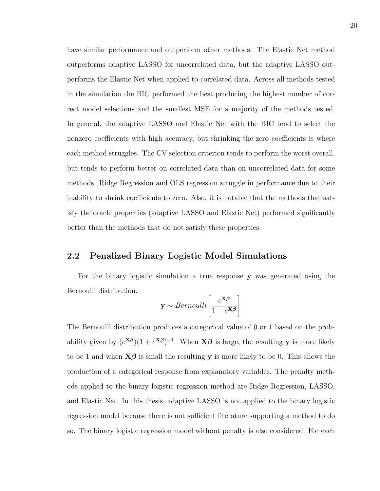have similar performance and outperform other methods. The Elastic Net method outperforms adaptive LASSO for uncorrelated data, but the adaptive LASSO outperforms the Elastic Net when applied to correlated data. Across all methods tested in the simulation the BIC performed the best producing the highest number of correct model selections and the smallest MSE for a majority of the methods tested. In general, the adaptive LASSO and Elastic Net with the BIC tend to select the nonzero coefficients with high accuracy, but shrinking the zero coefficients is where each method struggles. The CV selection criterion tends to perform the worst overall, but tends to perform better on correlated data than on uncorrelated data for some methods. Ridge Regression and OLS regression struggle in performance due to their inability to shrink coefficients to zero. Also, it is notable that the methods that satisfy the oracle properties (adaptive LASSO and Elastic Net) performed significantly better than the methods that do not satisfy these properties.

### 2.2 Penalized Binary Logistic Model Simulations

For the binary logistic simulation a true response y was generated using the Bernoulli distribution.

$$
\mathbf{y} \sim Bernoulli\left[\frac{e^{\mathbf{X}\boldsymbol{\beta}}}{1 + e^{\mathbf{X}\boldsymbol{\beta}}}\right]
$$

The Bernoulli distribution produces a categorical value of 0 or 1 based on the probability given by  $(e^{X\beta})(1+e^{X\beta})^{-1}$ . When  $X\beta$  is large, the resulting y is more likely to be 1 and when  $X\beta$  is small the resulting y is more likely to be 0. This allows the production of a categorical response from explanatory variables. The penalty methods applied to the binary logistic regression method are Ridge Regression, LASSO, and Elastic Net. In this thesis, adaptive LASSO is not applied to the binary logistic regression model because there is not sufficient literature supporting a method to do so. The binary logistic regression model without penalty is also considered. For each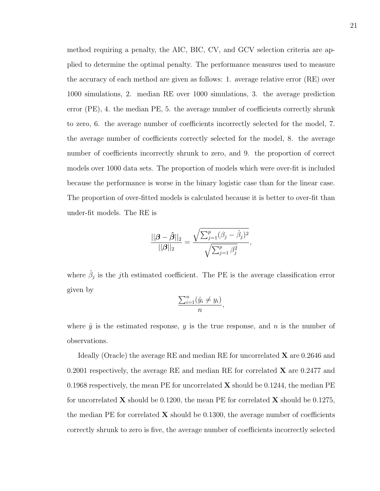method requiring a penalty, the AIC, BIC, CV, and GCV selection criteria are applied to determine the optimal penalty. The performance measures used to measure the accuracy of each method are given as follows: 1. average relative error (RE) over 1000 simulations, 2. median RE over 1000 simulations, 3. the average prediction error (PE), 4. the median PE, 5. the average number of coefficients correctly shrunk to zero, 6. the average number of coefficients incorrectly selected for the model, 7. the average number of coefficients correctly selected for the model, 8. the average number of coefficients incorrectly shrunk to zero, and 9. the proportion of correct models over 1000 data sets. The proportion of models which were over-fit is included because the performance is worse in the binary logistic case than for the linear case. The proportion of over-fitted models is calculated because it is better to over-fit than under-fit models. The RE is

$$
\frac{||\boldsymbol{\beta} - \hat{\boldsymbol{\beta}}||_2}{||\boldsymbol{\beta}||_2} = \frac{\sqrt{\sum_{j=1}^p (\beta_j - \hat{\beta}_j)^2}}{\sqrt{\sum_{j=1}^p \beta_j^2}},
$$

where  $\hat{\beta}_j$  is the jth estimated coefficient. The PE is the average classification error given by

$$
\frac{\sum_{i=1}^{n} (\hat{y}_i \neq y_i)}{n},
$$

where  $\hat{y}$  is the estimated response, y is the true response, and n is the number of observations.

Ideally (Oracle) the average RE and median RE for uncorrelated X are 0.2646 and 0.2001 respectively, the average RE and median RE for correlated  $X$  are 0.2477 and 0.1968 respectively, the mean PE for uncorrelated  $X$  should be 0.1244, the median PE for uncorrelated **X** should be 0.1200, the mean PE for correlated **X** should be 0.1275, the median PE for correlated  $X$  should be 0.1300, the average number of coefficients correctly shrunk to zero is five, the average number of coefficients incorrectly selected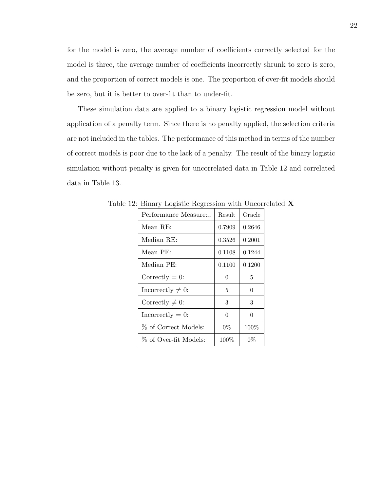for the model is zero, the average number of coefficients correctly selected for the model is three, the average number of coefficients incorrectly shrunk to zero is zero, and the proportion of correct models is one. The proportion of over-fit models should be zero, but it is better to over-fit than to under-fit.

These simulation data are applied to a binary logistic regression model without application of a penalty term. Since there is no penalty applied, the selection criteria are not included in the tables. The performance of this method in terms of the number of correct models is poor due to the lack of a penalty. The result of the binary logistic simulation without penalty is given for uncorrelated data in Table 12 and correlated data in Table 13.

| Performance Measure:↓  | Result   | Oracle  |
|------------------------|----------|---------|
| Mean RE:               | 0.7909   | 0.2646  |
| Median RE:             | 0.3526   | 0.2001  |
| Mean PE:               | 0.1108   | 0.1244  |
| Median PE:             | 0.1100   | 0.1200  |
| Correctly $= 0$ :      | 0        | 5       |
| Incorrectly $\neq 0$ : | 5        | 0       |
| Correctly $\neq 0$ :   | 3        | 3       |
| $In correctly = 0:$    | $\Omega$ | 0       |
| % of Correct Models:   | $0\%$    | $100\%$ |
| % of Over-fit Models:  | $100\%$  | $0\%$   |

Table 12: Binary Logistic Regression with Uncorrelated X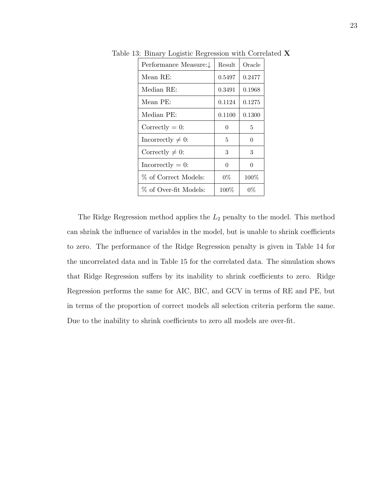| Performance Measure:↓  | Result  | Oracle   |
|------------------------|---------|----------|
| Mean RE:               | 0.5497  | 0.2477   |
| Median RE:             | 0.3491  | 0.1968   |
| Mean PE:               | 0.1124  | 0.1275   |
| Median PE:             | 0.1100  | 0.1300   |
| Correctly $= 0$ :      | 0       | 5        |
| Incorrectly $\neq 0$ : | 5       | $\Omega$ |
| Correctly $\neq 0$ :   | 3       | 3        |
| $In correctly = 0:$    | 0       | ∩        |
| % of Correct Models:   | $0\%$   | $100\%$  |
| % of Over-fit Models:  | $100\%$ | $0\%$    |

Table 13: Binary Logistic Regression with Correlated X

The Ridge Regression method applies the  $L_2$  penalty to the model. This method can shrink the influence of variables in the model, but is unable to shrink coefficients to zero. The performance of the Ridge Regression penalty is given in Table 14 for the uncorrelated data and in Table 15 for the correlated data. The simulation shows that Ridge Regression suffers by its inability to shrink coefficients to zero. Ridge Regression performs the same for AIC, BIC, and GCV in terms of RE and PE, but in terms of the proportion of correct models all selection criteria perform the same. Due to the inability to shrink coefficients to zero all models are over-fit.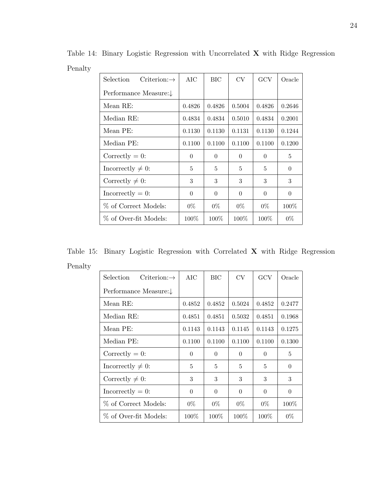| Selection<br>$Criterion:\rightarrow$ | AIC      | <b>BIC</b> | CV       | GCV      | Oracle         |
|--------------------------------------|----------|------------|----------|----------|----------------|
| Performance Measure:↓                |          |            |          |          |                |
| Mean RE:                             | 0.4826   | 0.4826     | 0.5004   | 0.4826   | 0.2646         |
| Median RE:                           | 0.4834   | 0.4834     | 0.5010   | 0.4834   | 0.2001         |
| Mean PE:                             | 0.1130   | 0.1130     | 0.1131   | 0.1130   | 0.1244         |
| Median PE:                           | 0.1100   | 0.1100     | 0.1100   | 0.1100   | 0.1200         |
| Correctly $= 0$ :                    | $\theta$ | $\Omega$   | $\theta$ | $\Omega$ | 5              |
| Incorrectly $\neq 0$ :               | 5        | 5          | 5        | 5        | $\overline{0}$ |
| Correctly $\neq 0$ :                 | 3        | 3          | 3        | 3        | 3              |
| Incorrectly $= 0$ :                  | $\Omega$ | $\Omega$   | $\Omega$ | $\Omega$ | $\Omega$       |
| % of Correct Models:                 | $0\%$    | $0\%$      | $0\%$    | $0\%$    | $100\%$        |
| % of Over-fit Models:                | $100\%$  | $100\%$    | $100\%$  | $100\%$  | $0\%$          |

Table 14: Binary Logistic Regression with Uncorrelated X with Ridge Regression Penalty <u>and the contract of the contract of the contract of the contract of the contract of the contract of the contract of the contract of the contract of the contract of the contract of the contract of the contract of the contr</u>

Table 15: Binary Logistic Regression with Correlated X with Ridge Regression Penalty

| <b>Selection</b><br>$Criterion:\rightarrow$ | AIC      | <b>BIC</b> | <b>CV</b> | GCV      | Oracle   |
|---------------------------------------------|----------|------------|-----------|----------|----------|
| Performance Measure:↓                       |          |            |           |          |          |
| Mean RE:                                    | 0.4852   | 0.4852     | 0.5024    | 0.4852   | 0.2477   |
| Median RE:                                  | 0.4851   | 0.4851     | 0.5032    | 0.4851   | 0.1968   |
| Mean PE:                                    | 0.1143   | 0.1143     | 0.1145    | 0.1143   | 0.1275   |
| Median PE:                                  | 0.1100   | 0.1100     | 0.1100    | 0.1100   | 0.1300   |
| Correctly $= 0$ :                           | $\Omega$ | $\Omega$   | $\theta$  | $\Omega$ | 5        |
| Incorrectly $\neq 0$ :                      | 5        | 5          | 5         | 5        | $\theta$ |
| Correctly $\neq 0$ :                        | 3        | 3          | 3         | 3        | 3        |
| $In correctly = 0:$                         | $\theta$ | $\Omega$   | $\theta$  | $\Omega$ | $\theta$ |
| % of Correct Models:                        | $0\%$    | $0\%$      | $0\%$     | $0\%$    | $100\%$  |
| % of Over-fit Models:                       | $100\%$  | $100\%$    | $100\%$   | $100\%$  | $0\%$    |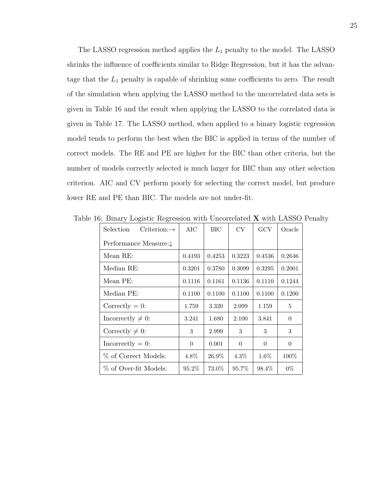The LASSO regression method applies the  $L_1$  penalty to the model. The LASSO shrinks the influence of coefficients similar to Ridge Regression, but it has the advantage that the  $L_1$  penalty is capable of shrinking some coefficients to zero. The result of the simulation when applying the LASSO method to the uncorrelated data sets is given in Table 16 and the result when applying the LASSO to the correlated data is given in Table 17. The LASSO method, when applied to a binary logistic regression model tends to perform the best when the BIC is applied in terms of the number of correct models. The RE and PE are higher for the BIC than other criteria, but the number of models correctly selected is much larger for BIC than any other selection criterion. AIC and CV perform poorly for selecting the correct model, but produce lower RE and PE than BIC. The models are not under-fit.

| <b>Selection</b><br>$Criterion:\rightarrow$ | AIC      | BIC    | CV       | GCV      | Oracle   |
|---------------------------------------------|----------|--------|----------|----------|----------|
| Performance Measure:↓                       |          |        |          |          |          |
| Mean RE:                                    | 0.4193   | 0.4253 | 0.3223   | 0.4536   | 0.2646   |
| Median RE:                                  | 0.3201   | 0.3780 | 0.3099   | 0.3295   | 0.2001   |
| Mean PE:                                    | 0.1116   | 0.1161 | 0.1136   | 0.1110   | 0.1244   |
| Median PE:                                  | 0.1100   | 0.1100 | 0.1100   | 0.1100   | 0.1200   |
| Correctly $= 0$ :                           | 1.759    | 3.320  | 2.099    | 1.159    | 5        |
| Incorrectly $\neq 0$ :                      | 3.241    | 1.680  | 2.100    | 3.841    | $\Omega$ |
| Correctly $\neq 0$ :                        | 3        | 2.999  | 3        | 3        | 3        |
| $In correctly = 0:$                         | $\Omega$ | 0.001  | $\theta$ | $\theta$ | $\Omega$ |
| % of Correct Models:                        | 4.8%     | 26.9%  | 4.3%     | $1.6\%$  | $100\%$  |
| % of Over-fit Models:                       | $95.2\%$ | 73.0%  | 95.7%    | 98.4%    | $0\%$    |

Table 16: Binary Logistic Regression with Uncorrelated X with LASSO Penalty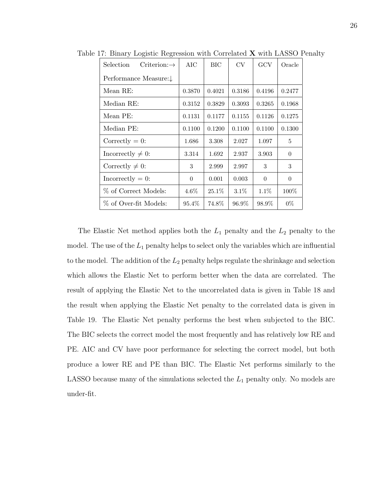| <b>Selection</b><br>$Criterion:\rightarrow$ | AIC      | BIC      | <b>CV</b> | GCV      | Oracle   |
|---------------------------------------------|----------|----------|-----------|----------|----------|
| Performance Measure:↓                       |          |          |           |          |          |
| Mean RE:                                    | 0.3870   | 0.4021   | 0.3186    | 0.4196   | 0.2477   |
| Median RE:                                  | 0.3152   | 0.3829   | 0.3093    | 0.3265   | 0.1968   |
| Mean PE:                                    | 0.1131   | 0.1177   | 0.1155    | 0.1126   | 0.1275   |
| Median PE:                                  | 0.1100   | 0.1200   | 0.1100    | 0.1100   | 0.1300   |
| Correctly $= 0$ :                           | 1.686    | 3.308    | 2.027     | 1.097    | 5        |
| Incorrectly $\neq 0$ :                      | 3.314    | 1.692    | 2.937     | 3.903    | $\theta$ |
| Correctly $\neq 0$ :                        | 3        | 2.999    | 2.997     | 3        | 3        |
| $In correctly = 0:$                         | $\theta$ | 0.001    | 0.003     | $\Omega$ | $\theta$ |
| % of Correct Models:                        | $4.6\%$  | $25.1\%$ | $3.1\%$   | $1.1\%$  | 100\%    |
| % of Over-fit Models:                       | 95.4%    | 74.8%    | 96.9%     | 98.9%    | $0\%$    |

Table 17: Binary Logistic Regression with Correlated **X** with LASSO Penalty

The Elastic Net method applies both the  $L_1$  penalty and the  $L_2$  penalty to the model. The use of the  $L_1$  penalty helps to select only the variables which are influential to the model. The addition of the  $L_2$  penalty helps regulate the shrinkage and selection which allows the Elastic Net to perform better when the data are correlated. The result of applying the Elastic Net to the uncorrelated data is given in Table 18 and the result when applying the Elastic Net penalty to the correlated data is given in Table 19. The Elastic Net penalty performs the best when subjected to the BIC. The BIC selects the correct model the most frequently and has relatively low RE and PE. AIC and CV have poor performance for selecting the correct model, but both produce a lower RE and PE than BIC. The Elastic Net performs similarly to the LASSO because many of the simulations selected the  $L_1$  penalty only. No models are under-fit.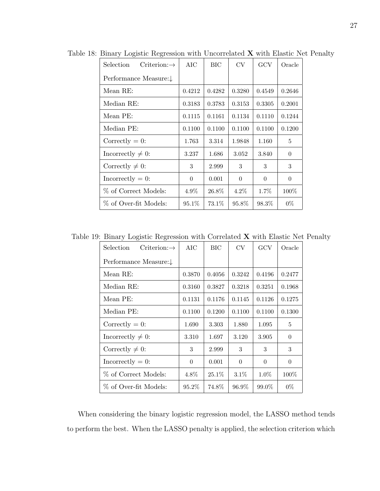| Criterion: $\rightarrow$<br>Selection | AIC      | BIC    | <b>CV</b> | GCV      | Oracle   |
|---------------------------------------|----------|--------|-----------|----------|----------|
| Performance Measure:↓                 |          |        |           |          |          |
| Mean RE:                              | 0.4212   | 0.4282 | 0.3280    | 0.4549   | 0.2646   |
| Median RE:                            | 0.3183   | 0.3783 | 0.3153    | 0.3305   | 0.2001   |
| Mean PE:                              | 0.1115   | 0.1161 | 0.1134    | 0.1110   | 0.1244   |
| Median PE:                            | 0.1100   | 0.1100 | 0.1100    | 0.1100   | 0.1200   |
| Correctly $= 0$ :                     | 1.763    | 3.314  | 1.9848    | 1.160    | 5        |
| Incorrectly $\neq 0$ :                | 3.237    | 1.686  | 3.052     | 3.840    | $\theta$ |
| Correctly $\neq 0$ :                  | 3        | 2.999  | 3         | 3        | 3        |
| $In correctly = 0:$                   | $\Omega$ | 0.001  | $\theta$  | $\Omega$ | $\Omega$ |
| % of Correct Models:                  | $4.9\%$  | 26.8%  | $4.2\%$   | 1.7%     | $100\%$  |
| % of Over-fit Models:                 | $95.1\%$ | 73.1\% | 95.8%     | 98.3%    | $0\%$    |

Table 18: Binary Logistic Regression with Uncorrelated X with Elastic Net Penalty

Table 19: Binary Logistic Regression with Correlated X with Elastic Net Penalty

| Criterion: $\rightarrow$<br>Selection | AIC      | BIC      | CV       | GCV      | Oracle   |
|---------------------------------------|----------|----------|----------|----------|----------|
| Performance Measure:↓                 |          |          |          |          |          |
| Mean RE:                              | 0.3870   | 0.4056   | 0.3242   | 0.4196   | 0.2477   |
| Median RE:                            | 0.3160   | 0.3827   | 0.3218   | 0.3251   | 0.1968   |
| Mean PE:                              | 0.1131   | 0.1176   | 0.1145   | 0.1126   | 0.1275   |
| Median PE:                            | 0.1100   | 0.1200   | 0.1100   | 0.1100   | 0.1300   |
| Correctly $= 0$ :                     | 1.690    | 3.303    | 1.880    | 1.095    | 5        |
| Incorrectly $\neq 0$ :                | 3.310    | 1.697    | 3.120    | 3.905    | $\theta$ |
| Correctly $\neq$ 0:                   | 3        | 2.999    | 3        | 3        | 3        |
| $In correctly = 0:$                   | $\theta$ | 0.001    | $\theta$ | $\theta$ | $\theta$ |
| % of Correct Models:                  | 4.8%     | $25.1\%$ | $3.1\%$  | $1.0\%$  | $100\%$  |
| % of Over-fit Models:                 | 95.2%    | 74.8%    | 96.9%    | 99.0%    | $0\%$    |

When considering the binary logistic regression model, the LASSO method tends to perform the best. When the LASSO penalty is applied, the selection criterion which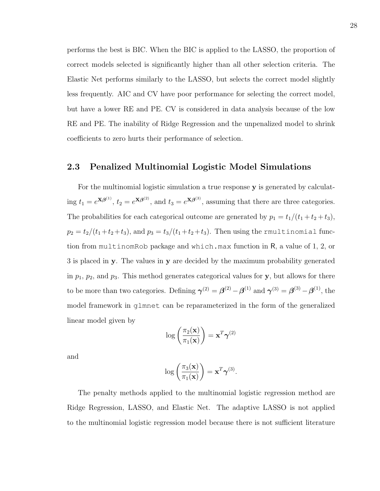performs the best is BIC. When the BIC is applied to the LASSO, the proportion of correct models selected is significantly higher than all other selection criteria. The Elastic Net performs similarly to the LASSO, but selects the correct model slightly less frequently. AIC and CV have poor performance for selecting the correct model, but have a lower RE and PE. CV is considered in data analysis because of the low RE and PE. The inability of Ridge Regression and the unpenalized model to shrink coefficients to zero hurts their performance of selection.

### 2.3 Penalized Multinomial Logistic Model Simulations

For the multinomial logistic simulation a true response y is generated by calculating  $t_1 = e^{\mathbf{X}\boldsymbol{\beta}^{(1)}}, t_2 = e^{\mathbf{X}\boldsymbol{\beta}^{(2)}},$  and  $t_3 = e^{\mathbf{X}\boldsymbol{\beta}^{(3)}},$  assuming that there are three categories. The probabilities for each categorical outcome are generated by  $p_1 = t_1/(t_1 + t_2 + t_3)$ ,  $p_2 = t_2/(t_1+t_2+t_3)$ , and  $p_3 = t_3/(t_1+t_2+t_3)$ . Then using the rmultinomial function from multinomRob package and which.max function in R, a value of 1, 2, or 3 is placed in y. The values in y are decided by the maximum probability generated in  $p_1$ ,  $p_2$ , and  $p_3$ . This method generates categorical values for y, but allows for there to be more than two categories. Defining  $\gamma^{(2)} = \beta^{(2)} - \beta^{(1)}$  and  $\gamma^{(3)} = \beta^{(3)} - \beta^{(1)}$ , the model framework in glmnet can be reparameterized in the form of the generalized linear model given by

$$
\log\left(\frac{\pi_2(\mathbf{x})}{\pi_1(\mathbf{x})}\right) = \mathbf{x}^T \boldsymbol{\gamma}^{(2)}
$$

and

$$
\log\left(\frac{\pi_3(\mathbf{x})}{\pi_1(\mathbf{x})}\right) = \mathbf{x}^T \boldsymbol{\gamma}^{(3)}.
$$

The penalty methods applied to the multinomial logistic regression method are Ridge Regression, LASSO, and Elastic Net. The adaptive LASSO is not applied to the multinomial logistic regression model because there is not sufficient literature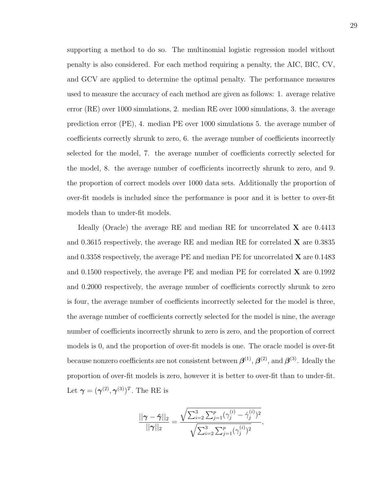supporting a method to do so. The multinomial logistic regression model without penalty is also considered. For each method requiring a penalty, the AIC, BIC, CV, and GCV are applied to determine the optimal penalty. The performance measures used to measure the accuracy of each method are given as follows: 1. average relative error (RE) over 1000 simulations, 2. median RE over 1000 simulations, 3. the average prediction error (PE), 4. median PE over 1000 simulations 5. the average number of coefficients correctly shrunk to zero, 6. the average number of coefficients incorrectly selected for the model, 7. the average number of coefficients correctly selected for the model, 8. the average number of coefficients incorrectly shrunk to zero, and 9. the proportion of correct models over 1000 data sets. Additionally the proportion of over-fit models is included since the performance is poor and it is better to over-fit models than to under-fit models.

Ideally (Oracle) the average RE and median RE for uncorrelated  $X$  are 0.4413 and 0.3615 respectively, the average RE and median RE for correlated  $\bf{X}$  are 0.3835 and 0.3358 respectively, the average PE and median PE for uncorrelated  $\bf{X}$  are 0.1483 and  $0.1500$  respectively, the average PE and median PE for correlated  $X$  are  $0.1992$ and 0.2000 respectively, the average number of coefficients correctly shrunk to zero is four, the average number of coefficients incorrectly selected for the model is three, the average number of coefficients correctly selected for the model is nine, the average number of coefficients incorrectly shrunk to zero is zero, and the proportion of correct models is 0, and the proportion of over-fit models is one. The oracle model is over-fit because nonzero coefficients are not consistent between  $\boldsymbol{\beta}^{(1)}, \boldsymbol{\beta}^{(2)},$  and  $\boldsymbol{\beta}^{(3)}$ . Ideally the proportion of over-fit models is zero, however it is better to over-fit than to under-fit. Let  $\boldsymbol{\gamma} = (\boldsymbol{\gamma}^{(2)}, \boldsymbol{\gamma}^{(3)})^T$ . The RE is

$$
\frac{||\boldsymbol{\gamma} - \hat{\boldsymbol{\gamma}}||_2}{||\boldsymbol{\gamma}||_2} = \frac{\sqrt{\sum_{i=2}^3 \sum_{j=1}^p (\gamma_j^{(i)} - \hat{\gamma}_j^{(i)})^2}}{\sqrt{\sum_{i=2}^3 \sum_{j=1}^p (\gamma_j^{(i)})^2}},
$$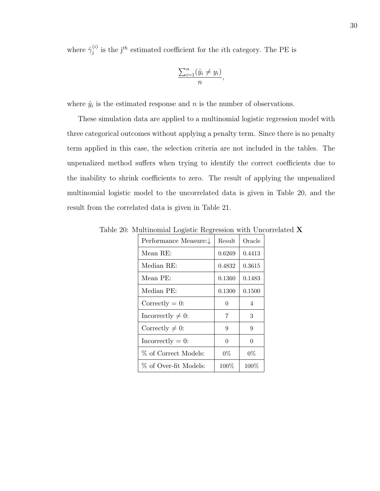where  $\hat{\gamma}_i^{(i)}$  $j^{(i)}$  is the j<sup>th</sup> estimated coefficient for the *i*th category. The PE is

$$
\frac{\sum_{i=1}^{n} (\hat{y}_i \neq y_i)}{n},
$$

where  $\hat{y}_i$  is the estimated response and n is the number of observations.

These simulation data are applied to a multinomial logistic regression model with three categorical outcomes without applying a penalty term. Since there is no penalty term applied in this case, the selection criteria are not included in the tables. The unpenalized method suffers when trying to identify the correct coefficients due to the inability to shrink coefficients to zero. The result of applying the unpenalized multinomial logistic model to the uncorrelated data is given in Table 20, and the result from the correlated data is given in Table 21.

| Performance Measure:↓ | Result | Oracle  |
|-----------------------|--------|---------|
| Mean RE:              | 0.6269 | 0.4413  |
| Median RE:            | 0.4832 | 0.3615  |
| Mean PE:              | 0.1360 | 0.1483  |
| Median PE:            | 0.1300 | 0.1500  |
| Correctly $= 0$ :     | 0      | 4       |
| Incorrectly $\neq$ 0: | 7      | 3       |
| Correctly $\neq$ 0:   | 9      | 9       |
| $In correctly = 0:$   | 0      | 0       |
| % of Correct Models:  | $0\%$  | $0\%$   |
| % of Over-fit Models: | 100%   | $100\%$ |

Table 20: Multinomial Logistic Regression with Uncorrelated X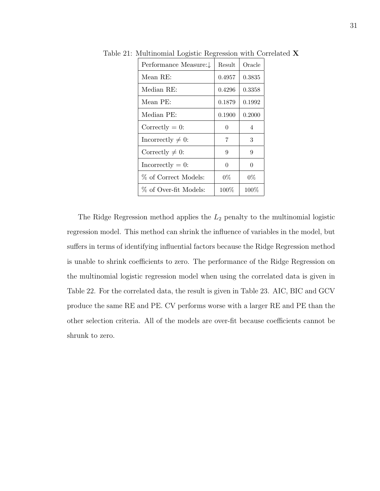| Performance Measure:↓  | Result   | Oracle  |
|------------------------|----------|---------|
| Mean RE:               | 0.4957   | 0.3835  |
| Median RE:             | 0.4296   | 0.3358  |
| Mean PE:               | 0.1879   | 0.1992  |
| Median PE:             | 0.1900   | 0.2000  |
| Correctly $= 0$ :      | $\Omega$ | 4       |
| Incorrectly $\neq 0$ : | 7        | 3       |
| Correctly $\neq 0$ :   | 9        | 9       |
| $In correctly = 0:$    | $\Omega$ | ∩       |
| % of Correct Models:   | $0\%$    | $0\%$   |
| % of Over-fit Models:  | $100\%$  | $100\%$ |

Table 21: Multinomial Logistic Regression with Correlated X

The Ridge Regression method applies the  $L_2$  penalty to the multinomial logistic regression model. This method can shrink the influence of variables in the model, but suffers in terms of identifying influential factors because the Ridge Regression method is unable to shrink coefficients to zero. The performance of the Ridge Regression on the multinomial logistic regression model when using the correlated data is given in Table 22. For the correlated data, the result is given in Table 23. AIC, BIC and GCV produce the same RE and PE. CV performs worse with a larger RE and PE than the other selection criteria. All of the models are over-fit because coefficients cannot be shrunk to zero.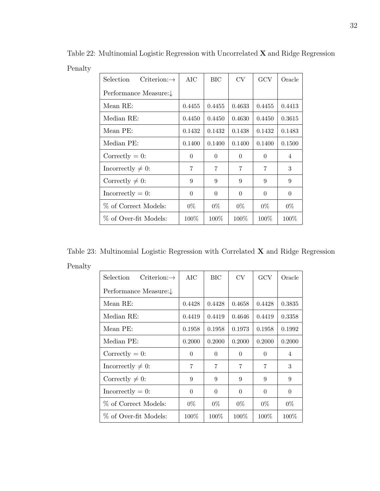| Selection<br>Criterion: $\rightarrow$ | AIC      | BIC      | CV       | GCV      | Oracle         |
|---------------------------------------|----------|----------|----------|----------|----------------|
| Performance Measure:↓                 |          |          |          |          |                |
| Mean RE:                              | 0.4455   | 0.4455   | 0.4633   | 0.4455   | 0.4413         |
| Median RE:                            | 0.4450   | 0.4450   | 0.4630   | 0.4450   | 0.3615         |
| Mean PE:                              | 0.1432   | 0.1432   | 0.1438   | 0.1432   | 0.1483         |
| Median PE:                            | 0.1400   | 0.1400   | 0.1400   | 0.1400   | 0.1500         |
| Correctly $= 0$ :                     | $\Omega$ | $\theta$ | $\Omega$ | $\Omega$ | $\overline{4}$ |
| Incorrectly $\neq 0$ :                | 7        | 7        | 7        | 7        | 3              |
| Correctly $\neq 0$ :                  | 9        | 9        | 9        | 9        | 9              |
| $In correctly = 0:$                   | $\Omega$ | $\theta$ | $\Omega$ | $\Omega$ | $\theta$       |
| % of Correct Models:                  | $0\%$    | $0\%$    | $0\%$    | $0\%$    | $0\%$          |
| % of Over-fit Models:                 | $100\%$  | $100\%$  | $100\%$  | $100\%$  | $100\%$        |

Table 22: Multinomial Logistic Regression with Uncorrelated X and Ridge Regression Penalty <u> 1989 - Johann Barbara, martin a</u>

Table 23: Multinomial Logistic Regression with Correlated X and Ridge Regression Penalty

| Selection<br>$Criterion:\rightarrow$ | AIC      | BIC      | CV       | GCV      | Oracle         |
|--------------------------------------|----------|----------|----------|----------|----------------|
| Performance Measure:↓                |          |          |          |          |                |
| Mean RE:                             | 0.4428   | 0.4428   | 0.4658   | 0.4428   | 0.3835         |
| Median RE:                           | 0.4419   | 0.4419   | 0.4646   | 0.4419   | 0.3358         |
| Mean PE:                             | 0.1958   | 0.1958   | 0.1973   | 0.1958   | 0.1992         |
| Median PE:                           | 0.2000   | 0.2000   | 0.2000   | 0.2000   | 0.2000         |
| Correctly $= 0$ :                    | $\Omega$ | $\Omega$ | $\Omega$ | $\Omega$ | $\overline{4}$ |
| Incorrectly $\neq 0$ :               | 7        | 7        | 7        | 7        | 3              |
| Correctly $\neq 0$ :                 | 9        | 9        | 9        | 9        | 9              |
| $In correctly = 0:$                  | $\Omega$ | $\Omega$ | $\Omega$ | $\Omega$ | $\theta$       |
| % of Correct Models:                 | $0\%$    | $0\%$    | $0\%$    | $0\%$    | $0\%$          |
| % of Over-fit Models:                | $100\%$  | $100\%$  | $100\%$  | $100\%$  | $100\%$        |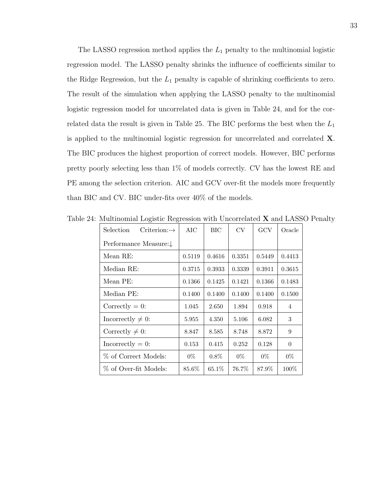The LASSO regression method applies the  $L_1$  penalty to the multinomial logistic regression model. The LASSO penalty shrinks the influence of coefficients similar to the Ridge Regression, but the  $L_1$  penalty is capable of shrinking coefficients to zero. The result of the simulation when applying the LASSO penalty to the multinomial logistic regression model for uncorrelated data is given in Table 24, and for the correlated data the result is given in Table 25. The BIC performs the best when the  $L_1$ is applied to the multinomial logistic regression for uncorrelated and correlated X. The BIC produces the highest proportion of correct models. However, BIC performs pretty poorly selecting less than 1% of models correctly. CV has the lowest RE and PE among the selection criterion. AIC and GCV over-fit the models more frequently than BIC and CV. BIC under-fits over 40% of the models.

| $\check{~}$<br>Selection |          |         |           | GCV    |          |
|--------------------------|----------|---------|-----------|--------|----------|
| Criterion: $\rightarrow$ | AIC      | BIC     | <b>CV</b> |        | Oracle   |
| Performance Measure:↓    |          |         |           |        |          |
| Mean RE:                 | 0.5119   | 0.4616  | 0.3351    | 0.5449 | 0.4413   |
| Median RE:               | 0.3715   | 0.3933  | 0.3339    | 0.3911 | 0.3615   |
| Mean PE:                 | 0.1366   | 0.1425  | 0.1421    | 0.1366 | 0.1483   |
| Median PE:               | 0.1400   | 0.1400  | 0.1400    | 0.1400 | 0.1500   |
| Correctly $= 0$ :        | 1.045    | 2.650   | 1.894     | 0.918  | 4        |
| Incorrectly $\neq 0$ :   | 5.955    | 4.350   | 5.106     | 6.082  | 3        |
| Correctly $\neq 0$ :     | 8.847    | 8.585   | 8.748     | 8.872  | 9        |
| $In correctly = 0:$      | 0.153    | 0.415   | 0.252     | 0.128  | $\theta$ |
| % of Correct Models:     | $0\%$    | $0.8\%$ | $0\%$     | $0\%$  | $0\%$    |
| % of Over-fit Models:    | $85.6\%$ | 65.1\%  | 76.7%     | 87.9%  | $100\%$  |

Table 24: Multinomial Logistic Regression with Uncorrelated X and LASSO Penalty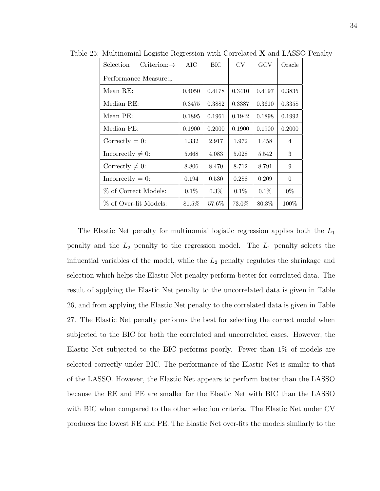| Selection<br>$Criterion:\rightarrow$ | AIC      | <b>BIC</b> | <b>CV</b> | GCV     | Oracle         |
|--------------------------------------|----------|------------|-----------|---------|----------------|
| Performance Measure:↓                |          |            |           |         |                |
| Mean RE:                             | 0.4050   | 0.4178     | 0.3410    | 0.4197  | 0.3835         |
| Median RE:                           | 0.3475   | 0.3882     | 0.3387    | 0.3610  | 0.3358         |
| Mean PE:                             | 0.1895   | 0.1961     | 0.1942    | 0.1898  | 0.1992         |
| Median PE:                           | 0.1900   | 0.2000     | 0.1900    | 0.1900  | 0.2000         |
| Correctly $= 0$ :                    | 1.332    | 2.917      | 1.972     | 1.458   | $\overline{4}$ |
| Incorrectly $\neq 0$ :               | 5.668    | 4.083      | 5.028     | 5.542   | 3              |
| Correctly $\neq 0$ :                 | 8.806    | 8.470      | 8.712     | 8.791   | 9              |
| Incorrectly $= 0$ :                  | 0.194    | 0.530      | 0.288     | 0.209   | $\theta$       |
| % of Correct Models:                 | $0.1\%$  | $0.3\%$    | $0.1\%$   | $0.1\%$ | $0\%$          |
| % of Over-fit Models:                | $81.5\%$ | 57.6%      | 73.0%     | 80.3%   | 100\%          |

Table 25: Multinomial Logistic Regression with Correlated X and LASSO Penalty

The Elastic Net penalty for multinomial logistic regression applies both the  $L_1$ penalty and the  $L_2$  penalty to the regression model. The  $L_1$  penalty selects the influential variables of the model, while the  $L_2$  penalty regulates the shrinkage and selection which helps the Elastic Net penalty perform better for correlated data. The result of applying the Elastic Net penalty to the uncorrelated data is given in Table 26, and from applying the Elastic Net penalty to the correlated data is given in Table 27. The Elastic Net penalty performs the best for selecting the correct model when subjected to the BIC for both the correlated and uncorrelated cases. However, the Elastic Net subjected to the BIC performs poorly. Fewer than 1% of models are selected correctly under BIC. The performance of the Elastic Net is similar to that of the LASSO. However, the Elastic Net appears to perform better than the LASSO because the RE and PE are smaller for the Elastic Net with BIC than the LASSO with BIC when compared to the other selection criteria. The Elastic Net under CV produces the lowest RE and PE. The Elastic Net over-fits the models similarly to the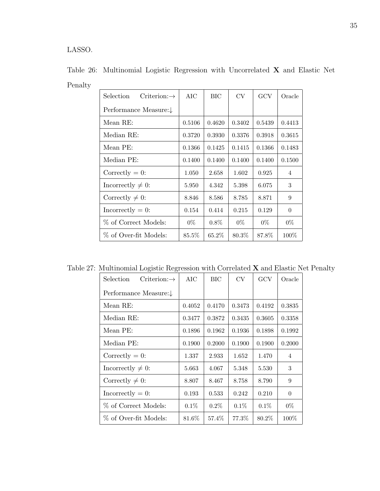LASSO.

| Selection<br>Criterion: $\rightarrow$ | AIC      | BIC     | CV     | GCV    | Oracle         |
|---------------------------------------|----------|---------|--------|--------|----------------|
| Performance Measure:↓                 |          |         |        |        |                |
| Mean RE:                              | 0.5106   | 0.4620  | 0.3402 | 0.5439 | 0.4413         |
| Median RE:                            | 0.3720   | 0.3930  | 0.3376 | 0.3918 | 0.3615         |
| Mean PE:                              | 0.1366   | 0.1425  | 0.1415 | 0.1366 | 0.1483         |
| Median PE:                            | 0.1400   | 0.1400  | 0.1400 | 0.1400 | 0.1500         |
| Correctly $= 0$ :                     | 1.050    | 2.658   | 1.602  | 0.925  | $\overline{4}$ |
| Incorrectly $\neq 0$ :                | 5.950    | 4.342   | 5.398  | 6.075  | 3              |
| Correctly $\neq 0$ :                  | 8.846    | 8.586   | 8.785  | 8.871  | 9              |
| $In correctly = 0:$                   | 0.154    | 0.414   | 0.215  | 0.129  | $\overline{0}$ |
| % of Correct Models:                  | $0\%$    | $0.8\%$ | $0\%$  | $0\%$  | $0\%$          |
| % of Over-fit Models:                 | $85.5\%$ | 65.2\%  | 80.3%  | 87.8%  | $100\%$        |

Table 26: Multinomial Logistic Regression with Uncorrelated X and Elastic Net Penalty

Table 27: Multinomial Logistic Regression with Correlated X and Elastic Net Penalty

| <b>Selection</b><br>Criterion: $\rightarrow$ | AIC     | BIC     | <b>CV</b> | GCV     | Oracle         |
|----------------------------------------------|---------|---------|-----------|---------|----------------|
| Performance Measure:↓                        |         |         |           |         |                |
| Mean RE:                                     | 0.4052  | 0.4170  | 0.3473    | 0.4192  | 0.3835         |
| Median RE:                                   | 0.3477  | 0.3872  | 0.3435    | 0.3605  | 0.3358         |
| Mean PE:                                     | 0.1896  | 0.1962  | 0.1936    | 0.1898  | 0.1992         |
| Median PE:                                   | 0.1900  | 0.2000  | 0.1900    | 0.1900  | 0.2000         |
| Correctly $= 0$ :                            | 1.337   | 2.933   | 1.652     | 1.470   | $\overline{4}$ |
| Incorrectly $\neq 0$ :                       | 5.663   | 4.067   | 5.348     | 5.530   | 3              |
| Correctly $\neq 0$ :                         | 8.807   | 8.467   | 8.758     | 8.790   | 9              |
| $In correctly = 0:$                          | 0.193   | 0.533   | 0.242     | 0.210   | $\theta$       |
| % of Correct Models:                         | $0.1\%$ | $0.2\%$ | $0.1\%$   | $0.1\%$ | $0\%$          |
| % of Over-fit Models:                        | 81.6%   | 57.4\%  | 77.3%     | 80.2\%  | $100\%$        |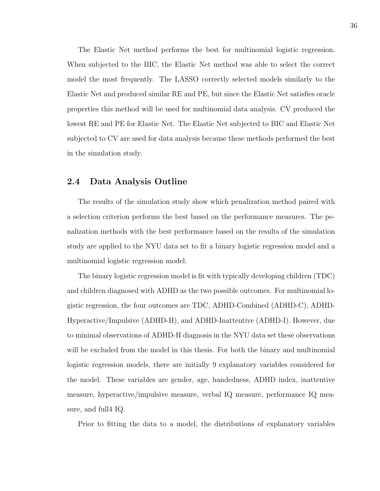The Elastic Net method performs the best for multinomial logistic regression. When subjected to the BIC, the Elastic Net method was able to select the correct model the most frequently. The LASSO correctly selected models similarly to the Elastic Net and produced similar RE and PE, but since the Elastic Net satisfies oracle properties this method will be used for multinomial data analysis. CV produced the lowest RE and PE for Elastic Net. The Elastic Net subjected to BIC and Elastic Net subjected to CV are used for data analysis because these methods performed the best in the simulation study.

### 2.4 Data Analysis Outline

The results of the simulation study show which penalization method paired with a selection criterion performs the best based on the performance measures. The penalization methods with the best performance based on the results of the simulation study are applied to the NYU data set to fit a binary logistic regression model and a multinomial logistic regression model.

The binary logistic regression model is fit with typically developing children (TDC) and children diagnosed with ADHD as the two possible outcomes. For multinomial logistic regression, the four outcomes are TDC, ADHD-Combined (ADHD-C), ADHD-Hyperactive/Impulsive (ADHD-H), and ADHD-Inattentive (ADHD-I). However, due to minimal observations of ADHD-H diagnosis in the NYU data set these observations will be excluded from the model in this thesis. For both the binary and multinomial logistic regression models, there are initially 9 explanatory variables considered for the model. These variables are gender, age, handedness, ADHD index, inattentive measure, hyperactive/impulsive measure, verbal IQ measure, performance IQ measure, and full4 IQ.

Prior to fitting the data to a model, the distributions of explanatory variables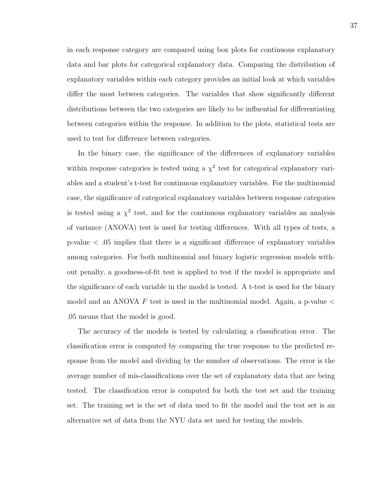in each response category are compared using box plots for continuous explanatory data and bar plots for categorical explanatory data. Comparing the distribution of explanatory variables within each category provides an initial look at which variables differ the most between categories. The variables that show significantly different distributions between the two categories are likely to be influential for differentiating between categories within the response. In addition to the plots, statistical tests are used to test for difference between categories.

In the binary case, the significance of the differences of explanatory variables within response categories is tested using a  $\chi^2$  test for categorical explanatory variables and a student's t-test for continuous explanatory variables. For the multinomial case, the significance of categorical explanatory variables between response categories is tested using a  $\chi^2$  test, and for the continuous explanatory variables an analysis of variance (ANOVA) test is used for testing differences. With all types of tests, a p-value < .05 implies that there is a significant difference of explanatory variables among categories. For both multinomial and binary logistic regression models without penalty, a goodness-of-fit test is applied to test if the model is appropriate and the significance of each variable in the model is tested. A t-test is used for the binary model and an ANOVA  $F$  test is used in the multinomial model. Again, a p-value  $\lt$ .05 means that the model is good.

The accuracy of the models is tested by calculating a classification error. The classification error is computed by comparing the true response to the predicted response from the model and dividing by the number of observations. The error is the average number of mis-classifications over the set of explanatory data that are being tested. The classification error is computed for both the test set and the training set. The training set is the set of data used to fit the model and the test set is an alternative set of data from the NYU data set used for testing the models.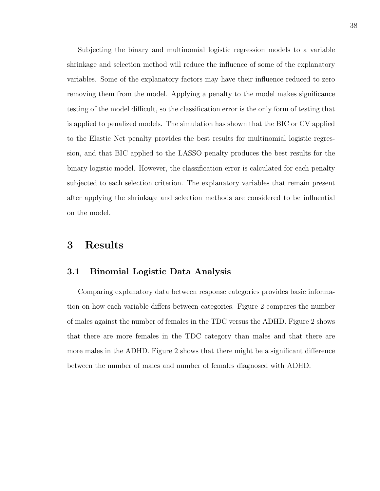Subjecting the binary and multinomial logistic regression models to a variable shrinkage and selection method will reduce the influence of some of the explanatory variables. Some of the explanatory factors may have their influence reduced to zero removing them from the model. Applying a penalty to the model makes significance testing of the model difficult, so the classification error is the only form of testing that is applied to penalized models. The simulation has shown that the BIC or CV applied to the Elastic Net penalty provides the best results for multinomial logistic regression, and that BIC applied to the LASSO penalty produces the best results for the binary logistic model. However, the classification error is calculated for each penalty subjected to each selection criterion. The explanatory variables that remain present after applying the shrinkage and selection methods are considered to be influential on the model.

## 3 Results

### 3.1 Binomial Logistic Data Analysis

Comparing explanatory data between response categories provides basic information on how each variable differs between categories. Figure 2 compares the number of males against the number of females in the TDC versus the ADHD. Figure 2 shows that there are more females in the TDC category than males and that there are more males in the ADHD. Figure 2 shows that there might be a significant difference between the number of males and number of females diagnosed with ADHD.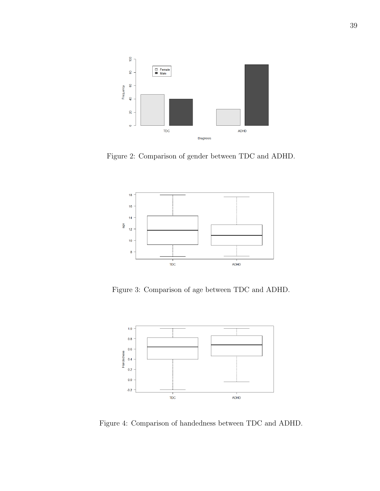

Figure 2: Comparison of gender between TDC and ADHD.



Figure 3: Comparison of age between TDC and ADHD.



Figure 4: Comparison of handedness between TDC and ADHD.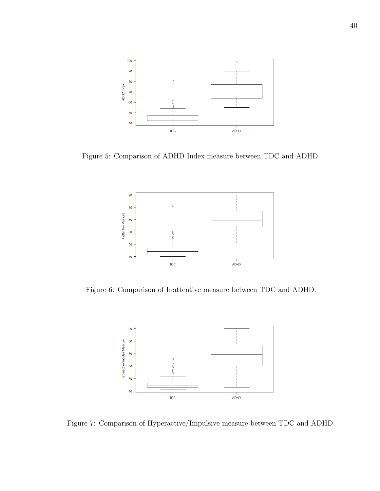

Figure 5: Comparison of ADHD Index measure between TDC and ADHD.



Figure 6: Comparison of Inattentive measure between TDC and ADHD.



Figure 7: Comparison of Hyperactive/Impulsive measure between TDC and ADHD.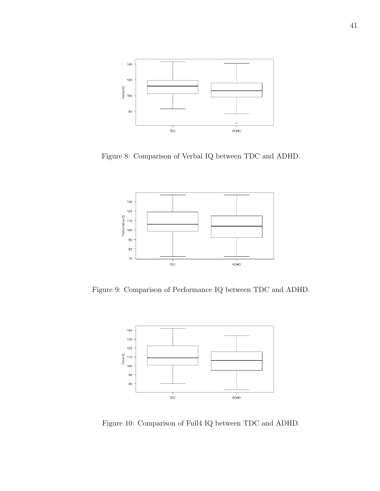

Figure 8: Comparison of Verbal IQ between TDC and ADHD.



Figure 9: Comparison of Performance IQ between TDC and ADHD.



Figure 10: Comparison of Full4 IQ between TDC and ADHD.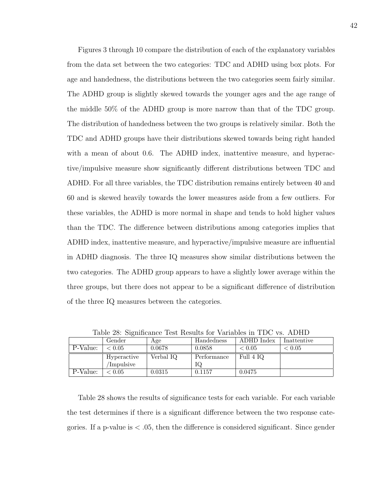Figures 3 through 10 compare the distribution of each of the explanatory variables from the data set between the two categories: TDC and ADHD using box plots. For age and handedness, the distributions between the two categories seem fairly similar. The ADHD group is slightly skewed towards the younger ages and the age range of the middle 50% of the ADHD group is more narrow than that of the TDC group. The distribution of handedness between the two groups is relatively similar. Both the TDC and ADHD groups have their distributions skewed towards being right handed with a mean of about 0.6. The ADHD index, inattentive measure, and hyperactive/impulsive measure show significantly different distributions between TDC and ADHD. For all three variables, the TDC distribution remains entirely between 40 and 60 and is skewed heavily towards the lower measures aside from a few outliers. For these variables, the ADHD is more normal in shape and tends to hold higher values than the TDC. The difference between distributions among categories implies that ADHD index, inattentive measure, and hyperactive/impulsive measure are influential in ADHD diagnosis. The three IQ measures show similar distributions between the two categories. The ADHD group appears to have a slightly lower average within the three groups, but there does not appear to be a significant difference of distribution of the three IQ measures between the categories.

|          | Gender      | Age       | Handedness  | ADHD Index | Inattentive |
|----------|-------------|-----------|-------------|------------|-------------|
| P-Value: | < 0.05      | 0.0678    | 0.0858      | ${}< 0.05$ | < 0.05      |
|          | Hyperactive | Verbal IQ | Performance | Full 4 IQ  |             |
|          | Impulsive   |           | IQ          |            |             |
| P-Value: | < 0.05      | 0.0315    | 0.1157      | 0.0475     |             |

Table 28: Significance Test Results for Variables in TDC vs. ADHD

Table 28 shows the results of significance tests for each variable. For each variable the test determines if there is a significant difference between the two response categories. If a p-value is  $\lt 0.05$ , then the difference is considered significant. Since gender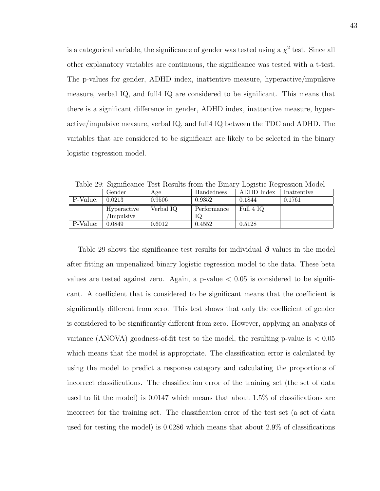is a categorical variable, the significance of gender was tested using a  $\chi^2$  test. Since all other explanatory variables are continuous, the significance was tested with a t-test. The p-values for gender, ADHD index, inattentive measure, hyperactive/impulsive measure, verbal IQ, and full4 IQ are considered to be significant. This means that there is a significant difference in gender, ADHD index, inattentive measure, hyperactive/impulsive measure, verbal IQ, and full4 IQ between the TDC and ADHD. The variables that are considered to be significant are likely to be selected in the binary logistic regression model.

|          | Gender      | Age       | Handedness  | ADHD Index | Inattentive |
|----------|-------------|-----------|-------------|------------|-------------|
| P-Value: | 0.0213      | 0.9506    | 0.9352      | 0.1844     | 0.1761      |
|          | Hyperactive | Verbal IQ | Performance | Full 4 IQ  |             |
|          | Impulsive   |           | IQ          |            |             |
| P-Value: | 0.0849      | 0.6012    | 0.4552      | 0.5128     |             |

Table 29: Significance Test Results from the Binary Logistic Regression Model

Table 29 shows the significance test results for individual  $\beta$  values in the model after fitting an unpenalized binary logistic regression model to the data. These beta values are tested against zero. Again, a  $p$ -value  $\lt 0.05$  is considered to be significant. A coefficient that is considered to be significant means that the coefficient is significantly different from zero. This test shows that only the coefficient of gender is considered to be significantly different from zero. However, applying an analysis of variance (ANOVA) goodness-of-fit test to the model, the resulting p-value is  $< 0.05$ which means that the model is appropriate. The classification error is calculated by using the model to predict a response category and calculating the proportions of incorrect classifications. The classification error of the training set (the set of data used to fit the model) is 0.0147 which means that about 1.5% of classifications are incorrect for the training set. The classification error of the test set (a set of data used for testing the model) is 0.0286 which means that about 2.9% of classifications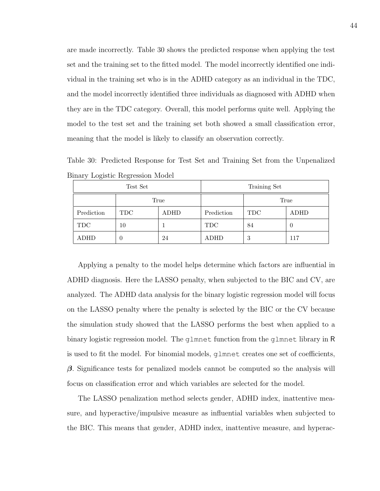are made incorrectly. Table 30 shows the predicted response when applying the test set and the training set to the fitted model. The model incorrectly identified one individual in the training set who is in the ADHD category as an individual in the TDC, and the model incorrectly identified three individuals as diagnosed with ADHD when they are in the TDC category. Overall, this model performs quite well. Applying the model to the test set and the training set both showed a small classification error, meaning that the model is likely to classify an observation correctly.

Table 30: Predicted Response for Test Set and Training Set from the Unpenalized Binary Logistic Regression Model

|            | Test Set   |      | Training Set |            |      |  |
|------------|------------|------|--------------|------------|------|--|
|            | True       |      |              | True       |      |  |
| Prediction | <b>TDC</b> | ADHD | Prediction   | <b>TDC</b> | ADHD |  |
| <b>TDC</b> | 10         |      | <b>TDC</b>   | 84         | U    |  |
| ADHD       | U          | 24   | ADHD         | 3          | 117  |  |

Applying a penalty to the model helps determine which factors are influential in ADHD diagnosis. Here the LASSO penalty, when subjected to the BIC and CV, are analyzed. The ADHD data analysis for the binary logistic regression model will focus on the LASSO penalty where the penalty is selected by the BIC or the CV because the simulation study showed that the LASSO performs the best when applied to a binary logistic regression model. The glmnet function from the glmnet library in R is used to fit the model. For binomial models, glmnet creates one set of coefficients,  $\beta$ . Significance tests for penalized models cannot be computed so the analysis will focus on classification error and which variables are selected for the model.

The LASSO penalization method selects gender, ADHD index, inattentive measure, and hyperactive/impulsive measure as influential variables when subjected to the BIC. This means that gender, ADHD index, inattentive measure, and hyperac-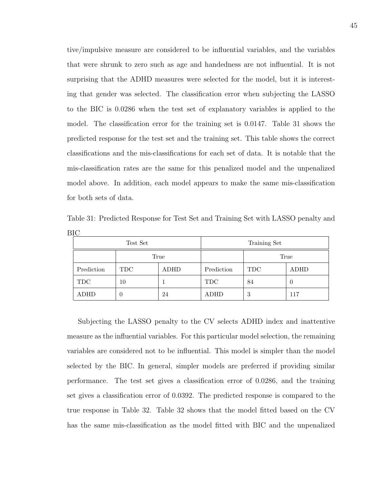tive/impulsive measure are considered to be influential variables, and the variables that were shrunk to zero such as age and handedness are not influential. It is not surprising that the ADHD measures were selected for the model, but it is interesting that gender was selected. The classification error when subjecting the LASSO to the BIC is 0.0286 when the test set of explanatory variables is applied to the model. The classification error for the training set is 0.0147. Table 31 shows the predicted response for the test set and the training set. This table shows the correct classifications and the mis-classifications for each set of data. It is notable that the mis-classification rates are the same for this penalized model and the unpenalized model above. In addition, each model appears to make the same mis-classification for both sets of data.

| ╯           |          |      |              |            |      |  |  |
|-------------|----------|------|--------------|------------|------|--|--|
|             | Test Set |      | Training Set |            |      |  |  |
| True        |          |      | True         |            |      |  |  |
| Prediction  | TDC.     | ADHD | Prediction   | <b>TDC</b> | ADHD |  |  |
| <b>TDC</b>  | 10       |      | <b>TDC</b>   | 84         | U    |  |  |
| <b>ADHD</b> |          | 24   | ADHD         | 3          | 117  |  |  |

Table 31: Predicted Response for Test Set and Training Set with LASSO penalty and BIC

Subjecting the LASSO penalty to the CV selects ADHD index and inattentive measure as the influential variables. For this particular model selection, the remaining variables are considered not to be influential. This model is simpler than the model selected by the BIC. In general, simpler models are preferred if providing similar performance. The test set gives a classification error of 0.0286, and the training set gives a classification error of 0.0392. The predicted response is compared to the true response in Table 32. Table 32 shows that the model fitted based on the CV has the same mis-classification as the model fitted with BIC and the unpenalized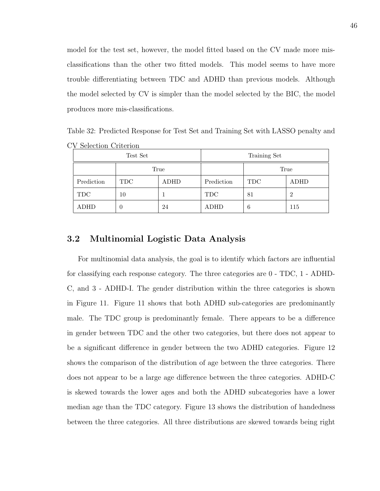model for the test set, however, the model fitted based on the CV made more misclassifications than the other two fitted models. This model seems to have more trouble differentiating between TDC and ADHD than previous models. Although the model selected by CV is simpler than the model selected by the BIC, the model produces more mis-classifications.

Table 32: Predicted Response for Test Set and Training Set with LASSO penalty and CV Selection Criterion

|             | Test Set    |      | Training Set |                    |     |  |
|-------------|-------------|------|--------------|--------------------|-----|--|
|             |             | True |              | True               |     |  |
| Prediction  | TDC<br>ADHD |      | Prediction   | <b>TDC</b><br>ADHD |     |  |
| <b>TDC</b>  | 10          |      | <b>TDC</b>   | 81                 | 2   |  |
| <b>ADHD</b> | U           | 24   | ADHD         | 6                  | 115 |  |

### 3.2 Multinomial Logistic Data Analysis

For multinomial data analysis, the goal is to identify which factors are influential for classifying each response category. The three categories are 0 - TDC, 1 - ADHD-C, and 3 - ADHD-I. The gender distribution within the three categories is shown in Figure 11. Figure 11 shows that both ADHD sub-categories are predominantly male. The TDC group is predominantly female. There appears to be a difference in gender between TDC and the other two categories, but there does not appear to be a significant difference in gender between the two ADHD categories. Figure 12 shows the comparison of the distribution of age between the three categories. There does not appear to be a large age difference between the three categories. ADHD-C is skewed towards the lower ages and both the ADHD subcategories have a lower median age than the TDC category. Figure 13 shows the distribution of handedness between the three categories. All three distributions are skewed towards being right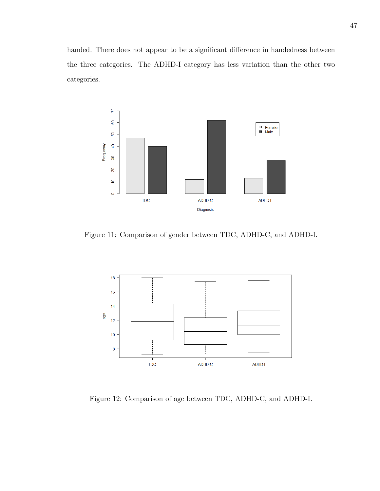handed. There does not appear to be a significant difference in handedness between the three categories. The ADHD-I category has less variation than the other two categories.



Figure 11: Comparison of gender between TDC, ADHD-C, and ADHD-I.



Figure 12: Comparison of age between TDC, ADHD-C, and ADHD-I.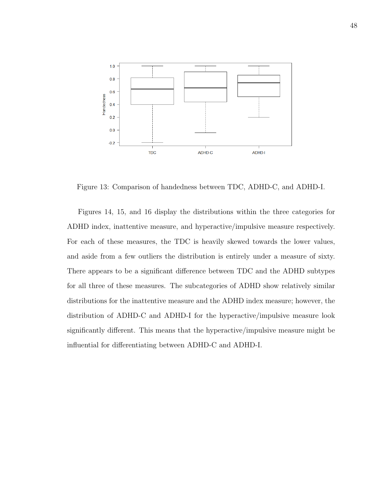

Figure 13: Comparison of handedness between TDC, ADHD-C, and ADHD-I.

Figures 14, 15, and 16 display the distributions within the three categories for ADHD index, inattentive measure, and hyperactive/impulsive measure respectively. For each of these measures, the TDC is heavily skewed towards the lower values, and aside from a few outliers the distribution is entirely under a measure of sixty. There appears to be a significant difference between TDC and the ADHD subtypes for all three of these measures. The subcategories of ADHD show relatively similar distributions for the inattentive measure and the ADHD index measure; however, the distribution of ADHD-C and ADHD-I for the hyperactive/impulsive measure look significantly different. This means that the hyperactive/impulsive measure might be influential for differentiating between ADHD-C and ADHD-I.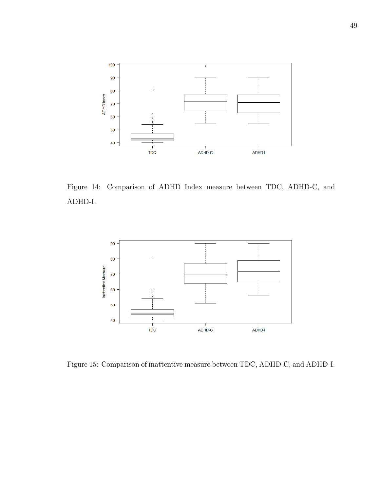

Figure 14: Comparison of ADHD Index measure between TDC, ADHD-C, and ADHD-I.



Figure 15: Comparison of inattentive measure between TDC, ADHD-C, and ADHD-I.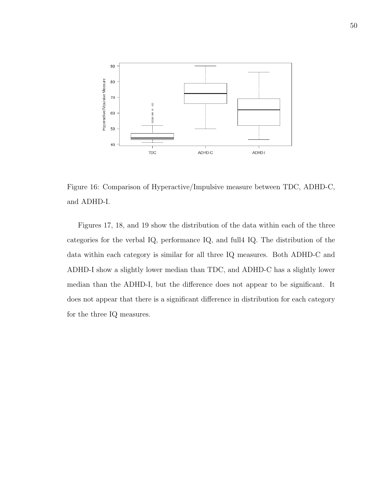

Figure 16: Comparison of Hyperactive/Impulsive measure between TDC, ADHD-C, and ADHD-I.

Figures 17, 18, and 19 show the distribution of the data within each of the three categories for the verbal IQ, performance IQ, and full4 IQ. The distribution of the data within each category is similar for all three IQ measures. Both ADHD-C and ADHD-I show a slightly lower median than TDC, and ADHD-C has a slightly lower median than the ADHD-I, but the difference does not appear to be significant. It does not appear that there is a significant difference in distribution for each category for the three IQ measures.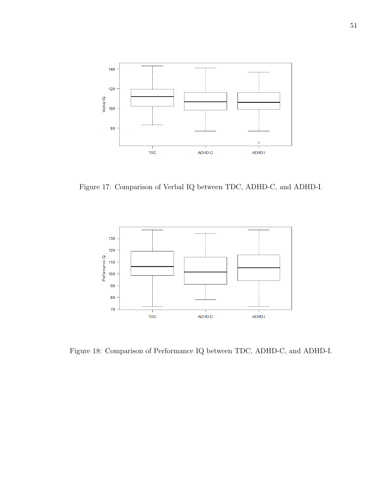

Figure 17: Comparison of Verbal IQ between TDC, ADHD-C, and ADHD-I.



Figure 18: Comparison of Performance IQ between TDC, ADHD-C, and ADHD-I.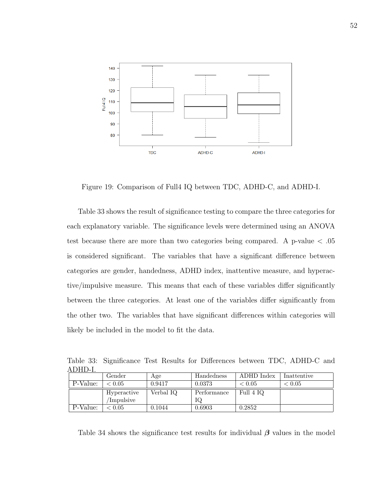

Figure 19: Comparison of Full4 IQ between TDC, ADHD-C, and ADHD-I.

Table 33 shows the result of significance testing to compare the three categories for each explanatory variable. The significance levels were determined using an ANOVA test because there are more than two categories being compared. A p-value < .05 is considered significant. The variables that have a significant difference between categories are gender, handedness, ADHD index, inattentive measure, and hyperactive/impulsive measure. This means that each of these variables differ significantly between the three categories. At least one of the variables differ significantly from the other two. The variables that have significant differences within categories will likely be included in the model to fit the data.

Table 33: Significance Test Results for Differences between TDC, ADHD-C and ADHD-I.

|          | Gender                      | Age       | Handedness  | ADHD Index | Inattentive |
|----------|-----------------------------|-----------|-------------|------------|-------------|
| P-Value: | $\stackrel{<}{_{\sim}}0.05$ | 0.9417    | 0.0373      | < 0.05     | ${}< 0.05$  |
|          | Hyperactive                 | Verbal IQ | Performance | Full 4 IQ  |             |
|          | Impulsive                   |           | IQ          |            |             |
| P-Value: | ∈0.05                       | 0.1044    | 0.6903      | 0.2852     |             |

Table 34 shows the significance test results for individual  $\beta$  values in the model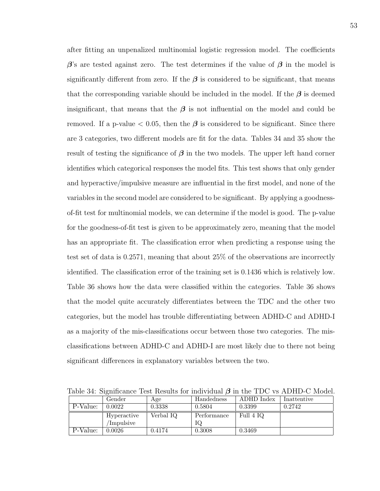after fitting an unpenalized multinomial logistic regression model. The coefficients  $\beta$ 's are tested against zero. The test determines if the value of  $\beta$  in the model is significantly different from zero. If the  $\beta$  is considered to be significant, that means that the corresponding variable should be included in the model. If the  $\beta$  is deemed insignificant, that means that the  $\beta$  is not influential on the model and could be removed. If a p-value  $\lt 0.05$ , then the  $\beta$  is considered to be significant. Since there are 3 categories, two different models are fit for the data. Tables 34 and 35 show the result of testing the significance of  $\beta$  in the two models. The upper left hand corner identifies which categorical responses the model fits. This test shows that only gender and hyperactive/impulsive measure are influential in the first model, and none of the variables in the second model are considered to be significant. By applying a goodnessof-fit test for multinomial models, we can determine if the model is good. The p-value for the goodness-of-fit test is given to be approximately zero, meaning that the model has an appropriate fit. The classification error when predicting a response using the test set of data is 0.2571, meaning that about 25% of the observations are incorrectly identified. The classification error of the training set is 0.1436 which is relatively low. Table 36 shows how the data were classified within the categories. Table 36 shows that the model quite accurately differentiates between the TDC and the other two categories, but the model has trouble differentiating between ADHD-C and ADHD-I as a majority of the mis-classifications occur between those two categories. The misclassifications between ADHD-C and ADHD-I are most likely due to there not being significant differences in explanatory variables between the two.

Gender | Age | Handedness | ADHD Index | Inattentive P-Value: 0.0022 0.3338 0.5804 0.3399 0.2742 Hyperactive /Impulsive Verbal IQ Performance IQ Full 4 IQ P-Value: 0.0026 0.4174 0.3008 0.3469

Table 34: Significance Test Results for individual  $\beta$  in the TDC vs ADHD-C Model.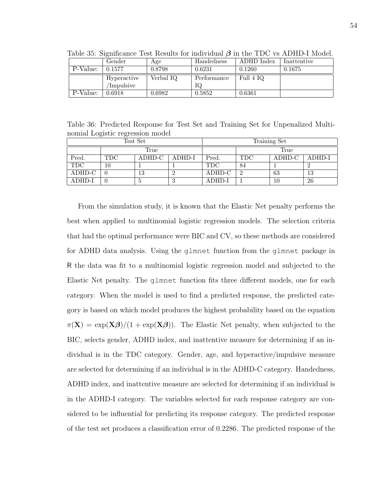| $\pm\omega\omega$ $\pm\omega$ , $\omega$ $\pm\sqrt{2}$ and $\omega\omega$ $\pm\omega\omega$ $\pm\sqrt{2}$ and $\omega\omega$ $\pm\sqrt{2}$ and $\omega\omega$ |             |           |             |            |             |  |  |  |
|---------------------------------------------------------------------------------------------------------------------------------------------------------------|-------------|-----------|-------------|------------|-------------|--|--|--|
|                                                                                                                                                               | Gender      | Age       | Handedness  | ADHD Index | Inattentive |  |  |  |
| P-Value:                                                                                                                                                      | 0.1577      | 0.8798    | 0.6231      | 0.1260     | 0.1675      |  |  |  |
|                                                                                                                                                               | Hyperactive | Verbal IQ | Performance | Full 4 IQ  |             |  |  |  |
|                                                                                                                                                               | Impulsive   |           | IQ          |            |             |  |  |  |
| P-Value:                                                                                                                                                      | 0.6918      | 0.6982    | 0.5852      | 0.6361     |             |  |  |  |

Table 35: Significance Test Results for individual  $\beta$  in the TDC vs ADHD-I Model.

Table 36: Predicted Response for Test Set and Training Set for Unpenalized Multinomial Logistic regression model

| Test Set   |            |        |        | Training Set |            |        |        |
|------------|------------|--------|--------|--------------|------------|--------|--------|
|            | True       |        |        |              | True       |        |        |
| Pred.      | <b>TDC</b> | ADHD-C | ADHD-I | Pred.        | <b>TDC</b> | ADHD-C | ADHD-I |
| <b>TDC</b> | 10         |        |        | <b>TDC</b>   | 84         |        |        |
| ADHD-C     |            | 13     |        | ADHD-C       | റ          | 63     | 13     |
| ADHD-I     |            |        | .,     | ADHD-I       |            | 10     | 26     |

From the simulation study, it is known that the Elastic Net penalty performs the best when applied to multinomial logistic regression models. The selection criteria that had the optimal performance were BIC and CV, so these methods are considered for ADHD data analysis. Using the glmnet function from the glmnet package in R the data was fit to a multinomial logistic regression model and subjected to the Elastic Net penalty. The glmnet function fits three different models, one for each category. When the model is used to find a predicted response, the predicted category is based on which model produces the highest probability based on the equation  $\pi(X) = \exp(X\beta)/(1 + \exp(X\beta)).$  The Elastic Net penalty, when subjected to the BIC, selects gender, ADHD index, and inattentive measure for determining if an individual is in the TDC category. Gender, age, and hyperactive/impulsive measure are selected for determining if an individual is in the ADHD-C category. Handedness, ADHD index, and inattentive measure are selected for determining if an individual is in the ADHD-I category. The variables selected for each response category are considered to be influential for predicting its response category. The predicted response of the test set produces a classification error of 0.2286. The predicted response of the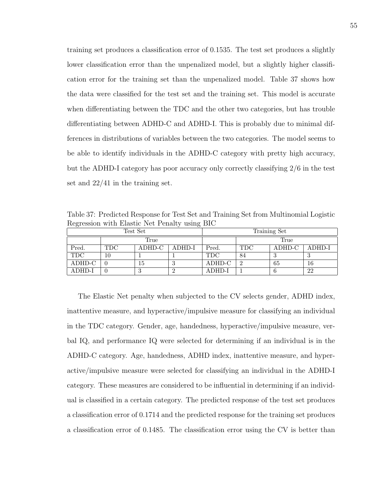training set produces a classification error of 0.1535. The test set produces a slightly lower classification error than the unpenalized model, but a slightly higher classification error for the training set than the unpenalized model. Table 37 shows how the data were classified for the test set and the training set. This model is accurate when differentiating between the TDC and the other two categories, but has trouble differentiating between ADHD-C and ADHD-I. This is probably due to minimal differences in distributions of variables between the two categories. The model seems to be able to identify individuals in the ADHD-C category with pretty high accuracy, but the ADHD-I category has poor accuracy only correctly classifying 2/6 in the test set and 22/41 in the training set.

Table 37: Predicted Response for Test Set and Training Set from Multinomial Logistic Regression with Elastic Net Penalty using BIC

| Test Set   |                                |    |  | Training Set |                |        |        |
|------------|--------------------------------|----|--|--------------|----------------|--------|--------|
|            | True                           |    |  |              | True           |        |        |
| Pred.      | ADHD-C<br><b>TDC</b><br>ADHD-I |    |  | Pred.        | <b>TDC</b>     | ADHD-C | ADHD-I |
| <b>TDC</b> | 10                             |    |  | <b>TDC</b>   | 84             |        |        |
| ADHD-C     |                                | 15 |  | ADHD-C       | $\overline{2}$ | 65     | 16     |
| ADHD-I     |                                | IJ |  | ADHD-I       |                |        | 22     |

The Elastic Net penalty when subjected to the CV selects gender, ADHD index, inattentive measure, and hyperactive/impulsive measure for classifying an individual in the TDC category. Gender, age, handedness, hyperactive/impulsive measure, verbal IQ, and performance IQ were selected for determining if an individual is in the ADHD-C category. Age, handedness, ADHD index, inattentive measure, and hyperactive/impulsive measure were selected for classifying an individual in the ADHD-I category. These measures are considered to be influential in determining if an individual is classified in a certain category. The predicted response of the test set produces a classification error of 0.1714 and the predicted response for the training set produces a classification error of 0.1485. The classification error using the CV is better than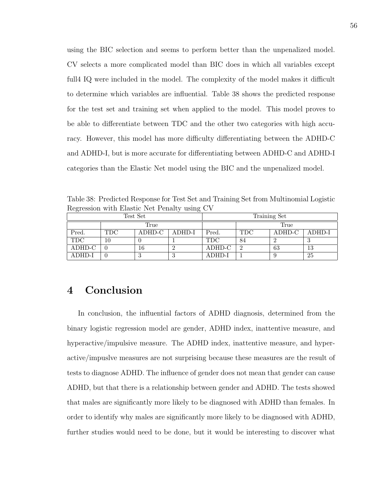using the BIC selection and seems to perform better than the unpenalized model. CV selects a more complicated model than BIC does in which all variables except full4 IQ were included in the model. The complexity of the model makes it difficult to determine which variables are influential. Table 38 shows the predicted response for the test set and training set when applied to the model. This model proves to be able to differentiate between TDC and the other two categories with high accuracy. However, this model has more difficulty differentiating between the ADHD-C and ADHD-I, but is more accurate for differentiating between ADHD-C and ADHD-I categories than the Elastic Net model using the BIC and the unpenalized model.

Table 38: Predicted Response for Test Set and Training Set from Multinomial Logistic Regression with Elastic Net Penalty using CV

| Test Set   |      |        |        | Training Set |                |        |        |
|------------|------|--------|--------|--------------|----------------|--------|--------|
|            | True |        |        |              | True           |        |        |
| Pred.      | TDC  | ADHD-C | ADHD-I | Pred.        | <b>TDC</b>     | ADHD-C | ADHD-I |
| <b>TDC</b> |      |        |        | <b>TDC</b>   | 84             |        |        |
| ADHD-C     |      | 16     |        | ADHD-C       | $\overline{2}$ | 63     | 13     |
| ADHD-I     |      | 3      | .,     | ADHD-I       |                |        | 25     |

## 4 Conclusion

In conclusion, the influential factors of ADHD diagnosis, determined from the binary logistic regression model are gender, ADHD index, inattentive measure, and hyperactive/impulsive measure. The ADHD index, inattentive measure, and hyperactive/impuslve measures are not surprising because these measures are the result of tests to diagnose ADHD. The influence of gender does not mean that gender can cause ADHD, but that there is a relationship between gender and ADHD. The tests showed that males are significantly more likely to be diagnosed with ADHD than females. In order to identify why males are significantly more likely to be diagnosed with ADHD, further studies would need to be done, but it would be interesting to discover what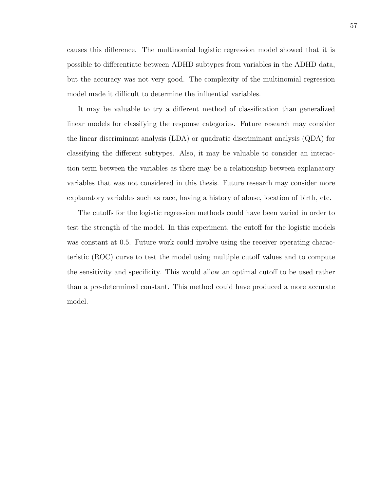causes this difference. The multinomial logistic regression model showed that it is possible to differentiate between ADHD subtypes from variables in the ADHD data, but the accuracy was not very good. The complexity of the multinomial regression model made it difficult to determine the influential variables.

It may be valuable to try a different method of classification than generalized linear models for classifying the response categories. Future research may consider the linear discriminant analysis (LDA) or quadratic discriminant analysis (QDA) for classifying the different subtypes. Also, it may be valuable to consider an interaction term between the variables as there may be a relationship between explanatory variables that was not considered in this thesis. Future research may consider more explanatory variables such as race, having a history of abuse, location of birth, etc.

The cutoffs for the logistic regression methods could have been varied in order to test the strength of the model. In this experiment, the cutoff for the logistic models was constant at 0.5. Future work could involve using the receiver operating characteristic (ROC) curve to test the model using multiple cutoff values and to compute the sensitivity and specificity. This would allow an optimal cutoff to be used rather than a pre-determined constant. This method could have produced a more accurate model.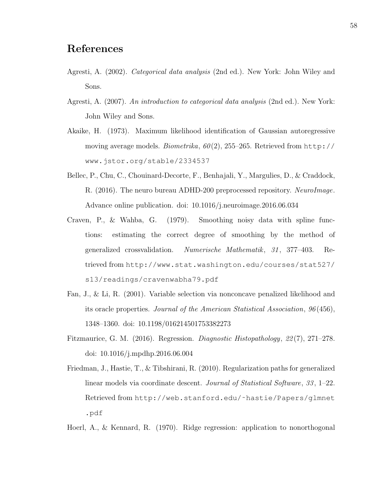## References

- Agresti, A. (2002). Categorical data analysis (2nd ed.). New York: John Wiley and Sons.
- Agresti, A. (2007). An introduction to categorical data analysis (2nd ed.). New York: John Wiley and Sons.
- Akaike, H. (1973). Maximum likelihood identification of Gaussian autoregressive moving average models. Biometrika,  $60(2)$ , 255–265. Retrieved from http:// www.jstor.org/stable/2334537
- Bellec, P., Chu, C., Chouinard-Decorte, F., Benhajali, Y., Margulies, D., & Craddock, R. (2016). The neuro bureau ADHD-200 preprocessed repository. NeuroImage. Advance online publication. doi: 10.1016/j.neuroimage.2016.06.034
- Craven, P., & Wahba, G. (1979). Smoothing noisy data with spline functions: estimating the correct degree of smoothing by the method of generalized crossvalidation. Numerische Mathematik, 31, 377–403. Retrieved from http://www.stat.washington.edu/courses/stat527/ s13/readings/cravenwabha79.pdf
- Fan, J., & Li, R. (2001). Variable selection via nonconcave penalized likelihood and its oracle properties. Journal of the American Statistical Association, 96 (456), 1348–1360. doi: 10.1198/016214501753382273
- Fitzmaurice, G. M. (2016). Regression. *Diagnostic Histopathology*, 22(7), 271–278. doi: 10.1016/j.mpdhp.2016.06.004
- Friedman, J., Hastie, T., & Tibshirani, R. (2010). Regularization paths for generalized linear models via coordinate descent. *Journal of Statistical Software*, 33, 1–22. Retrieved from http://web.stanford.edu/˜hastie/Papers/glmnet .pdf
- Hoerl, A., & Kennard, R. (1970). Ridge regression: application to nonorthogonal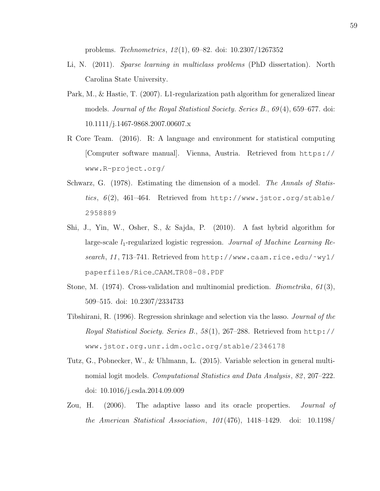problems. Technometrics, 12 (1), 69–82. doi: 10.2307/1267352

- Li, N. (2011). Sparse learning in multiclass problems (PhD dissertation). North Carolina State University.
- Park, M., & Hastie, T. (2007). L1-regularization path algorithm for generalized linear models. Journal of the Royal Statistical Society. Series B., 69 (4), 659–677. doi: 10.1111/j.1467-9868.2007.00607.x
- R Core Team. (2016). R: A language and environment for statistical computing [Computer software manual]. Vienna, Austria. Retrieved from https:// www.R-project.org/
- Schwarz, G. (1978). Estimating the dimension of a model. The Annals of Statistics,  $6(2)$ , 461-464. Retrieved from http://www.jstor.org/stable/ 2958889
- Shi, J., Yin, W., Osher, S., & Sajda, P. (2010). A fast hybrid algorithm for large-scale  $l_1$ -regularized logistic regression. Journal of Machine Learning Research, 11, 713–741. Retrieved from http://www.caam.rice.edu/~wy1/ paperfiles/Rice CAAM TR08-08.PDF
- Stone, M. (1974). Cross-validation and multinomial prediction. *Biometrika*,  $61(3)$ , 509–515. doi: 10.2307/2334733
- Tibshirani, R. (1996). Regression shrinkage and selection via the lasso. Journal of the Royal Statistical Society. Series B., 58 (1), 267–288. Retrieved from http:// www.jstor.org.unr.idm.oclc.org/stable/2346178
- Tutz, G., Pobnecker, W., & Uhlmann, L. (2015). Variable selection in general multinomial logit models. Computational Statistics and Data Analysis, 82 , 207–222. doi: 10.1016/j.csda.2014.09.009
- Zou, H. (2006). The adaptive lasso and its oracle properties. *Journal of* the American Statistical Association, 101 (476), 1418–1429. doi: 10.1198/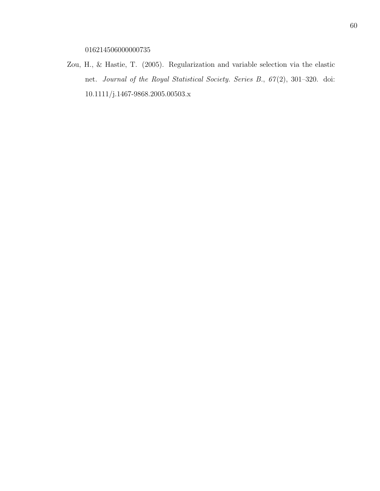016214506000000735

Zou, H., & Hastie, T. (2005). Regularization and variable selection via the elastic net. Journal of the Royal Statistical Society. Series B., 67 (2), 301–320. doi: 10.1111/j.1467-9868.2005.00503.x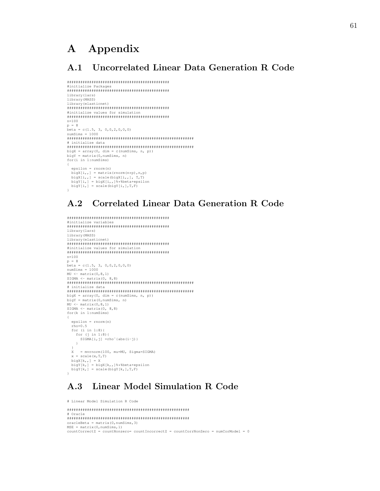# A Appendix

### A.1 Uncorrelated Linear Data Generation R Code

```
##############################################
#initialize Packages
##############################################
library(lars)
library(MASS)
library(elasticnet)
##############################################
#initialize values for simulation
##############################################
n=100
p = 8
beta = c(1.5, 3, 0,0,2,0,0,0)
numSims = 1000
#########################################################
# initialize data
#########################################################
bigX = array(0, dim = c(numSims, n, p))
bigY = matrix(0,numSims, n)
for(i in 1:numSims)
{
  epsilon = rnorm(n)
  bigX[i,, ] = matrix(rnorm(n*p), n,p)bigX[i,,] = scale(bigX[i,,], T,T)
bigY[i,] = bigX[i,,]%*%beta+epsilon
bigY[i,] = scale(bigY[i,],T,F)
}
```
## A.2 Correlated Linear Data Generation R Code

```
##############################################
#initialize variables
##############################################
library(lars)
library(MASS)
library(elasticnet)
##############################################
#initialize values for simulation
##############################################
n=100
p = 8
beta = c(1.5, 3, 0, 0, 2, 0, 0, 0)numSims = 1000MU <- matrix(0,8,1)
SIGMA <- matrix(0, 8,8)
#########################################################
# initialize data
#########################################################
bigX = array(0, dim = c(numSims, n, p))
bigY = matrix(0,numSims, n)
MU <- matrix(0,8,1)
SIGMA <- matrix(0, 8,8)<br>for(k in 1:numSims)
{
 epsilon = rnorm(n)rho=0.5for (i in 1:8){
     for (j in 1:8){<br>SIGMA[i, j] =rho^{abs(i-j)}
    }
  }
 X = mvrnorm(100, mu=MU, Sigma=SIGMA)x = scale(x, T, T)bigX[k,,] = X
bigY[k,] = bigX[k,,]%*%beta+epsilon
 bigY[k,] = scale(bigt[k,],T,F)}
```
## A.3 Linear Model Simulation R Code

```
# Linear Model Simulation R Code
#######################################################
# Oracle
#######################################################
oracleBeta = matrix(0,numSims,3)
MSE = matrix(0, numSims, 1)countCorrectZ = countNonzero = countIncorrectZ = countCorrNonZero = numCorMode1 = 0
```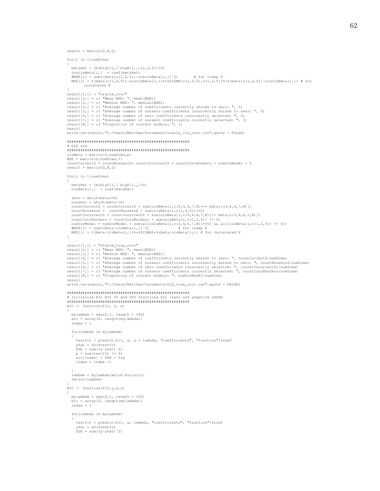```
result = matrix(0, 8, 2)
```

```
for(i in 1:numSims)
{
  betaHat = lm(bigY[i, j"bigX[i, c(1,2,5)]+0)oracleBeta[i,] = coef(betaHat)<br>#MSE[i] = sum((beta[c(1,2,5)]-oracleBeta[i,])^2) = # for indep X<br>MSE[i] = t(beta[c(1,2,5)]-oracleBeta[i,])%*%SIGMA[c(1,2,5),c(1,2,5)]%*%(beta[c(1,2,5)]-oracleBeta[i,]) # for
          correlated X
}
result[1,1] = "oracle_corr"
result[2,] = c( "Mean MSE: ", mean(MSE))
result[3,] = c( "Median MSE: ", median(MSE))
result[4,] = c( "Average number of coefficients correctly shrunk to zero: ", 5)<br>result[5,] = c( "AVerage number of nonzero coefficients incorrectly shrunk to zero: ", 0)<br>result[6,] = c( "Average number of zero coefficients
result[8,] = c( "Proportion of correct models: ", 1)
result
write.csv(result,"C:/Users/Matthew/Documents/oracle_lin_corr.csv",quote = FALSE)
#######################################################
# OLS sim
#######################################################
olsBeta = matrix(0,numSims,p)
MSE = matrix(0,numSims,1)
countCorrectZ = countNonzeroZ= countIncorrectZ = countCorrNonZero = numCorModel = 0
result = matrix(0,8,2)
for(i in 1:numSims)
{
  betaHat = lm(bigY[i, ]"bigX[i, ]+0)olsBeta[i,] = coef(betaHat)
  zero = which(beta==0)
  nonzero = which(beta != 0)countCorrectZ = countCorrectZ + sum(olsBeta[i,c(3,4,6,7,8)]== beta[c(3,4,6,7,8)])<br>countNonzeroZ = countNonzeroZ + sum(olsBeta[i,c(1,2,5)]==0)<br>countIncorrectZ = countIncorrectZ + sum(olsBeta[i,c(3,4,6,7,8)]!= beta[c(3,4,6,7
  countCorrNonZero = countCorrNonZero + sum(olsBeta[i, c(1, 2, 5)] != 0)
   numCorModel = numCorModel + sum(all(olsBeta[i,c(3,4,6,7,8)]==0) && all(olsBeta[i,c(1,2,5)] != 0))<br>#MSE[i] = sum((beta-olsBeta[i,])↑2)<br>MSE[i] = t(beta-olsBeta[i,])$**SIGMA%*$(beta-olsBeta[i,]) # for correlated X
}
result[1,1] = "OLSsim_true_corr"
result[2,] = c( "Mean MSE: ", mean(MSE))
result[3,] = c( "Median MSE: ", median(MSE))
result[4,] = c( "Average number of coefficients correctly shrunk to zero: ", countCorrectZ/numSims)
result[5,] = c( "AVerage number of nonzero coefficients incorrectly shrunk to zero: ", countNonzeroZ/numSims)<br>result[6,] = c( "Average number of zero coefficients incorrectly selected: ", (countIncorrectZ)/numSims)<br>result[
result
write.csv(result,"C:/Users/Matthew/Documents/OLS_true_corr.csv",quote = FALSE)
#######################################################
# initialize AIC BIC CV and GCV functions for lasso and adaptive LASSO
#######################################################
AIC \leftarrow function(fit, y, x)
{
  mylambda = seq(0,1, length = 100)
  \text{aic} = \text{array}(0, \text{ length}(\text{mylambda}))index = 1
  for(lambda in mylambda)
   {
     testfit = predict(fit, x, s = lambda, "coefficients", "fraction")$coef
      yhat = x%*%testfit
SSE = sum((y-yhat)ˆ2)
     p = sum(testfit != 0)aic/index1 = SSE + 2*Dindex = index +1}
lambda = mylambda[which.min(aic)]
  return(lambda)
}
BIC <- function(fit,y,x,n)
{
  mylambda = seq(0, 1, lenqth = 100)bic = array(0, length(mylambda))
  index = 1for(lambda in mylambda)
   {
     testfit = predict(fit, x, lambda, "coefficients", "fraction")$coef
      yhat = x%*%testfit
SSE = sum((y-yhat)ˆ2)
```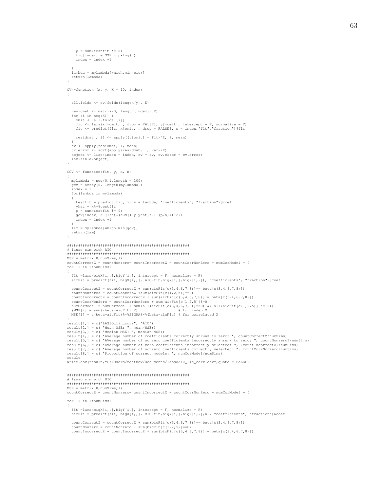```
63
```

```
p = sum(testfit != 0)
     bic[index] = SSE + p*log(n)index = index +1}
lambda = mylambda[which.min(bic)]
  return(lambda)
}
CV<-function (x, y, K = 10, index){
  all.folds <- cv.folds(length(y), K)
  residmat <- matrix(0, length(index), K)
  for (i in seq(K)) {
    omit <- all.folds[[i]]
     fit <- lars(x[-omit, , drop = FALSE], y[-omit], intercept = F, normalize = F)
fit <- predict(fit, x[omit, , drop = FALSE], s = index,"fit","fraction")$fit
    residmat[, i] <- apply((y[omit] - fit)^2, 2, mean)
  }
   cv <- apply(residmat, 1, mean)<br>cv.error <- sqrt(apply(residmat, 1, var)/K)<br>object <- list(index = index, cv = cv, cv.error = cv.error)
  invisible(object)
}
GCV \leftarrow function(fit, y, x, n)
{
  mylambda = \sec(0.1, length = 100)
  gcv = array(0, length(mylambda))index = 1
  for(lambda in mylambda)
   {
    testfit = predict(fit, x, s = lambda, "coefficients", "fraction")$coef
    yhat = x *** testfit
     p = sum(testit != 0)qcv[index] = (1/n)*(sum((v-vhat)/(1-(p/n)))^2)]
    index = index +1}
lam = mylambda[which.min(gcv)]
  return(lam)
}
#######################################################
# lasso sim with AIC
#######################################################
MSE = matrix(0, numSims, 1)countCorrectZ = countNonzero= countIncorrectZ = countCorrNonZero = numCorModel = 0
for( i in 1:numSims)
{
  fit =lars(bigX(i,1,b)igY(i,1, j) intercept = F, normalize = F)
  aicFit = predict(fit, bigX[i,,], AIC(fit,bigX[i,],bigX[i,,]), "coefficients", "fraction")$coef
  countCorrectZ = countCorrectZ + sum(aicFit[c(3,4,6,7,8)]=- beta[c(3,4,6,7,8)])
  countNonzeroZ = countNonzeroZ + sum(aicFit[c(1,2,5)]=-0)countIncorrectZ = countIncorrectZ + sum(aicFit[c(3,4,6,7,8)]!= beta[c(3,4,6,7,8)])
countCorrNonZero = countCorrNonZero + sum(aicFit[c(1,2,5)]!=0)
   numCorModel = numCorModel + sum(all(aicFit[c(3,4,6,7,8)]==0) && all(aicFit[c(1,2,5)] != 0))<br>#MSE[i] = sum((beta-aicFit)^2)<br>MSE[i] = t(beta-aicFit)%*%SIGMA%*%(beta-aicFit) # for correlated X
}
result[1,] = c("LASSO_lin_corr", "AIC")
result[2,] = c( "Mean MSE: ", mean(MSE))
result[3,] = c( "Median MSE: ", median(MSE))
result[4,] = c( "Average number of coefficients correctly shrunk to zero: ", countCorrectZ/numSims)<br>result[5,] = c( "AVerage number of nonzero coefficients incorrectly shrunk to zero: ", countNonzeroZ/numSims)<br>result[6,] =
result[8,] = c( "Proportion of correct models: ", numCorModel/numSims)
result
write.csv(result,"C:/Users/Matthew/Documents/lassoAIC_lin_corr.csv",quote = FALSE)
#######################################################
# lasso sim with BIC
#######################################################
MSE = matrix(0, numSims, 1)countCorrectZ = countNonzero= countIncorrectZ = countCorrNonZero = numCorModel = 0
for( i in 1:numSims)
{
   fit =lars(bigX[i,,],bigY[i,], intercept = F, normalize = F)
bicFit = predict(fit, bigX[i,,], BIC(fit,bigY[i,],bigX[i,,],n), "coefficients", "fraction")$coef
```

```
countCorrectZ = countCorrectZ + sum(bicFit[c(3,4,6,7,8)]== beta[c(3,4,6,7,8)])
countNonzero = countNonzero + sum(bicFit[c(1,2,5)]=0)
countIncorrectZ = countIncorrectZ + sum(bicFit[c(3,4,6,7,8)]] = beta[c(3,4,6,7,8)])
```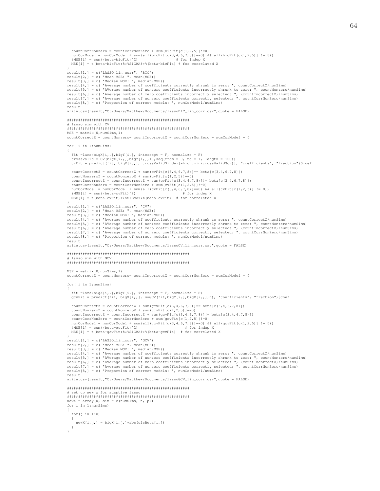```
countCorrNonZero = countCorrNonZero + sum(bicFit[c(1,2,5)]!=0)
   numCorModel = numCorModel + sum(all(bicFit[c(3,4,6,7,8)]==0) && all(bicFit[c(1,2,5)] != 0))
#MSE[i] = sum((beta-bicFit)ˆ2) # for indep X
  MSE[i] = t(beta-bicFit)**SIGMA***(beta-bicFit) # for correlated X}
result[1,] = c("LASSO_lin_corr", "BIC")
result[2,] = c( "Mean MSE: ", mean(MSE))<br>result[3,] = c( "Median MSE: ", median(MSE))<br>result[4,] = c( "Average number of coefficients correctly shrunk to zero: ", countCorrectZ/numSims)
result[5,] = c( "AVerage number of nonzero coefficients incorrectly shrunk to zero: ", countNonzero/numSims)<br>result[6,] = c( "Average number of zero coefficients incorrectly selected: ", (countIncorrect2)/numSims)<br>result[7
result[8,] = c( "Proportion of correct models: ", numCorModel/numSims)
result
write.csv(result,"C:/Users/Matthew/Documents/lassoBIC_lin_corr.csv",quote = FALSE)
#######################################################
   lasso sim with CV
#######################################################
MSE = matrix(0, numSims, 1)countCorrectZ = countNonzero= countIncorrectZ = countCorrNonZero = numCorModel = 0
for( i in 1:numSims)
{
  fit =lars(bigX[i,,],bigY[i,], intercept = F, normalize = F)
  crossValid = CV(bigX[i,],bigY[i,],10,seq(from = 0, to = 1, length = 100))cvFit = predict(fit, bigX[i,,], crossValid$index[which.min(crossValid$cv)], "coefficients", "fraction")$coef
  countCorrectZ = countCorrectZ + sum(cvFit[c(3,4,6,7,8)]== beta[c(3,4,6,7,8)])
   countNonzeroZ = countNonzeroZ + sum(cvFit[c(1,2,5)]==0)<br>countIncorrectZ = countIncorrectZ + sum(cvFit[c(3,4,6,7,8)]!= beta[c(3,4,6,7,8)])<br>countCorrNonZero = countCorrNonZero + sum(cvFit[c(1,2,5)]!=0)
   numCorModel = numCorModel + sum(all(cvFit[c(3,4,6,7,8)]==0) && all(cvFit[c(1,2,5)] != 0))
#MSE[i] = sum((beta-cvFit)ˆ2) # for indep X
  MSE[i] = sum((beta-cvFit)^2) # for indep X<br>MSE[i] = t(beta-cvFit)^{2*} $5IGMA**&(beta-cvFit) # for correlated X
}
result[1,] = c("LASSO_lin_corr", "CV")
result[2,] = c( "Mean MSE: ", mean(MSE))
result[3,] = c( "Median MSE: ", median(MSE))
result[4,] = c( "Average number of coefficients correctly shrunk to zero: ", countCorrectZ/numSims)
result[5,] = c( "AVerage number of nonzero coefficients incorrectly shrunk to zero: ", countNonzero/numSims)<br>result[6,] = c( "Average number of zero coefficients incorrectly selected: ", (countIncorrect2)/numSims)<br>result[7
result[8,] = c( "Proportion of correct models: ", numCorModel/numSims)
result
write.csv(result,"C:/Users/Matthew/Documents/lassoCV_lin_corr.csv",quote = FALSE)
#######################################################
# lasso sim with GCV
#######################################################
MSE = matrix(0, numSims, 1)countCorrectZ = countNonzero = countIncorrectZ = countCorrNonZero = numCorrModel = 0for( i in 1:numSims)
{
  fit =lars(bigX[i,,],bigY[i,], intercept = F, normalize = F)
  gcvFit = predict(fit, bigX[i,,], s=GCV(fit,bigY[i,],bigX[i,,],n), "coefficients", "fraction")$coef
  countCorrectZ = countCorrectZ + sum(gcvFit[c(3,4,6,7,8)] == beta[c(3,4,6,7,8)])countNonzeroZ = countNonzeroZ + sum(gcvFit[c(1,2,5)]==0)
countIncorrectZ = countIncorrectZ + sum(gcvFit[c(3,4,6,7,8)]!= beta[c(3,4,6,7,8)])
countCorrNonZero = countCorrNonZero + sum(gcvFit[c(1,2,5)]!=0)
   numCorModel = numCorModel + sum(all(gcvFit[c(3,4,6,7,8)]==0) && all(gcvFit[c(1,2,5)] != 0))
#MSE[i] = sum((beta-gcvFit)ˆ2) # for indep X
  MSE[i] = t(beta-gcvFit)%*%SIGMA%*%(beta-gcvFit) # for correlated X
}
result[1,] = c("LASSO_lin_corr", "GCV")
result[2,] = c( "Mean MSE: ", mean(MSE))
result[3,] = c( "Median MSE: ", median(MSE))
result[4,] = c ("Average number of coefficients correctly shrunk to zero: ", countCorrectZ/numSims)
result[5,] = c( "AVerage number of nonzero coefficients incorrectly shrunk to zero: ", countNonzero/numSims)<br>result[6,] = c( "Average number of zero coefficients incorrectly selected: ", (countIncorrectZ)/numSims)<br>result[7
result
write.csv(result,"C:/Users/Matthew/Documents/lassoGCV_lin_corr.csv",quote = FALSE)
#######################################################
# set up new x for adaptive lasso
#######################################################
newX = array(0, dim = c(numSims, n, p))for(i in 1:numSims)
{
  for(j in 1:n)
   {
    newX[i, j,] = bigX[i, j,]\times abs(olsBeta[i,])
```
} }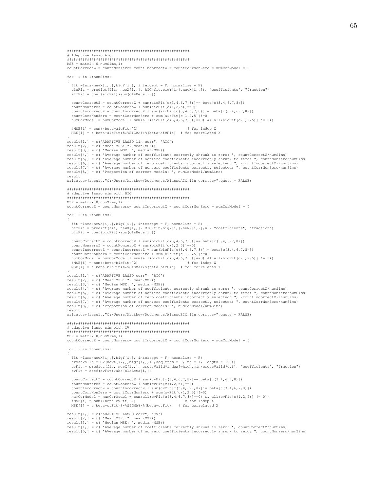```
# Adaptive lasso Aic
MSE = matrix(0, numSims, 1)countCorrectZ = countNonzero = countIncorrectZ = countCorrNonZero = numCorModel = 0for ( i in 1:numSims)
  fit =lars(newX[i,,],bigY[i,], intercept = F, normalize = F)
  \texttt{aicFit} = predict(fit, newX[i,,], AIC(fit, bigY[i,], newX[i,,]), "coefficients", "fraction")
  aicFit = coef(aicFit) * abs(olsBeta[i, !))countCorrectZ = countCorrectZ + sum(aicFit[c(3,4,6,7,8)] == beta[c(3,4,6,7,8)])countNonzeroZ = countNonzeroZ + sum(aicFit[c(1, 2, 5)]=-0)
  countIncorrectZ = countIncorrectZ + sum(aicFit[c(3, 4, 6, 7, 8)]!= beta[c(3, 4, 6, 7, 8)])countCorrNonZero = countCorrNonZero + sum(aicFit [c(1, 2, 5)]] = 0)numCorModel = numCorModel + sum(all(aicFit[c(3,4,6,7,8)] == 0) & \& all(aicFit[c(1,2,5))] != 0))MNF[i] = \text{sum}(beta-a-iF[i])# for indep Y
 MSE[i] = t(beta-aicFit)**SIGMA**(beta-aicFit) # for correlated Xresult[1,1] = c("ADAPTIVE LASSO lin corr", "AIC")result[1, j = c ( ADAR 11VE BROOD 110 COIL , ...)<br>result[2,] = c ( "Mean MSE: ", mean (MSE))<br>result[3,] = c ( "Median MSE: ", median (MSE))
result [4] = c( "Average number of coefficients correctly shrunk to zero: ", countCorrectZ/numSims)<br>result [5] = c( "Average number of nonzero coefficients incorrectly shrunk to zero: ", countNonzero/numSims)
result [6, ] = c( "Average number of zero coefficients incorrectly selected: ", (countIncorrectZ)/numSims)<br>result [7, ] = c( "Average number of zero coefficients incorrectly selected: ", (countIncorrectZ)/numSims)
result [8,] = c( "Proportion of correct models: ", numCorModel/numSims)
result
write.csv(result,"C:/Users/Matthew/Documents/AlassoAIC lin corr.csv", quote = FALSE)
# adaptive lasso sim with BIC
MSE = matrix(0, numSims, 1)countCorrectZ = countNonzero = countIncorrectZ = countCorrNonZero = numCorModel = 0for(i in 1:numSims)fit =lars(newX[i,,],bigY[i,], intercept = F, normalize = F)<br>bicFit = predict(fit, newX[i,,], BIC(fit,bigY[i,],newX[i,,],n), "coefficients", "fraction")
  bicFit = \text{coef}(\text{bicFit}) * \text{abs}(\text{olsBeta}[i,])countCorrectZ = countCorrectZ + sum(bicFit[c(3, 4, 6, 7, 8)] == beta[c(3, 4, 6, 7, 8)])countNonzeroZ = countNonzeroZ + sum(bicFit[c(1, 2, 5)]=0)countIncorrectZ = countIncorrectZ + sum(bicFit[c(3,4,6,7,8)]! = beta[c(3,4,6,7,8)])<br>countCorrNonZero = countCorrNonZero + sum(bicFit[c(1,2,5)]!=0)
  numCorModel = numCorModel + sum (all (bicFit[ c(3,4,6,7,8)] == 0) & all (bicFit[c(1,2,5)] != 0))# for indep X
  \begin{array}{lll} \text{\#MSE[i]} = \text{sum} \left( \text{beta-bicFit} \right) \text{?} & \text{\#} \text{ for indep X} \\ \text{MSE[i]} = \text{t(beta-bicFit)} \text{?} \text{*.} \text{SIGMA} \text{?} \text{?} \text{ (beta-bicFit)} & \text{\#} \text{ for correlated X} \end{array}result[1,] = c("ADAPTIVE LASSO corr", "BIC")
result[2,]=c( "Mean MSE: ", mean (MSE))<br>result[3,] = c( "Mean MSE: ", mean (MSE))<br>result[3,] = c( "Median MSE: ", median (MSE))<br>result[4,] = c( "Average number of coefficients correctly shrunk to zero: ", countCorrectZ/numSim
result [5, ] = c("AVerage number of nonzero coefficients incorrectly shrunk to zero: ", countNonzero/numSims)
result[6,] = c( "Average number of zero coefficients incorrectly selected: ", (countIncorrectZ)/numSims)<br>result[7,] = c( "Average number of nonzero coefficients correctly selected: ", countCorrNonZero/numSims)
result[8] = c ("Proportion of correct models: ", numCorModel/numSims)
resultwrite.csv(result,"C:/Users/Matthew/Documents/AlassoBIC lin corr.csv", quote = FALSE)
# adaptive lasso sim with CV
MSE = matrix(0, numSims, 1)countCorrectZ = countNonzero = countIncorrectZ = countCorrNonZero = numCorModel = 0for (i in 1:numSims)
  fit =lars(newX[i,,],bigY[i,], intercept = F, normalize = F)<br>crossValid = CV(newX[i,],bigY[j,1],0,seq(from = 0, to = 1, length = 100))cvFit = predict(fit, newX[i,,], crossValid$index[which.min(crossValid$cv)], "coefficients", "fraction")
  cvFit = coef(cvfit)*abs(olsBeta[i, l))countCorrectZ = countCorrectZ + sum(cvFit[c(3,4,6,7,8)]== beta[c(3,4,6,7,8)])
  countNonzeroZ = countNonzeroZ + sum(cvFit[c(1, 2, 5)]=0)<br>countIncorrectZ = countIncorrectZ + sum(cvFit[c(3, 4, 6, 7, 8)]!= beta[c(3, 4, 6, 7, 8)])
  \texttt{countCorrNonZero = countCorrNonZero + sum(cvFit[c(1, 2, 5) ] != 0)}\text{number} counterparticle in the same set of \text{sum}(\text{cylz}, \text{cylz}). \text{sum}(\text{cylz}, \text{cylz}) = 0)<br>
\text{max}(\text{cylz}, \text{cylz}) = 0) \text{max}(\text{cylz}, \text{cylz}) = 0) \text{max}(\text{cylz}, \text{cylz}) = 0) \text{max}(\text{cylz}, \text{cylz}) = 0) \text{max}(\text{cylz}, \text{cylz})"<br>result[1,] = c("ADAPTIVE LASSO corr", "CV")<br>result[2,] = c( "Mean MSE: ", mean(MSE))<br>result[3,] = c( "Median MSE: ", median(MSE))
result[4,] = c( "Average number of coefficients correctly shrunk to zero: ", countCorrectZ/numSims)<br>result[4,] = c( "Average number of coefficients correctly shrunk to zero: ", countNonzero/numSims)
```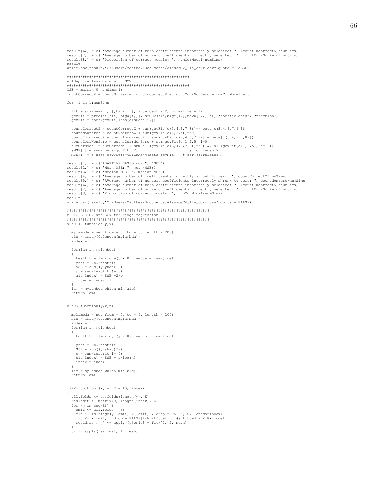```
result[6,] = c( "Average number of zero coefficients incorrectly selected: ", (countIncorrectZ)/numSims)<br>result[7,] = c( "Average number of nonzero coefficients correctly selected: ", countCorrNonZero/numSims)
result[8,] = c( "Proportion of correct models: ", numCorModel/numSims)
result
write.csv(result,"C:/Users/Matthew/Documents/AlassoCV_lin_corr.csv", quote = FALSE)
# Adaptive lasso sim with GCV
MSE = matrix(0, numSims, 1)countCorrectZ = countNonzero = countIncorrectZ = countCorrNonZero = numCorModel = 0for ( i in 1:numSims)
  fit =lars(newX[i,,],bigY[i,], intercept = F, normalize = F)
  gcvFit = predict(fit, bigX[i,,], s=GCV(fit,bigY[i,],newX[i,,],n), "coefficients", "fraction")<br>gcvFit = coef(gcvFit)*abs(olsBeta[i,])
  countCorrectZ = countCorrectZ + sum(ocvFit[c(3, 4, 6, 7, 8)] == beta[c(3, 4, 6, 7, 8)])countNonzeroZ = countNonzeroZ + sum (gcvFit [c(1, 2, 5)]=-0)
  countIncorrectZ = countIncorrectZ + sum(gcvFit[c(3,4,6,7,8)]!= beta[c(3,4,6,7,8)])<br>countIncorrectZ = countIncorrectZ + sum(gcvFit[c(3,4,6,7,8)]!= beta[c(3,4,6,7,8)])
  \frac{1}{2} numCorModel = numCorModel + sum(all(gcvFit[c(3,4,6,7,8)]=0) & all(gcvFit[c(1,2,5)] != 0))<br>#MSE[i] = sum((beta-gcvFit)^2)    #for indep X
  MSE[i] = t(beta-qovFit)**SIGMA**8(beta-qovFit) # for correlated X
"<br>result [1, ] = c("ADAPTIVE LASSO corr", "GCV")<br>result [2, ] = c( "Mean MSE: ", mean (MSE))<br>result [3, ] = c( "Median MSE: ", median (MSE))
result[4,] = c( "Average number of coefficients correctly shrunk to zero: ", countCorrectZ/numSims)
result[4,] = c( "Average number of nonzero coefficients incorrectly shrunk to zero: ", countNonzero/numSims)<br>result[6,] = c( "Average number of nonzero coefficients incorrectly selected: ", (countIncorrectZ)/numSims)<br>resu
result[8,] = c( "Proportion of correct models: ", numCorModel/numSims)
result
write.csv(result."C:/Users/Matthew/Documents/AlassoGCV lin corr.csv".guote = FALSE)
# ATC BIC CV and GCV for ridge regression
aicR \leftarrow function(y, x)mylambda = seq(from = 0, to = 5, length = 200)\texttt{aic} = \texttt{array}(0, \texttt{length}(\texttt{mylambda}))index = 1for (lam in mylambda)
    testfit = lm.ridge(y^*x+0, lambda = lam)$coef
    yhat = x% * $testfit<br>SSE = sum ((y-yhat) ^2)
    p = sum(testit != 0)\text{aic}[index] = SSE +2*p
    index = index +1lam = mylambda [which.min(aic)]
  return (lam)
bick-function(y, x, n)
  mylambda = seq(from = 0, to = 5, length = 200)bic = array(0, length(mylambda))index = 1for (lam in mylambda)
    testfit = lm.ridge(y^*x+0, lambda = lam) $coef
    yhat = x ***testfit
    SSE = sum((y-yhat)'2)p = sum(testfit != 0)bic/index] = SSE + p*log(n)index = index + 1lam = mvlambda[which.min(bic)]return (lam)\bar{1}cvR < - function (x, y, K = 10, index)€
  all.folds \leq cv.folds (length (v), K)
  residmat <- matrix (0, length (index), K)
  for (j \text{ in } seq(K)) {
    omit <- all.folds[[j]]
    fit <- lm.ridge(y[-omit]"x[-omit, , drop = FALSE]+0, lambda=index)<br>fit <- lm.ridge(y[-omit]"x[-omit, , drop = FALSE]***fitted = X *** coef<br>residmat[, j] <- apply((y[omit] - fit)"2, 2, mean)
  cv <- apply(residmat, 1, mean)
```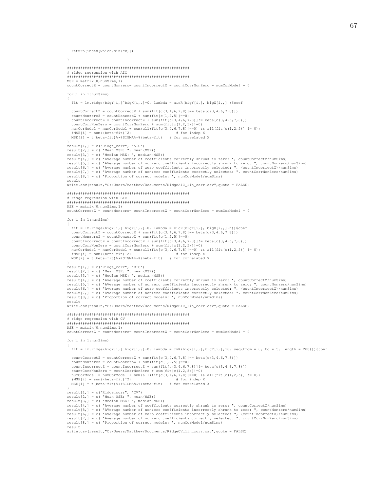return(index[which.min(cv)])

```
\bar{1}# ridge regression with AIC
MSE = matrix(0, numSims, 1)countCorrectZ = countNonzero = countIncorrectZ = countCorrNonZero = numCorModel = 0for (i in 1:numSims)
  fit = lm.ridge(bigY[i, ] "bigX[i, , ]+0, lambda = aicR(bigY[i, ], bigX[i, , ]))$coef
  countCorrectZ = countCorrectZ + sum(fit[c(3,4,6,7,8)]== beta[c(3,4,6,7,8)])
  countNonzeroZ = countNonzeroZ + sum (fit [c(1, 2, 5)]=0)
  countIncorrectZ = countIncorrectZ + sum(fit(c(3,4,6,7,8))!= beta[c(3,4,6,7,8)]countCorrNonZero = countCorrNonZero + sum(fit[c(1, 2, 5)]]=0)numCorModel = numCorModel + sum(all(fit[c(3,4,6,7,8)] == 0) & & all(fit[c(1,2,5)] != 0))H \text{MSE}[\text{i}] = \text{sum} (\text{beta-fit})^2# for indep X
  MSE[i] = t(beta-fit)**SIGMA**(beta-fit) # for correlated X
"<br>result[1,] = c("Ridge_corr", "AIC")<br>result[2,] = c( "Mean MSE: ", mean(MSE))<br>result[3,] = c( "Median MSE: ", median(MSE))
result [4,] = c ("Average number of coefficients correctly shrunk to zero: ", countCorrectZ/numSims)
result [5, ] = c( "Average number of nonzero coefficients incorrectly shrunk to zero: ", countNonzero/numSims)<br>result [6, ] = c( "Average number of nonzero coefficients incorrectly shrunk to zero: ", countNonzero/numSims)<br>r
result[8,] = c( "Proportion of correct models: ", numCorModel/numSims)
result
write.csv(result,"C:/Users/Matthew/Documents/RidgeAIC_lin_corr.csv", quote = FALSE)
# ridge regression with BIC
MSE = matrix(0, numSims, 1)countCorrectZ = countNonzero = countIncorrectZ = countCorrNonZero = numCorModel = 0for (i in 1:numSims)
 fit = lm.ridge(bigY[i,]"bigX[i,,]+0, lambda = bicR(bigY[i,], bigX[i,,],n))$coef<br>countCorrectZ = countCorrectZ + sum(fit[c(3,4,6,7,8)]== beta[c(3,4,6,7,8)])<br>countNonzeroZ = countNonzeroZ + sum(fit[c(1,2,5)]==0)<br>countIncorr
  countCorrNonZero = countCorrNonZero + sum(fit[c(1, 2, 5)]]=0)numCorModel = numCorModel + sum(all(fit[c(3,4,6,7,8)]==0) & all(fit[c(1,2,5)] != 0))<br>#MSE[i] = sum((beta-fit)^2) # for indep X
  MSE[i] = t(beta-fit)**SIGMA**(beta-fit) # for correlated X
,<br>result[1,] = c("Ridge_corr", "BIC")<br>result[2,] = c( "Mean MSE: ", mean(MSE))<br>result[3,] = c( "Median MSE: ", median(MSE))
result[4,] = c( "Average number of coefficients correctly shrunk to zero: ", countCorrectZ/numSims)
result [5,] = c ("Average number of nonzero coefficients incorrectly shrunk to zero: ", countNonzero/numSims)<br>result [5,] = c ("Average number of nonzero coefficients incorrectly shrunk to zero: ", countNonzero/numSims)<br>r
result[8,] = c( "Proportion of correct models: ", numCorModel/numSims)
result
write.csv(result,"C:/Users/Matthew/Documents/RidgeBIC lin corr.csv", quote = FALSE)
# ridge regression with CV
MSE = matrix(0, numSims, 1)countCorrectZ = countNonzero = countIncorrectZ = countCorrNonZero = numCorModel = 0for (i in 1:numSims)
 fit = lm.ridge(bigY[i,]"bigX[i,,]+0, lambda = cvR(bigX[i,,],bigY[i,],10, seq(from = 0, to = 5, length = 200)))$coef
  countCorrectZ = countCorrectZ + sum(fit[c(3.4.6.7.8)] == beta[c(3.4.6.7.8)])countNonzeroZ = countNonzeroZ + sum(fit(c(1, 2, 5))]==0)
  countIncorrectZ = countIncorrectZ + sum(fit[c(3, 4, 6, 7, 8)]!= beta[c(3, 4, 6, 7, 8)])countCorrNonZero = countCorrNonZero + sum(fit[c(1,2,5)]!=0)<br>numCorModel = numCorModel + sum(all(fit[c(3,4,6,7,8)]==0) && all(fit[c(1,2,5)] != 0))
  $MSE[i] = sum((beta-fit)^2)# for indep X
 MSE[i] = t(beta-fit)**SIGMA**(beta-fit) # for correlated X
result [1,] = c("Ridge\_corr", "CV")<br>result [2,] = c("Mean MSE: ", mean(MSE))<br>result [3,] = c("Median MSE: ", median(MSE))result[4,] = c ("Average number of coefficients correctly shrunk to zero: ", countCorrectZ/numSims)
result [5,]=c ("Average number of nonzero coefficients incorrectly shrunk to zero: ", countNonzero/numSims)<br>result [6,]=c ("Average number of nonzero coefficients incorrectly shrunk to zero: ", countNonzero/numSims)<br>res
result[8,] = c( "Proportion of correct models: ", numCorModel/numSims)
result
write.csv(result,"C:/Users/Matthew/Documents/RidgeCV lin corr.csv", quote = FALSE)
```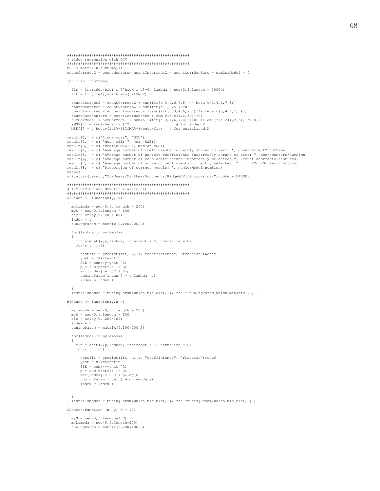```
#######################################################
# ridge regression with GCV
#######################################################
\texttt{MSE = matrix} (0, \texttt{numSims}, 1)countCorrectZ = countNonzero= countIncorrectZ = countCorrNonZero = numCorModel = 0
for(i in 1:numSims)
{
  fit = lm.ridge(bigY[i,]~$bigX[i,],] +0, lambda = seq(0,5, length = 1000))fit = fit$coef[,which.min(fit$GCV)]
   countCorrectZ = countCorrectZ + sum(fit[c(3, 4, 6, 7, 8)] == beta[c(3, 4, 6, 7, 8)])<br>countNonzeroZ = countNonzeroZ + sum(fit[c(1,2,5)]==0)
   countIncorrectZ = countIncorrectZ + sum(fit[c(3,4,6,7,8)]!= beta[c(3,4,6,7,8)])
countCorrNonZero = countCorrNonZero + sum(fit[c(1,2,5)]!=0)
  numCorModel = numCorModel + sum(all(fit[c(3,4,6,7,8)]==0) && all(fit[c(1,2,5)] != 0))<br>#MSE[i] = sum((beta-fit)^2) # for indep X
  H \setminus F = \text{sum}(\text{beta-fit})^2MSE[i] = t(beta-fit)%*%SIGMA%*%(beta-fit) # for correlated X
}
result[1,] = c("Ridge_corr", "GCV")
result[2,] = c( "Mean MSE: ", mean(MSE))
result[3,] = c( "Median MSE: ", median(MSE))
result[4,] = c( "Average number of coefficients correctly shrunk to zero: ", countCorrectZ/numSims)<br>result[5,] = c( "Average number of nonzero coefficients incorrectly shrunk to zero: ", countNonzero/numSims)<br>result[6,] = 
result
write.csv(result,"C:/Users/Matthew/Documents/RidgeGCV_lin_corr.csv",quote = FALSE)
#######################################################
# AIC BIC CV and GCV for elastic net
#######################################################
AICenet <- function(y, x)
{
  mylambda = seq(0,5, length = 200)
   myS = seq(0,1,length = 100)
aic = array(0, 200*100)
  index = 1
  tuningParam = matrix(0,100*200,2)for(lambda in mylambda)
   {
    fit = enet(x, y, lambda, intercept = F, normalize = F)
     for(s in myS)
     {
       testfit = predict(fit, x, s, "coefficients", "fraction")$coef
       yhat = x***testfit
        SSE = sum((y-yhat)ˆ2)
p = sum(testfit != 0)
        \text{aic}[\text{index}] = \text{SSE} + 2 \star \text{p}tuningParam/index,] = c(lambda, s)
       index = index +1}
   }
list("lambda" = tuningParam[which.min(aic),1], "s" = tuningParam[which.min(aic),2] )
}
BICenet <- function(y,x,n)
{
  mylambda = seq(0,5, length = 200)
  mYS = \text{seq}(0, 1, \text{length} = 100)bic = array(0, 200*100)index = 1
  tuningParam = matrix(0,100*200,2)for(lambda in mylambda)
  {
    fit = enet(x, y,lambda, intercept = F, normalize = F)
     for(s in myS)
     {
        testfit = predict(fit, x, s, "coefficients", "fraction")$coef<br>yhat = x%*%testfit
       SSE = sum((y-yhat)^2)p = sum(testfit != 0)
bic[index] = SSE + p*log(n)
       tuningParam[index,] = c(lambda,s)
       index = index +1}
   }
list("lambda" = tuningParam[which.min(bic),1], "s" =tuningParam[which.min(bic),2] )
}
CVenet <- function (x, y, K = 10){
  mYS = seq(0, 1, length=100)myLambda = seq(0,5,length=200)
tuningParam = matrix(0,200*100,2)
```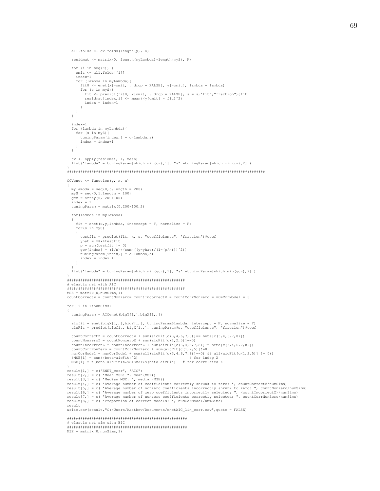```
all.folds <- cv.folds(length(y), K)
```

```
residmat <- matrix(0, length(myLambda)*length(myS), K)
```

```
for (i in seq(K)) {
     omit <- all.folds[[i]]
     index=1
     for (lambda in myLambda){
        fit0 <- enet(x[-omit, , drop = FALSE], y[-omit], lambda = lambda)
        for (s in myS){
           fit <- predict(fit0, x[omit, , drop = FALSE], s = s,"fit","fraction")$fit<br>residmat[index,i] <- mean((y[omit] - fit)^2)
          index = index + 1}
    }
  \lambdaindex=1
  for (lambda in myLambda){
    for (s in myS){
       tuningParam[index,] = c(lambda,s)
       index = index + 1}
  }
  cv <- apply(residmat, 1, mean)
  list("lambda" = tuningParam[which.min(cv),1], "s" =tuningParam[which.min(cv),2] )
}
#########################################################################################
GCVenet <- function(y, x, n)
{
  mylambda = seq(0, 5, length = 200)\text{mvS} = \text{seq}(0, 1, \text{length} = 100)gcv = array(0, 200*100)index = 1
  tuningParam = matrix(0, 200*100, 2)for(lambda in mylambda)
  {
     fit = enet(x, y, lambda, intercept = F, normalize = F)
     for(s in myS)
     {
        testfit = predict(fit, x, s, "coefficients", "fraction")$coef<br>yhat = x%*%testfit
       p = sum(testit != 0)gcv[index] = (1/n) * (sum((y- yhat) / (1-(p/n))))^2))<br>tuningParam[index,] = c(lambda,s)
       index = index +1}
   }
  list("lambda" = tuningParam[which.min(gcv),1], "s" =tuningParam[which.min(gcv),2] )
}
#####################################################
# elastic net with AIC
#####################################################
MSE = matrix(0, numSims, 1)countCorrectZ = countNonzero = countIncorrectZ = countCorrNonZero = numCorModel = 0for( i in 1:numSims)
{
  tuningParam = AICenet(bigY[i,],bigX[i,,])
   aicfit = enet(bigX[i,,],bigY[i,], tuningParam$lambda, intercept = F, normalize = F)
aicFit = predict(aicfit, bigX[i,,], tuningParam$s, "coefficients", "fraction")$coef
  \texttt{countCorrectZ = countCorrectZ + sum(aicFit[c(3,4,6,7,8)] == beta[c(3,4,6,7,8)])}countNonzeroZ = countNonzeroZ + sum(aierlet(c(1,2,5)) == 0)countIncorrectZ = countIncorrectZ + sum(aicFit[c(3,4,6,7,8)]!= beta[c(3,4,6,7,8)])
countCorrNonZero = countCorrNonZero + sum(aicFit[c(1,2,5)]!=0)
   numCorModel = numCorModel + sum(all(aicFit[c(3,4,6,7,8)]==0) && all(aicFit[c(1,2,5)] != 0))<br>#MSE[i] = sum((beta-aicFit)^2) # for indep X<br>MSE[i] = t(beta-aicFit)%*%SIGMA%*&(beta-aicFit) # for correlated X
}
result[1,] = c("ENET_corr", "AIC")
result[2,] = c( "Mean MSE: ", mean(MSE))
result[3,] = c( "Median MSE: ", median(MSE))
result[4,] = c( "Average number of coefficients correctly shrunk to zero: ", countCorrectZ/numSims)
result[5,] = c( "AVerage number of nonzero coefficients incorrectly shrunk to zero: ", countNonzero/numSims)
result[6,] = c( "Average number of zero coefficients incorrectly selected: ", (countIncorrectZ)/numSims)<br>result[7,] = c( "Average number of nonzero coefficients correctly selected: ", countCorrNonZero/numSims)<br>result[8,] =
result
write.csv(result,"C:/Users/Matthew/Documents/enetAIC_lin_corr.csv",quote = FALSE)
######################################################
# elastic net sim with BIC
######################################################
MSE = matrix(0,numSims,1)
```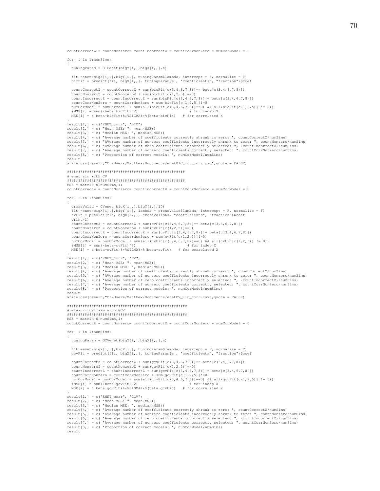$countCorrectZ = countNonzero = countIncorrectZ = countCorrNonZero = numCorModel = 0$ for( i in 1:numSims) { tuningParam = BICenet(bigY[i,],bigX[i,,],n) fit =enet(bigX[i,,],bigY[i,], tuningParam\$lambda, intercept = F, normalize = F) bicFit = predict(fit, bigX[i,,], tuningParam\$s , "coefficients", "fraction")\$coef countCorrectZ = countCorrectZ + sum(bicFit $[c(3,4,6,7,8)] == beta[c(3,4,6,7,8)])$  $countNonzeroZ = countNonzeroZ + sum(bicFit[c(1,2,5)]=-0)$ countIncorrectZ = countIncorrectZ + sum(bicFit[c(3,4,6,7,8)]!= beta[c(3,4,6,7,8)])  $\texttt{countCorrNonZero} \ = \ \texttt{countCorrNonZero} \ + \ \texttt{sum(bicFit[c(1,2,5)] != 0)}$ numCorModel = numCorModel + sum(all(bicFit[c(3,4,6,7,8)]==0) && all(bicFit[c(1,2,5)] != 0)) #MSE[i] = sum((beta-bicFit)ˆ2) # for indep X  $MSE[i]$  = t(beta-bicFit)%\*\$SIGMA%\*%(beta-bicFit) # for correlated X } result[1,] = c("ENET\_corr", "BIC") result[2,] = c( "Mean MSE: ", mean(MSE)) result[3,] = c( "Median MSE: ", median(MSE)) result[4,] = c( "Average number of coefficients correctly shrunk to zero: ", countCorrectZ/numSims) result[5,] = c( "AVerage number of nonzero coefficients incorrectly shrunk to zero: ", countNonzero/numSims)<br>result[6,] = c( "Average number of zero coefficients incorrectly selected: ", (countIncorrectZ)/numSims)<br>result[7 result write.csv(result,"C:/Users/Matthew/Documents/enetBIC\_lin\_corr.csv",quote = FALSE) ##################################################### # enet sim with CV ##################################################### MSE = matrix(0,numSims,1)  $countCorrectZ = countNonzero = countIncorrectZ = countCorrNonZero = numCorrModel = 0$ for( i in 1:numSims) { crossValid = CVenet(bigX[i,,],bigY[i,],10) fit =enet(bigX[i,,],bigY[i,], lambda = crossValid\$lambda, intercept = F, normalize = F) cvFit = predict(fit, bigX[i,,], crossValid\$s, "coefficients", "fraction")\$coef print(i) countCorrectZ = countCorrectZ + sum(cvFit[c(3,4,6,7,8)]== beta[c(3,4,6,7,8)]) countNonzeroZ = countNonzeroZ + sum(cvFit[c(1,2,5)]==0) countIncorrectZ = countIncorrectZ + sum(cvFit[c(3,4,6,7,8)]!= beta[c(3,4,6,7,8)]) countCorrNonZero = countCorrNonZero + sum(cvFit[c(1,2,5)]!=0) numCorModel = numCorModel + sum(all(cvFit[c(3,4,6,7,8)]==0) && all(cvFit[c(1,2,5)] != 0)) #MSE[i] = sum((beta-cvFit)ˆ2) # for indep X MSE[i] = t(beta-cvFit)%\*%SIGMA%\*%(beta-cvFit) # for correlated X } result[1,] = c("ENET\_corr", "CV") result[2,] = c( "Mean MSE: ", mean(MSE)) result[3,] = c( "Median MSE: ", median(MSE)) result[4,] = c( "Average number of coefficients correctly shrunk to zero: ", countCorrectZ/numSims)<br>result[5,] = c( "AVerage number of nonzero coefficients incorrectly shrunk to zero: ", countNonzero/numSims)<br>result[6,] = result write.csv(result,"C:/Users/Matthew/Documents/enetCV\_lin\_corr.csv",quote = FALSE) ###################################################### # elastic net sim with GCV ######################################################  $MSE = matrix(0, numSims, 1)$  $countCorrectZ = countNonzero = countIncorrectZ = countCorrNonZero = numCorModel = 0$ for( i in 1:numSims) { tuningParam = GCVenet(bigY[i,],bigX[i,,],n) fit =enet(bigX[i,,],bigY[i,], tuningParam\$lambda, intercept = F, normalize = F) gcvFit = predict(fit, bigX[i,,], tuningParam\$s , "coefficients", "fraction")\$coef countCorrectZ = countCorrectZ + sum(gcvFit[c(3,4,6,7,8)]== beta[c(3,4,6,7,8)]) countNonzeroZ = countNonzeroZ + sum(gcvFit $[c(1,2,5)]=-0)$ countIncorrectZ = countIncorrectZ + sum(gcvFit[c(3,4,6,7,8)]!= beta[c(3,4,6,7,8)]) countCorrNonZero = countCorrNonZero + sum(gcvFit[c(1,2,5)]!=0) numCorModel = numCorModel + sum(all(gcvFit[c(3,4,6,7,8)]==0) && all(gcvFit[c(1,2,5)] != 0))<br>#MSE[i] = sum((beta-qcvFit)^2) # for indep X #MSE[i] = sum((beta-gcvFit)ˆ2) # for indep X MSE[i] = t(beta-gcvFit)%\*%SIGMA%\*%(beta-gcvFit) # for correlated X } result[1,] = c("ENET\_corr", "GCV") result[2,] = c( "Mean MSE: ", mean(MSE)) result[3,] = c( "Median MSE: ", median(MSE)) result[4,] = c( "Average number of coefficients correctly shrunk to zero: ", countCorrectZ/numSims)<br>result[5,] = c( "AVerage number of nonzero coefficients incorrectly shrunk to zero: ", countNonzero/numSims)<br>result[6,] = result[8,] = c( "Proportion of correct models: ", numCorModel/numSims)

result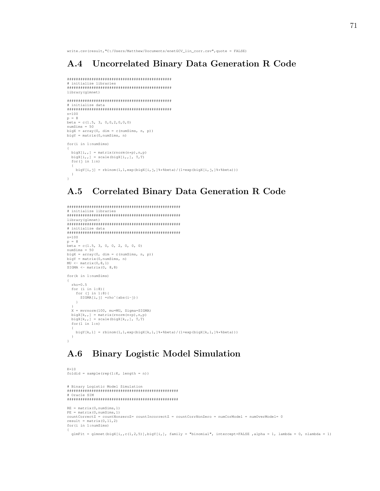write.csv(result,"C:/Users/Matthew/Documents/enetGCV\_lin\_corr.csv", quote = FALSE)

### $A.4$ Uncorrelated Binary Data Generation R Code

```
# initialize libraries
library (glmnet)
# initialize data
n = 100p = 8beta = c(1.5, 3, 0, 0, 2, 0, 0, 0)numSims = 50bigX = array(0, dim = c(numSims, n, p))bigY = matrix(0, numSims, n)for (i in 1:numSims)bigX[i,,] = matrix(rnorm(n*p), n, p)
 bigX[i, j] = scale(bigX[i, j], T, T)
 for(j in 1:n)bigY[i,j] = rbinom(1,1,exp(bigX[i,j,]%*&beta)/(1+exp(bigX[i,j,]%*&beta)))
 \rightarrow\overline{1}
```
#### **Correlated Binary Data Generation R Code**  $A.5$

```
# initialize libraries
library(glmnet)
# initialize data
n=100p = 8beta = c(1.5, 3, 0, 0, 2, 0, 0, 0)numSims = 50bigX = array(0, dim = c(numSims, n, p))<br>bigY = matrix(0, numSims, n)MU \leftarrow matrix(0, 8, 1)SIGMA \leq matrix (0, 8,8)
for (k in 1:numSims)
  rho=0.5for (i \in 1:8) {<br>for (j \in 1:8) {
     SIGMA[i,j] = rho^(abs(i-j))\rightarrowX = mvrnorm(100, mu=MU, Signa=SIGMA)bigX[k,,] = matrix(rnorm(n*p), n, p)<br>bigX[k,,] = scale(bigX[k,,], T, T)
  for (1 \text{ in } 1\text{ : } n)bigY[k, l] = rbinom(1, 1, exp(bigX[k, l, ] % * % beta) / (1+exp(bigX[k, l, ] % * % beta)))
  \rightarrow\mathcal{F}
```
### **Binary Logistic Model Simulation**  $A.6$

```
K = 10foldid = sample(rep(1:K, length = n))# Binary Logistic Model Simulation
# Oracle STM
RE = matrix(0, numSims, 1)PE = matrix(0, numSims, 1)countCorrectZ = countNonzeroZ = countIncorrectZ = countCorrNonZero = numCorrectModel = numOverModel = 0result = matrix(0, 11, 2)for(i in 1:numSims)glmFit = glmnet(bigX[i,,c(1,2,5)],bigY[i,], family = "binomial", intercept=FALSE,alpha = 1, lambda = 0, nlambda = 1)
```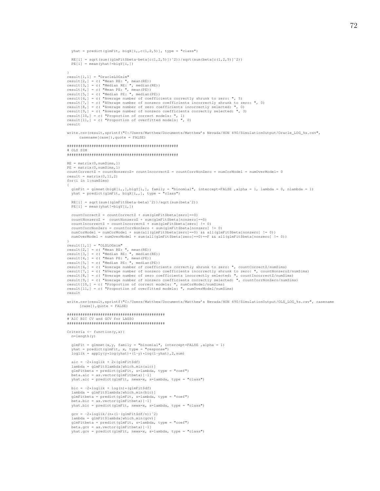```
yhat = predict(glmFit, bigX[i,,c(1,2,5)], type = "class")
```

```
RE[i] = sqrt(sum((glmFit$beta-beta[c(1,2,5)])ˆ2))/sqrt(sum(beta[c(1,2,5)]ˆ2))
PE[i] = mean(yhat!=bigY[i,])
}
result[1,1] = "OracleLOGsim"
result[2,] = c( "Mean RE: ", mean(RE))
result[3,] = c( "Median RE: ", median(RE))
result[4,] = c( "Mean PE: ", mean(PE))
result[5,] = c( "Median PE: ", median(PE))
result[6,] = c( "Average number of coefficients correctly shrunk to zero: ", 5)
result[7,] = c( "AVerage number of nonzero coefficients incorrectly shrunk to zero: ", 0)
result[8,] = c( "Average number of zero coefficients incorrectly selected: ", 0)
result[9,] = c( "Average number of nonzero coefficients correctly selected: ", 3)
result[10,] = c( "Proportion of correct models: ", 1)
result [11,] = c( "Proportion of overfitted models: ", 0)
result
write.csv(result,sprintf("C:/Users/Matthew/Documents/Matthew's Nevada/HON 490/SimulationOutput/Oracle_LOG_%s.csv",
       casename[case]),quote = FALSE)
##################################################
# OLS SIM
##################################################
RE = matrix(0,numSims,1)
PE = matrix(0,numSims,1)
countCorrectZ = countNonzeroZ= countIncorrectZ = countCorrNonZero = numCorModel = numOverModel= 0
result = matrix(0, 11, 2)for(i in 1:numSims)
{
  glmFit = glmnet(bigX[i,], bigY[i,], family = "binomial", intercept=False , alpha = 1, lambda = 0, nlambda = 1)yhat = predict(glmFit, bigX[i,,], type = "class")
  RE[i] = sqrt(sum((glmFit$beta-beta)ˆ2))/sqrt(sum(betaˆ2))
  PE[i] = mean(yhat!=bigY[i,])countCorrectZ = countCorrectZ + sum(glmFit$beta[zero]==0)
  countNonzeroZ = countNonzeroZ + sum(glmFit$beta[nonzero]==0)
   countIncorrectZ = countIncorrectZ + sum(glmFit$beta[zero] != 0)
countCorrNonZero = countCorrNonZero + sum(glmFit$beta[nonzero] != 0)
  numCorModel = numCorModel + sum(all(glmFit$beta[zero]==0) && all(glmFit$beta[nonzero] != 0))
  numOverModel = numOverModel + sum(all(glmFit$beta[zero]==0)==F && all(glmFit$beta[nonzero] != 0))
}
result[1,1] = "OLSLOGsim"
result[2,] = c( "Mean RE: ", mean(RE))
result[3,] = c( "Median RE: ", median(RE))
result[4,] = c( "Mean PE: ", mean(PE))
result[5,] = c( "Median PE: ", median(PE))
result[6,] = c( "Average number of coefficients correctly shrunk to zero: ", countCorrectZ/numSims)
result[7,] = c( "AVerage number of nonzero coefficients incorrectly shrunk to zero: ", countNonzeroZ/numSims)<br>result[8,] = c( "Average number of zero coefficients incorrectly selected: ", countIncorrectZ/numSims)<br>result[9,
result[10,] = c( "Proportion of correct models: ", numCorModel/numSims)
result[11,] = c( "Proportion of overfitted models: ", numOverModel/numSims)
result
write.csv(result,sprintf("C:/Users/Matthew/Documents/Matthew's Nevada/HON 490/SimulationOutput/OLS_LOG_%s.csv", casename
      [case]),quote = FALSE)
############################################
# AIC BIC CV and GCV for LASSO
############################################
Criteria \leftarrow function(y, x) {
  n=length(y)
  <code>glmFit = glmnet(x,y, family = "binomial", intercept=FALSE</code> ,alpha = 1)
   yhat = predict(glmFit, x, type = "response")
loglik = apply(y*log(yhat)+(1-y)*log(1-yhat),2,sum)
  aic = -2*loglik + 2*(glmFit$df)lambda = glmFit$lambda[which.min(aic)]
   glmFitbeta = predict(glmFit, s=lambda, type = "coef")
beta.aic = as.vector(glmFitbeta)[-1]
  yhat.aic = predict(glmFit, newx=x, s=lambda, type = "class")
  bic = -2*loglik + log(n)*(glmFit$df)lambda = glmFit$lambda[which.min(bic)]
   glmFitbeta = predict(glmFit, s=lambda, type = "coef")
beta.bic = as.vector(glmFitbeta)[-1]
yhat.bic = predict(glmFit, newx=x, s=lambda, type = "class")
```

```
gcv = -2 * loglik / (n * (1 - (glmFit$df/n))^2)lambda = glmFitSlambda[which.min(axv)]glmFitbeta = predict(glmFit, s=lambda, type = "coef")
beta.gcv = as.vector(glmFitbeta)[-1]
yhat.gcv = predict(glmFit, newx=x, s=lambda, type = "class")
```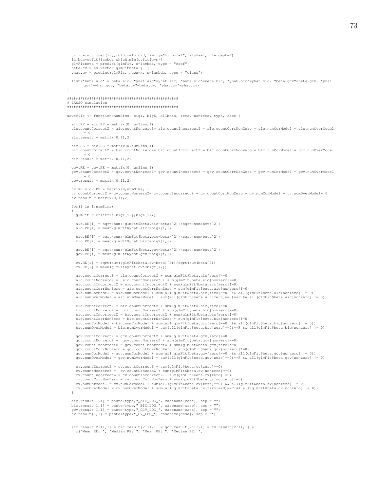```
\verb|cvfit=cv.glmnet(x,y,foldid=foldid, family="binomial", alpha=1, intercept=F)lambda=cvfit$lambda[which.min(cvfit$cvm)]
  glmFitbeta = predict(glmFit, s=lambda, type = "coef")
  beta.cv = as.vector(glmFitbeta) [-1]yhat.cv = predict(glmFit, newx=x, s=lambda, type = "class")
  list("beta.aic" = beta.aic, "yhat.aic"=yhat.aic, "beta.bic"=beta.bic, "yhat.bic"=yhat.bic, "beta.gcv"=beta.gcv, "yhat.<br>gcv"=yhat.gcv, "beta.cv"=beta.cv, "yhat.cv"=yhat.cv)"=yhat.cv"=yhat.cv"=yhat.cv"=yhat.cv"=xhat.cv"=xha
# LASSO simulation
savefile <- function(numSims, biqY, biqX, allbeta, zero, nonzero, type, case){
   \texttt{aic.RE} = \texttt{aic.PE} = \texttt{matrix}(0, \texttt{numSims}, 1)\alpha count Correct \zeta = \alpha count Nonzero\zeta = \alpha count Incorrect \zeta = \alpha count CorrNonZero = aic.numCorModel = aic.numCorModel = aic.num
         = 0\text{aic}.\text{result} = \text{matrix}(0, 11, 2)bic.RE = bic.PE = matrix(0, numSims, 1)bic.countCorrectZ = bic.countNonzeroZ= bic.countIncorrectZ = bic.countCorrNonZero = bic.numCorModel = bic.numOverModel
          = 0bic.result = matrix(0, 11, 2)accv.RE = accv.PE = matrix (0, numSims, 1)
  gcv.countCorrectZ = gcv.countNonzeroZ= gcv.countIncorrectZ = gcv.countCorrNonZero = gcv.numCorModel = gcv.numOverModel
          = 0accv.readtt = matrix(0.11.2)cv \cdot RF = cv \cdot PR = matrix(0, numSims, 1)cv.countCorrectZ = cv.countNonzeroZ= cv.countIncorrectZ = cv.countCorrNonZero = cv.numCorModel = cv.numOverModel= 0
   cv \text{.} result = matrix(0, 11, 2)for (i in 1:numSims)
     qlmFit = Criteria(biqY[i,],big[X[i,],])\text{aic.RE}[i] = \text{sqrt}(\text{sum}(\text{qlmFit}\text{$beta}.\text{aic} - \text{beta})')/\text{sqrt}(\text{sum}(\text{beta}^2))<br>\text{aic.PE}[i] = \text{mean}(\text{qlmFit}\text{$yhat}.\text{aic} - \text{bigY}[i,])bic.RE[i] = sqrt(sum((glmFit$beta.bic-beta)^2))/sqrt(sum(beta^2))<br>bic.PE[i] = mean(glmFit$yhat.bic!=biqY[i,])
     gcv.RE[i] = sqrt(sum((glmFit$beta.gcv-beta)^2))/sqrt(sym(beta^2))<br>qcv.PE[i] = mean(glmFit$yhat.gov!=bigY[i,])cv \cdot RE[i] = sqrt(sum((glmFit \text{$beta.cv-beta)^2}))/sqrt(sqrt(sum(beta^2))<br> cv \cdot PE[i] = mean(glmFit \text{$yhat.cv!=bigY[i,])}\texttt{aic.com}: Count Correct Z = \texttt{aic.com}: Count Correct Z + \texttt{sum} (d) mFit Sbeta, aic (zero) == 0)
     aic.countNonzeroZ = aic.countNonzeroZ + sum(glmFit$beta.aic(nonzero]==0)
     aic.countIncorrectZ = aic.countIncorrectZ + sum(glmFlt$beta.aic[zero]!=0)<br>aic.countIncorrectZ = aic.countIncorrectZ + sum(glmFlt$beta.aic[zero]!=0)<br>aic.countCorrNonZero = aic.countCorrNonZero + sum(glmFlt$beta.aic[nonzero]
     aic.numCorModel = aic.numCorModel + sum(all(glmFit$beta.aic(zero]==0) && all(glmFit$beta.aic(nonzero] != 0))
     bic.countCorrectZ = bic.countCorrectZ + sum(glmFit$beta.bic[zero] == 0)
     bic.countNonzeroZ = bic.countNonzeroZ + sum(glmFit$beta.bic[nonzero]==0)<br>bic.countIncorrectZ = bic.countIncorrectZ + sum(glmFit$beta.bic[zero]!=0)
     bic.countCorrNonZero = bic.countCorrNonZero + sum(glmFit$beta.bic[nonzero]!=0)
     bic.numCorModel = bic.numCorModel + sum(all(glmFit$beta.bic[zero]==0) && all(glmFit$beta.bic[nonzero] != 0))<br>bic.numCorModel = bic.numCorModel + sum(all(glmFit$beta.bic[zero]==0) && all(glmFit$beta.bic[nonzero] != 0))
     gcv.countCorrectZ = gcv.countCorrectZ + sum(glmFit$beta.gcv[zero] == 0)
     \frac{1}{2} or counterfect \Delta = yev.counterfect \Delta + sum (glmFit$beta.gev[nonzero] ==0)<br>gev.countNonzeroZ = gev.countNonzeroZ + sum (glmFit$beta.gev[nonzero]==0)<br>gev.countIncorrectZ = gev.countIncorrectZ + sum (glmFit$be
     gcv.countCorrNonZero = gcv.countCorrNonZero + sum(glmFit$beta.gcv[nonzero]!=0)
     gcv.numCorModel = gcv.numCorModel + sum(all(glmFit$beta.gcv[zero]==0) && all(glmFit$beta.gcv[nonzero] != 0))<br>gcv.numCorModel = gcv.numCorModel + sum(all(glmFit$beta.gcv[zero]==0) && all(glmFit$beta.gcv[nonzero] != 0))
     cv.countCorrectZ = cv.countCorrectZ + sum (glmFit$beta.cv[zero] == 0)
     cv.countNonzeroZ = cv.countNonzeroZ + sum(glmFit$beta.cv[nonzero]==0)<br>cv.countIncorrectZ = cv.countIncorrectZ + sum(glmFit$beta.cv[zero]!=0)
      cv \text{.countCorrNonZero} = cv \text{.countCorrNonZero} + \text{sum(glmFit$beta.cv[nonzero] != 0)}cv.numCorModel = cv.numCorModel + sum(all(glmFit$beta.cv[zero]==0) && all(glmFit$beta.cv[nonzero] != 0))<br>cv.numOverModel = cv.numOverModel + sum(all(glmFit$beta.cv[zero]==0)==F && all(glmFit$beta.cv[nonzero] != 0))
  aic.result[1,1] = paste(type,"_AIC_LOG_", casename[case], sep = "")<br>bic.result[1,1] = paste(type,"_BIC_LOG_", casename[case], sep = "")<br>gcv.result[1,1] = paste(type,"_GCV_LOG_", casename[case], sep = "")<br>cv.result[1,1] =
```

```
aic.result[2:11,1] = bic.result[2:11,1] = gcv.result[2:11,1] = cv.result[2:11,1] = c("Mean RE: ", "Median RE: ", "Mean PE: ", "Median RE: ",
```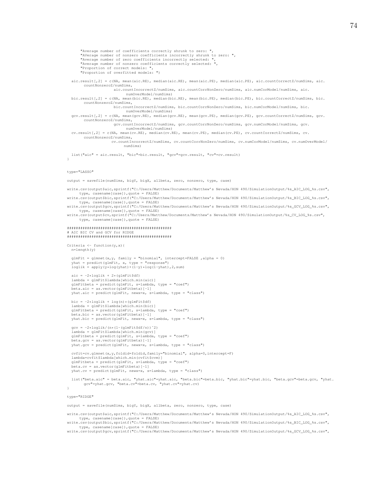```
"Average number of coefficients correctly shrunk to zero: ",
      "AVerage number of nonzero coefficients incorrectly shrunk to zero: ",
      "Average number of zero coefficients incorrectly selected: ",
       "Average number of nonzero coefficients correctly selected: ",
      "Proportion of correct models: ",
"Proportion of overfitted models: ")
  aic.result[,2] = c(NA, mean(aic.RE), median(aic.RE), mean(aic.PE), median(aic.PE), aic.countCorrectZ/numSims, aic.
        countNonzeroZ/numSims,
                     aic.countIncorrectZ/numSims, aic.countCorrNonZero/numSims, aic.numCorModel/numSims, aic.
                           numOverModel/numSims)
  bic.result[,2] = c(NA, mean(bic.RE), median(bic.RE), mean(bic.PE), median(bic.PE), bic.countCorrectZ/numSims, bic.
       countNonzeroZ/numSims,
                     bic.countIncorrectZ/numSims, bic.countCorrNonZero/numSims, bic.numCorModel/numSims, bic.
                           numOverModel/numSims)
  gcv.result[,2] = c(NA, mean(gcv.RE), median(gcv.RE), mean(gcv.PE), median(gcv.PE), gcv.countCorrectZ/numSims, gcv.
       countNonzeroZ/numSims,
                      gcv.countIncorrectZ/numSims, gcv.countCorrNonZero/numSims, gcv.numCorModel/numSims, gcv.
                           numOverModel/numSims)
  cv.result[,2] = c(NA, mean(cv.RE), median(cv.RE), mean(cv.PE), median(cv.PE), cv.countCorrectZ/numSims, cv.
        countNonzeroZ/numSims,
                    cv.countIncorrectZ/numSims, cv.countCorrNonZero/numSims, cv.numCorModel/numSims, cv.numOverModel/
                          numSims)
 list("aic" = aic.result, "bic"=bic.result, "gcv"=gcv.result, "cv"=cv.result)
}
type="LASSO"
output = savefile(numSims, bigY, bigX, allbeta, zero, nonzero, type, case)
write.csv(output$aic.sprintf("C:/Users/Matthew/Documents/Matthew's Nevada/HON 490/SimulationOutput/%s_AIC_LOG_%s.csv",
type, casename[case]),quote = FALSE)
write.csv(output$bic,sprintf("C:/Users/Matthew/Documents/Matthew's Nevada/HON 490/SimulationOutput/%s_BIC_LOG_%s.csv",
     type, casename[case]),quote = FALSE)
write.csv(output$gcv,sprintf("C:/Users/Matthew/Documents/Matthew's Nevada/HON 490/SimulationOutput/%s_GCV_LOG_%s.csv",
type, casename[case]),quote = FALSE)
write.csv(output$cv,sprintf("C:/Users/Matthew/Documents/Matthew's Nevada/HON 490/SimulationOutput/%s_CV_LOG_%s.csv",
     type, casename[case]),quote = FALSE)
```
#### ############################################### # AIC BIC CV and GCV for RIDGE ###############################################

Criteria  $\leftarrow$  function(y, x){ n=length(y)

```
glmFit = glmnet(x, y, family = "binomial", intercept=False , alpha = 0)yhat = predict(glmFit, x, type = "response")
loglik = apply(y*log(yhat)+(1-y)*log(1-yhat),2,sum)
```

```
aic = -2*1oglik + 2*(q)mFit$df)
lambda = glmFit$lambda[which.min(aic)]
glmFitbeta = predict(glmFit, s=lambda, type = "coef")
beta.aic = as.vector(glmFitbeta)[-1]
yhat.aic = predict(glmFit, newx=x, s=lambda, type = "class")
```

```
bic = -2*loglik + log(n)*(qlmFit$df)lambda = glmFit$lambda[which.min(bic)]
glmFitbeta = predict(glmFit, s=lambda, type = "coef")
beta.bic = as.vector(glmFitbeta)[-1]
yhat.bic = predict(glmFit, newx=x, s=lambda, type = "class")
```

```
gcv = -2*loglik/(n*(1-(glmFit$df/n))^2)lambda = glmFit$lambda[which.min(gcv)]
glmFitbeta = predict(glmFit, s=lambda, type = "coef")
beta.gcv = as.vector(glmFitbeta)[-1]
yhat.gov = predict(glimFit, newx=x, s=lambda, type = "class")
```
cvfit=cv.glmnet(x,y,foldid=foldid,family="binomial", alpha=0,intercept=F) lambda=cvfit\$lambda[which.min(cvfit\$cvm)] glmFitbeta = predict(glmFit, s=lambda, type = "coef") beta.cv = as.vector(glmFitbeta)[-1] yhat.cv = predict(glmFit, newx=x, s=lambda, type = "class")

list("beta.aic" = beta.aic, "yhat.aic"=yhat.aic, "beta.bic"=beta.bic, "yhat.bic"=yhat.bic, "beta.gcv"=beta.gcv, "yhat.<br>gcv"=yhat.gcv, "beta.cv"=beta.cv, "yhat.cv"=yhat.cv)

#### type="RIDGE"

}

output = savefile(numSims, bigY, bigX, allbeta, zero, nonzero, type, case)

write.csv(output\$aic,sprintf("C:/Users/Matthew/Documents/Matthew's Nevada/HON 490/SimulationOutput/%s\_AIC\_LOG\_%s.csv", type, casename[case]),quote = FALSE)

write.csv(output\$bic,sprintf("C:/Users/Matthew/Documents/Matthew's Nevada/HON 490/SimulationOutput/%s\_BIC\_LOG\_%s.csv", type, casename[case]),quote = FALSE) write.csv(output\$gcv,sprintf("C:/Users/Matthew/Documents/Matthew's Nevada/HON 490/SimulationOutput/%s\_GCV\_LOG\_%s.csv",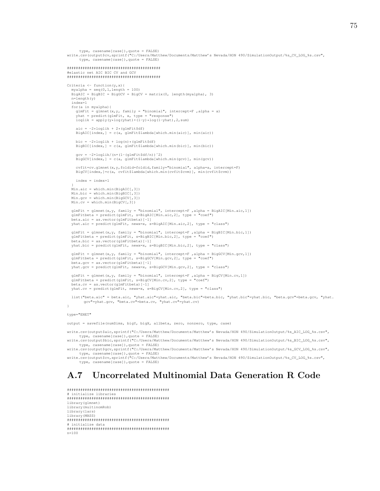```
type, casename[case]),quote = FALSE)
write.csv(output$cv,sprintf("C:/Users/Matthew/Documents/Matthew's Nevada/HON 490/SimulationOutput/%s_CV_LOG_%s.csv",
     type, casename[case]),quote = FALSE)
##########################################
#elastic net AIC BIC CV and GCV
##########################################
Criteria \leq function(y, x){
  myalpha = seq(0,1,length = 100)
BigAIC = BigBIC = BigGCV = BigCV = matrix(0, length(myalpha), 3)
  n=length(y)
  index=1
  for(a in myalpha){
    glmFit = glmnet(x,y, family = "binomial", intercept=F, alpha = a)yhat = predict(glmFit, x, type = "response")loglik = apply(y * log( y hat) + (1-y) * log(1-y hat) , 2, sum)aic = -2*loglik + 2*(qlmFit$df)BigAIC[index,] = c(a, glmFit$lambda[which.min(aic)], min(aic))
    bic = -2*loglik + log(n)*(qlmFit$df)BigBIC[index,] = c(a, glmFit$lambda[which.min(bic)], min(bic))
    qcv = -2*loglik/(n*(1-(qlmFit$df/n))^2)BigGCV[index, ] = c(a, glmFit$lambda[which.min(gcv)], min(gcv))cvfit=cv.glmnet(x,y,foldid=foldid,family="binomial", alpha=a, intercept=F)
    BigCV[index,]=c(a, cvfit$lambda[which.min(cvfit$cvm)], min(cvfit$cvm))
    index = index + 1}
Min.aic = which.min(BigAIC[,3])
  Min.\text{bic} = \text{which.min}(\text{Bi@BIC}(.3))Min.gcv = which.min(BigGCV[,3])
  Min.cv = which.min(BigCV[,3])
  glmFit = glmnet(x,y, family = "binomial", intercept=F ,alpha = BigAIC[Min.aic,1])
glmFitbeta = predict(glmFit, s=BigAIC[Min.aic,2], type = "coef")
  beta.aic = as.vector(glmFitbeta)[-1]
  yhat.aic = predict(glmFit, newx=x, s=BigAIC[Min.aic,2], type = "class")
  glmFit = glmnet(x,y, family = "binomial", intercept=F , alpha = BigBIC[Min,bic,1])glmFitbeta = predict(glmFit, s=BigBIC[Min.bic,2], type = "coef")
beta.bic = as.vector(glmFitbeta)[-1]
  yhat.bic = predict(glmFit, newx=x, s=BigBIC[Min.bic,2], type = "class")
  glmFit = glmnet(x,y, family = "binomial", intercept=F ,alpha = BigGCV[Min.gcv,1])
glmFitbeta = predict(glmFit, s=BigGCV[Min.gcv,2], type = "coef")
  beta.gcv = as.vector(glmFitbeta)[-1]
  yhat.gcv = predict(glmFit, newx=x, s=BigGCV[Min.gcv,2], type = "class")
  qlmFit = qlmnet(x,y, family = "binomial", intercept=F, alpha = BigCV[Min.cv,1])glmFitbeta = predict(glmFit, s=BigCV[Min.cv,2], type = "coef")
  beta.cv = as.vector(glmFitbeta)[-1]
  yhat.cv = predict(glmFit, newx=x, s=BigCV[Min.cv,2], type = "class")
  list("beta.aic" = beta.aic, "yhat.aic"=yhat.aic, "beta.bic"=beta.bic, "yhat.bic"=yhat.bic, "beta.gcv"=beta.gcv, "yhat.<br>gcv"=yhat.gcv, "beta.cv"=beta.cv, "yhat.cv"=yhat.cv)
}
```
### type="ENET"

output = savefile(numSims, bigY, bigX, allbeta, zero, nonzero, type, case)

write.csv(output\$aic,sprintf("C:/Users/Matthew/Documents/Matthew's Nevada/HON 490/SimulationOutput/%s AIC LOG %s.csv", type, casename[case]),quote = FALSE)

write.csv(output\$bic,sprintf("C:/Users/Matthew/Documents/Matthew's Nevada/HON 490/SimulationOutput/%s\_BIC\_LOG\_%s.csv", type, casename[case]),quote = FALSE) write.csv(output\$gcv,sprintf("C:/Users/Matthew/Documents/Matthew's Nevada/HON 490/SimulationOutput/%s\_GCV\_LOG\_%s.csv",

type, casename[case]),quote = FALSE) write.csv(output\$cv,sprintf("C:/Users/Matthew/Documents/Matthew's Nevada/HON 490/SimulationOutput/%s\_CV\_LOG\_%s.csv", type, casename[case]),quote = FALSE)

## A.7 Uncorrelated Multinomial Data Generation R Code

############################################## # initialize libraries ############################################## library(glmnet) library(multinomRob) library(lars) library(MASS) ############################################## # initialize data ############################################## n=100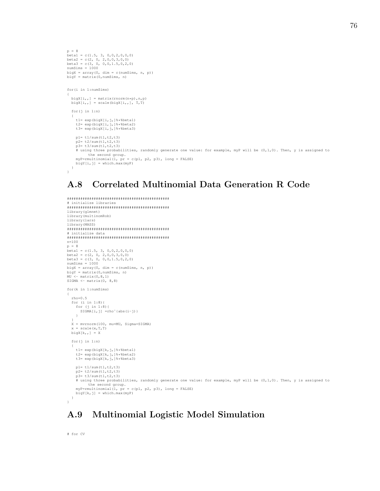```
p = 8
p = 0<br>betal = c(1.5, 3, 0,0,2,0,0,0)
beta2 = c(2, 0, 2,0,0,3,0,0)
beta3 = c(3, 0, 0,0,1.5,0,2,0)
numSims = 1000bigX = array(0, dim = c(numSims, n, p))bigY = matrix(0,numSims, n)
for(i in 1:numSims)
{
  bigX[i, j] = matrix(rnorm(n*p),n,p)
  \mathtt{bigX[i, ,] \ = \ scale \left( bigX[i, ,], \ T, T \right)}for(j in 1:n)
   {
      t1= exp(bigX[i,j,]%*%beta1)
t2= exp(bigX[i,j,]%*%beta2)
t3= exp(bigX[i,j,]%*%beta3)
     p1= t1/sum(t1,t2,t3)
      p2= t2/sum(t1,t2,t3)
p3= t3/sum(t1,t2,t3)
     # using three probabilities, randomly generate one value: for example, myP will be (0,1,0). Then, y is assigned to
      the second group.
myP=rmultinomial(1, pr = c(p1, p2, p3), long = FALSE)
     bigY[i, j] = which.max(myP)}
}
```
# A.8 Correlated Multinomial Data Generation R Code

```
##############################################
  initialize libraries
##############################################
library(glmnet)
library(multinomRob)
library(lars)
library(MASS)
##############################################
# initialize data
##############################################
n=100
p = 8
beta1 = c(1.5, 3, 0, 0, 2, 0, 0, 0)beta2 = c(2, 0, 2,0,0,3,0,0)
beta3 = c(3, 0, 0,0,1.5,0,2,0)
numSims = 1000bigX = array(0, dim = c(numSims, n, p))
bigY = matrix(0,numSims, n)
MU \leftarrow matrix(0, 8, 1)SIGMA \leftarrow matrix(0, 8, 8)for(k in 1:numSims)
{
  rho=0.5
   for (i in 1:8){
for (j in 1:8){
      SIGMA[i,j] =rho^(abs(i-j))}
  }
  X = mvrnorm(100, mu=MU, Sigma=SIGMA)
  x = scale(x, T, T)\text{bias}[k, .] = Xfor(j in 1:n)
   {
    t1= exp(bigX[k,j,]%*%beta1)
     t2= exp(bigX[k,j,]%*%beta2)
t3= exp(bigX[k,j,]%*%beta3)
    p1 = t1/sum(t1, t2, t3)p2= t2/sum(t1, t2, t3)
     p3= t3/sum(t1,t2,t3)
     # using three probabilities, randomly generate one value: for example, myP will be (0,1,0). Then, y is assigned to
     the second group.<br>myP=rmultinomial(1, pr = c(p1, p2, p3), long = FALSE)<br>biqY[k,j] = which.max(myP)
  }
}
```
# A.9 Multinomial Logistic Model Simulation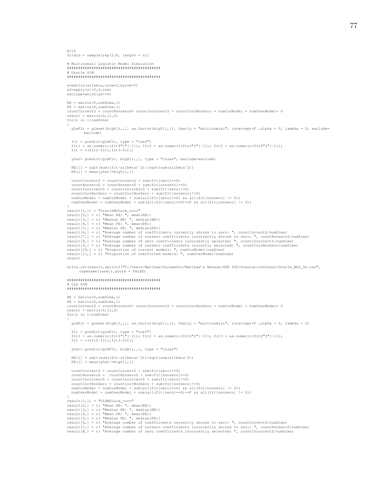```
K=10foldid = sample(rep(1:K, length = n))# Multinomail Logistic Model Simulation
# Oracle SIM
a=matrix(allbeta, nrow=2, byrow=T)
a2 = apply(a != 0, 2, sum)exclude=which(a2==0)
RE = matrix(0, numSims, 1)PE = matrix(0, numSims, 1)countCorrectZ = countNonzeroZ= countIncorrectZ = countCorrNonZero = numCorModel = numOverModel= 0
result = matrix(0.11.2)for (i in 1:numSims)
  glmFit = glmnet(bigX[i,,], as.factor(bigY[i,]), family = "multinomial", intercept=F, alpha = 0, lambda = 0, exclude=
        exclude)
  fit = predict(dlmFit, type = "coeff")fit1 = as. numeric (fit; "1" [-1]); fit2 = as.numeric (fit; "2" [-1]); fit3 = as.numeric (fit; "3" [-1]);
  fit = c(fit2-fit1,fit3-fit1)yhat= predict(glmFit, bigX[i,,], type = "class", exclude=exclude)
  RE[i] = sqrt(sum((fit-allbeta)^2))/sort(sum(allbeta^2))PE[i] = mean(yhat!=bigY[i,])countCorrectZ = countCorrectZ + sum(fit[zero]=0)countNonzeroZ = countNonzeroZ + sum(fit[nonzero] == 0)countIncorrect Z = countIncorrect Z + sum (fit [zero 11=0]countCorrNonZero = countCorrNonZero + sum (fit [nonzero] != 0)
  numCorModel = numCorModel + sum(all(fit[zero]==0) && all(fit[nonzero] != 0))<br>numCorModel = numCorModel + sum(all(fit[zero]==0) && all(fit[nonzero] != 0))
"<br>result[1,1] = "OracleMULsim_corr"<br>result[2,] = c( "Mean RE: ", mean(RE))<br>result[3,] = c( "Median RE: ", median(RE))
result [4, ] = c ("Mean PE: ", mean (PE))<br>result [5, ] = c ("Median PE: ", median (PE))
result[6,] = c ("Average number of coefficients correctly shrunk to zero: ", countCorrectZ/numSims)
result[7,] = c( "AVerage number of nonzero coefficients incorrectly shrunk to zero: ", countNonzeroZ/numSims)<br>result[8,] = c( "Average number of nonzero coefficients incorrectly selected: ", countIncorrectZ/numSims)<br>resul
result [10,] = c ( "Proportion of correct models: ", numCorModel/numSims)<br>result [11,] = c ( "Proportion of overfitted models: ", numOverModel/numSims)
r = \frac{1}{2}write.csv(result, sprintf("C:/Users/Matthew/Documents/Matthew's Nevada/HON 490/SimulationOutput/Oracle_MUL_%s.csv",
      casename[case]), quote = FALSE)
# OLS SIM
RE = matrix(0, numSims, 1)PE = matrix(0, numSims, 1)countCorrectZ = countNonzeroZ = countIncorrectZ = countCorrNonZero = numCorrected = numCoverModel = 0result = matrix(0, 11, 2)for(i in 1:numsins)\texttt{glmFit = glmnet(bigX[i, , ], as factor(bigY[i, ]), family = "multinomial", intercept={F , alpha = 0, lambda = 0})}
```

```
fit = predict(dlmFit, type = "coeff")fit1 = as. numeric (fit$"1"[-1]); fit2 = as.numeric (fit$"2"[-1]); fit3 = as.numeric (fit$"3"[-1]);
fit = c(fit2-fit1, fit3-fit1)
```

```
yhat= predict(glmFit, bigX[i,,], type = "class")
```

```
RE[i] = sqrt(sum((fit-allbeta)^2))/sqrt(sqrt(sum(allbeta^2))PE[i] = mean(yhat!=bigY[i,])countCorrectZ = countCorrectZ + sum(fif[zero]=0)countNonzeroZ = countNonzeroZ + sum(fit[nonzero]==0)
   countIncorrectZ = countIncorrectZ + sum(fit[zero]!=0)
   countCorrNonZero = countCorrNonZero + sum (fit [nonzero] != 0)
   numCorModel = numCorModel + sum(all(fit[zero]==0) && all(fit[nonzero] != 0))
   numOverModel = numOverModel + sum(all(fit[zero] == 0) == F & all(fit[nonzero] != 0))
result[1,1] = "OLSMULsim\_corr"result[2,] = c( "Mean RE: ", mean(RE))<br>result[3,] = c( "Mean RE: ", mean(RE))<br>result[3,] = c( "Median RE: ", median(RE))<br>result[4,] = c( "Mean PE: ", mean(PE))<br>result[5,] = c( "Median PE: ", median(PE))
result[5,] = c( "evaluan FE: , median<br>result[5,] = c( "Average number of coefficients correctly shrunk to zero: ", countCorrectZ/numSims)<br>result[7,] = c( "AVerage number of nonzero coefficients incorrectly shrunk to zero:
```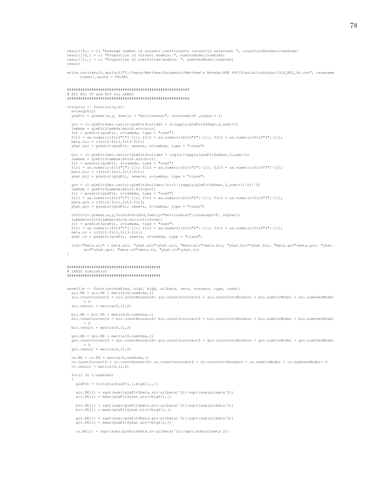```
result[9,] = c( "Average number of nonzero coefficients correctly selected: ", countCorrNonZero/numSims)
result[10,] = c( "Proportion of correct models: ", numCorModel/numSims)
result [11,] = c ("Proportion of overfitted models: ", numOverModel/numSims)
result
write.csv(result,sprintf("C:/Users/Matthew/Documents/Matthew's Nevada/HON 490/SimulationOutput/OLS_MUL_%s.csv", casename
      [case], quote = FALSE)
# AIC BIC CV and GCV for LASSO
Criteria <- function (y, x) {
  n = length(y)qlmFit = qlmnet(x,y, family = "multinomial", intercept = F, alpha = 1)\begin{minipage}{0.9\linewidth} a ic = (1-glmFit \texttt{Sdev.ratio}) * glmFit \texttt{Snulldev} + 2 * (apply (glmFit \texttt{Sdfmat}, 2, sum) + 1) \end{minipage}lambda = glmFit$1ambda[which.min(aic)]-unwwww yime in predict (glmFit, s=lambda, type = "coef")<br>fit = predict (glmFit, s=lambda, type = "coef")<br>fit1 = as.numeric(fit$"1"[-1]); fit2 = as.numeric(fit$"2"[-1]); fit3 = as.numeric(fit$"3"[-1]);
  beta.aic = c(fit2-fit1,fit3-fit1)yhat.aic = predict(glmFit, news=x, s=lambda, type = "class")
  bic = (1-qlmFit$dev.ratio)*qlmFit$nulldev + loq(n)*(apply(qlmFit$dfmat, 2, sum)+1)
  lambda = glmFit$landa [which.min(bic)]Fit = predict(glmFit, s=lambda, type = "coef")<br>
fit = predict(glmFit, s=lambda, type = "coef")<br>
fit1 = as.numeric(fit$"1"[-1]); fit2 = as.numeric(fit$"2"[-1]); fit3 = as.numeric(fit$"3"[-1]);
  beta.bic = c(fit2-fit1, fit3-fit1)yhat.bic = predict(glmFit, newx=x, s=lambda, type = "class")
  \verb|gcv = (1-glmFit\$\verb|dev.ratio|) * glmFit\$\verb|nulldev/(n* (1-(\verb|apply|glmFit\$\verb|dfmat/2, sum)+1)/n))^2|\label{eq:2} \begin{cases} \text{sum} \left\{ \begin{array}{ll} \text{sum} \left\{ \text{sum} \left\{ \text{sum} \left\{ \text{sum} \left\{ \text{sum} \left\{ \text{sum} \left\{ \text{sum} \left\{ \text{sum} \left\{ \text{sum} \left\{ \text{sum} \left\{ \text{sum} \left\{ \text{sum} \left\{ \text{sum} \left\{ \text{sum} \left\{ \text{sum} \left\{ \text{sum} \left\{ \text{sum} \left\{ \text{sum} \left\{ \text{sum} \left\{ \text{sum} \left\{ \text{sum} \left\{ \text{yhat.gcv = predict(glmFit, newx=x, s=lambda, type = "class")
  cvfit=cv.glmnet(x,y,foldid=foldid,family="multinomial",intercept=F, alpha=1)
  lambda=cvfit$lambda[which.min(cvfit$cvm)]
  fit = predict(glmFit, s=lambda, type = "coef")<br>fit1 = as.numeric(fit$"1"[-1]); fit2 = as.numeric(fit$"2"[-1]); fit3 = as.numeric(fit$"3"[-1]);
  beta.cv = c(fit2-fit1,fit3-fit1)yhat.cv = predict(glmFit, newx=x, s=lambda, type = "class")
  list ("beta.aic" = beta.aic, "yhat.aic"=yhat.aic, "beta.bic"=beta.bic, "yhat.bic"=yhat.bic, "beta.gcv"=beta.gcv, "yhat.
         gcv"=yhat.gcv, "beta.cv"=beta.cv, "yhat.cv"=yhat.cv)
\bar{1}LASSO simulation
savefile <- function(numSims, bigY, bigX, allbeta, zero, nonzero, type, case){
  \texttt{aic.RE} = \texttt{aic.PE} = \texttt{matrix}(0, \texttt{numSims, 1})aic.countCorrectZ = aic.countNonzeroZ= aic.countIncorrectZ = aic.countCorrNonZero = aic.numCorModel = aic.numOverModel
         = 0\text{aic}.\text{result} = \text{matrix}(0, 11, 2)bic.RE = bic.PE = matrix(0, numSims, 1)bic.countCorrectZ = bic.countNonzeroZ= bic.countIncorrectZ = bic.countCorrNonZero = bic.numCorModel = bic.numOverModel
        = 0bic.result = matrix(0, 11, 2)qcv.RE = qcv.PE = matrix (0, numSims, 1)
  gcv.countCorrectZ = gcv.countNonzeroZ= gcv.countIncorrectZ = gcv.countCorrNonZero = gcv.numCorModel = gcv.numOverModel
        = 0qcv \text{.} result = matrix(0, 11, 2)cv.RE = cv.PE = matrix (0, numSims, 1)
  countCorrectZ = cv.countNonzeroZ= cv.countIncorrectZ = cv.countCorrNonZero = cv.numCorModel = cv.numOverModel= 0
  cv. result = matrix(0, 11, 2)for (i in 1:numSims)
    \alphalmFit = Criteria (biqY[i, ], biqX[i,, ])
    \verb|aic.RE[i] = sqrt(sum((glmFit$beta.aic-allbeta) ^2))/sqrt(sum(allbeta^2))\texttt{aic.PE[i]} = \texttt{mean}(\texttt{glmFit}\\verb|bic.RE[i] = sqrt(sum((glmFit$beta.bic-allbeta) ^2)) / sqrt(sum(allbeta ^2))\verb|bic.PE[i]| = mean (glmFit\$y hat.bic!=bigY[i,])gcv.RE[i] = sqrt(sum((glmFit$beta.gcv-allbeta)^2))/sqrt(sum(allbeta^2))
    \texttt{gcv.PE[i]} = \texttt{mean}(\texttt{glmFit}\$ \texttt{yhat.gcv!=} \texttt{bigY[i,]})cy, RE[i] = sqrt(sum((qlmFit$beta.cy-allbeta)^2))/sqrt(sum(allbeta^2))
```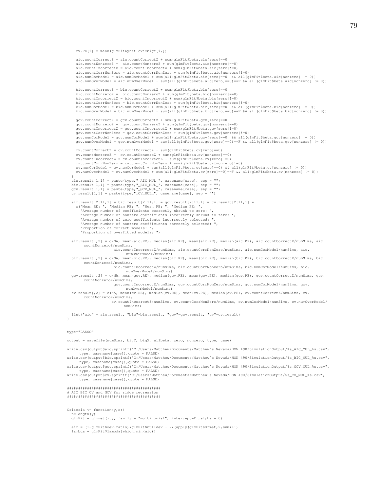cv.PE[i] = mean(glmFit\$yhat.cv!=bigY[i,])

```
aic.countCorrectZ = aic.countCorrectZ + sum(glmFit$beta.aic[zero]==0)
   aic.countNonzeroZ = aic.countNonzeroZ + sum(glmFit$beta.aic(nonzero)==0)<br>aic.countIncorrectZ = aic.countIncorrectZ + sum(glmFit$beta.aic(zero)!=0)<br>aic.countCorrNonZero = aic.countCorrNonZero + sum(glmFit$beta.aic(nonzero)!
   aic.numCorModel = aic.numCorModel + sum(all(glmFit$beta.aic[zero]==0) && all(glmFit$beta.aic[nonzero] != 0))
   aic.numOverModel = aic.numOverModel + sum(all(glmFit$beta.aic[zero]==0)==F && all(glmFit$beta.aic[nonzero] != 0))
   bic.countCorrectZ = bic.countCorrectZ + sum(glmFit$beta.bic[zero]==0)
   bic.countNonzeroZ = bic.countNonzeroZ + sum(glmFit$beta.bic[nonzero]==0)
   bic.countIncorrectZ = bic.countIncorrectZ + sum(glmFit$beta.bic[zero]!=0)
   bic.countCorrNonZero = bic.countCorrNonZero + sum(glmFit$beta.bic[nonzero]!=0)
   bic.numCorModel = bic.numCorModel + sum(all(glmFit$beta.bic[zero]==0) && all(glmFit$beta.bic[nonzero] != 0))
bic.numOverModel = bic.numOverModel + sum(all(glmFit$beta.bic[zero]==0)==F && all(glmFit$beta.bic[nonzero] != 0))
   gcv.countCorrectZ = gcv.countCorrectZ + sum(glmFit$beta.gcv[zero]==0)<br>gcv.countNonzeroZ = gcv.countNonzeroZ + sum(glmFit$beta.gcv[nonzero]==0)<br>gcv.countIncorrectZ = gcv.countIncorrectZ + sum(glmFit$beta.gcv[zero]!=0)<br>gcv.c
   gcv.numCorModel = gcv.numCorModel + sum(all(glmFit$beta.gcv[zero]==0) && all(glmFit$beta.gcv[nonzero] != 0))
gcv.numOverModel = gcv.numOverModel + sum(all(glmFit$beta.gcv[zero]==0)==F && all(glmFit$beta.gcv[nonzero] != 0))
   cv.countCorrectZ = cv.countCorrectZ + sum(glmFit$beta.cv[zero]==0)
   cv.countNonzeroZ = cv.countNonzeroZ + sum(glmFit$beta.cv[nonzero]==0)
cv.countIncorrectZ = cv.countIncorrectZ + sum(glmFit$beta.cv[zero]!=0)
   cv.countCorrNonZero = cv.countCorrNonZero + sum(glmFit$beta.cv[nonzero]!=0)
   cv.numCorModel = cv.numCorModel + sum(all(glmFit$beta.cv[zero]==0) && all(glmFit$beta.cv[nonzero] != 0))
cv.numOverModel = cv.numOverModel + sum(all(glmFit$beta.cv[zero]==0)==F && all(glmFit$beta.cv[nonzero] != 0))
 }<br>aic.result[1,1] = paste(type,"_AIC_MUL_", casename[case], sep = "")<br>bic.result[1,1] = paste(type,"_BIC_MUL_", casename[case], sep = "")<br>gcv.result[1,1] = paste(type,"_GCV_MUL_", casename[case], sep = "")<br>cv.result[1,1] =
aic.result[2:11,1] = bic.result[2:11,1] = gcv.result[2:11,1] = cv.result[2:11,1] =
   c("Mean RE: ", "Median RE: ", "Mean PE: ", "Median PE: ",
"Average number of coefficients correctly shrunk to zero: ",
      "AVerage number of nonzero coefficients incorrectly shrunk to zero: ",
      "Average number of zero coefficients incorrectly selected:
      "Average number of nonzero coefficients correctly selected: ",
      "Proportion of correct models:
      "Proportion of overfitted models: ")
aic.result[,2] = c(NA, mean(aic.RE), median(aic.RE), mean(aic.PE), median(aic.PE), aic.countCorrectZ/numSims, aic.
       countNonzeroZ/numSims,
                         aic.countIncorrectZ/numSims, aic.countCorrNonZero/numSims, aic.numCorModel/numSims, aic.
                                numOverModel/numSims)
bic.result[,2] = c(NA, mean(bic.RE), median(bic.RE), mean(bic.PE), median(bic.PE), bic.countCorrectZ/numSims, bic.
        countNonzeroZ/numSims,
bic.countIncorrectZ/numSims, bic.countCorrNonZero/numSims, bic.numCorModel/numSims, bic.
                                numOverModel/numSims)
gcv.result[,2] = c(NA, mean(gcv.RE), median(gcv.RE), mean(gcv.PE), median(gcv.PE), gcv.countCorrectZ/numSims, gcv.
       countNonzeroZ/numSims,
                         gcv.countIncorrectZ/numSims, gcv.countCorrNonZero/numSims, gcv.numCorModel/numSims, gcv.
                                numOverModel/numSims)
cv.result[,2] = c(NA, mean(cv.RE), median(cv.RE), mean(cv.PE), median(cv.PE), cv.countCorrectZ/numSims, cv.
        countNonzeroZ/numSims,
cv.countIncorrectZ/numSims, cv.countCorrNonZero/numSims, cv.numCorModel/numSims, cv.numOverModel/
                               numSims)
list("aic" = aic.result, "bic"=bic.result, "gcv"=gcv.result, "cv"=cv.result)
```
### type="LASSO"

 $\lambda$ 

output = savefile(numSims, bigY, bigX, allbeta, zero, nonzero, type, case)

write.csv(output\$aic,sprintf("C:/Users/Matthew/Documents/Matthew's Nevada/HON 490/SimulationOutput/%s AIC MUL %s.csv", type, casename[case]),quote = FALSE)

write.csv(output\$bic,sprintf("C:/Users/Matthew/Documents/Matthew's Nevada/HON 490/SimulationOutput/%s\_BIC\_MUL\_%s.csv", type, casename[case]),quote = FALSE) write.csv(output\$gcv,sprintf("C:/Users/Matthew/Documents/Matthew's Nevada/HON 490/SimulationOutput/%s\_GCV\_MUL\_%s.csv",

type, casename[case]),quote = FALSE) write.csv(output\$cv,sprintf("C:/Users/Matthew/Documents/Matthew's Nevada/HON 490/SimulationOutput/%s\_CV\_MUL\_%s.csv", type, casename[case]),quote = FALSE)

#### ########################################## # AIC BIC CV and GCV for ridge regression ##########################################

Criteria  $\leftarrow$  function(y, x) { n=length(y)  $g/mF$ it =  $g/mF$ it =  $g/mF$ it =  $g/mF$ it =  $g/mF$ it =  $g/mF$ it =  $g/mF$ it =  $g/mF$ it =  $g/mF$ it =  $g/mF$ it =  $g/mF$ it =  $g/mF$ it =  $g/mF$ it =  $g/mF$ it =  $g/mF$ it =  $g/mF$ it =  $g/mF$ it =  $g/mF$ it =  $g/mF$ it =  $g/mF$ it =  $g/mF$ it =  $g/mF$ it =

aic =  $(1-glmFit$dev.ratio)*glmFit$nulldev + 2*(apply(glmFit$dfmat, 2, sum)+1)$ lambda = glmFit\$lambda[which.min(aic)]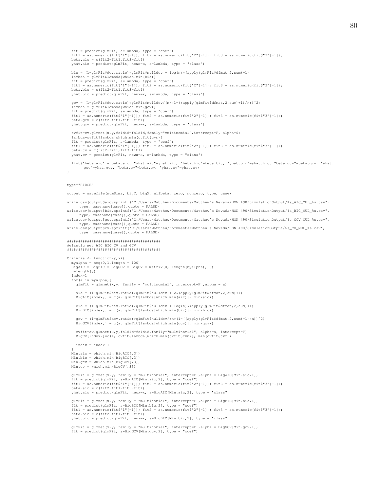```
fit = predict(glmFit, s=lambda, type = "coef")
  fit1 = as.numeric(fit$"1"[-1]); fit2 = as.numeric(fit$"2"[-1]); fit3 = as.numeric(fit$"3"[-1]);
  beta.aic = c(fit2-fit1,fit3-fit1)yhat.aic = predict(glmFit, newx=x, s=lambda, type = "class")
  bic = (1-glmFit$dev.ratio)*glmFit$nulldev + log(n)*(apply(glmFit$dfmat,2,sum)+1)
  lambda = glmFit$lambda[which.min(bic)]
  fit = predict(glmFit, s=lambda, type = "coef")
fit1 = as.numeric(fit$"1"[-1]); fit2 = as.numeric(fit$"2"[-1]); fit3 = as.numeric(fit$"3"[-1]);
  beta.bic = c(fit2-fit1,fit3-fit1)vhat.bic = predict(dlmFit, newx=x, s=lambda, two = "class")gcv = (1-glmFit$dev.ratio)*glmFit$nulldev/(n*(1-((apply(glmFit$dimt, 2, sum)+1)/n))^2)lambda = glmFit$lambda[which.min(gcv)]<br>fit = predict(glmFit, s=lambda, type = "coef")<br>fit1 = as.numeric(fit$"1"[-1]); fit2 = as.numeric(fit$"2"[-1]); fit3 = as.numeric(fit$"3"[-1]);
  beta.get = c(fit2-fit1, fit3-fit1)
  yhat.gcv = predict(glmFit, newx=x, s=lambda, type = "class")
  cvfit=cv.glmnet(x,y,foldid=foldid,family="multinomial",intercept=F, alpha=0)
  lambda=cvfit$lambda[which.min(cvfit$cvm)]<br>fit = predict(glmFit, s=lambda, type = "coef")<br>fit1 = as.numeric(fit$"1"[-1]); fit2 = as.numeric(fit$"2"[-1]); fit3 = as.numeric(fit$"3"[-1]);
  beta.cv = c(fit2-fit1,fit3-fit1)yhat.cv = predict(glmFit, newx=x, s=lambda, type = "class")
  list("beta.aic" = beta.aic, "yhat.aic"=yhat.aic, "beta.bic"=beta.bic, "yhat.bic"=yhat.bic, "beta.gcv"=beta.gcv, "yhat.<br>gcv"=yhat.gcv, "beta.cv"=beta.cv, "yhat.cv"=yhat.cv)
}
type="RIDGE"
output = savefile(numSims, bigY, bigX, allbeta, zero, nonzero, type, case)
write.csv(output$aic,sprintf("C:/Users/Matthew/Documents/Matthew's Nevada/HON 490/SimulationOutput/%s_AIC_MUL_%s.csv",
      type, casename[case]),quote = FALSE)
write.csv(output$bic,sprintf("C:/Users/Matthew/Documents/Matthew's Nevada/HON 490/SimulationOutput/%s_BIC_MUL_%s.csv",
     type, casename[case]),quote = FALSE)
write.csv(output$gcv,sprintf("C:/Users/Matthew/Documents/Matthew's Nevada/HON 490/SimulationOutput/%s_GCV_MUL_%s.csv",
type, casename[case]),quote = FALSE)
write.csv(output$cv,sprintf("C:/Users/Matthew/Documents/Matthew's Nevada/HON 490/SimulationOutput/%s_CV_MUL_%s.csv",
      type, casename[case]),quote = FALSE)
##########################################
#elastic net AIC BIC CV and GCV
##########################################
Criteria \leq function(y, x){
  myalpha = seq(0,1,length = 100)
BigAIC = BigBIC = BigGCV = BigCV = matrix(0, length(myalpha), 3)
  n=length(y)
  index=1
  for(a in myalpha){
    glmFit = glmnet(x,y, family = "multinomial", intercept=F ,alpha = a)
    aic = (1-glmFit \, 5 dev.ratio) * glmFit \, 5 nulldev + 2 * (apply(glmFit \, 5 dfmat, 2, sum) +1)BigAIC[index,] = c(a, glmFit$lambda[which.min(aic)], min(aic))
    bic = (1-glmFit$dev.ratio)*glmFit$nulldev + log(n)*(apply(glmFit$dfmat,2,sum)+1)BigBIC[index,] = c(a, glmFit$lambda[which.min(bic)], min(bic))
    gcv = (1-glmFit$dev.ratio)*glmFit$nulldev/(n*(1-((apply(glmFit$dfmat, 2,sum)+1)/n))^2)
    \mathtt{BigGCV}[\texttt{index,}] = \mathtt{c(a, glmFit$1ambda[which.min(gcv)], min(gcv))}cvfit=cv.glmnet(x,y,foldid=foldid,family="multinomial", alpha=a, intercept=F)
    BigCV[index,]=c(a, cvfit$lambda[which.min(cvfit$cvm)], min(cvfit$cvm))
    index = index+1
  }
Min.aic = which.min(BigAIC[,3])
  Min.bic = which.min(BigBIC[,3])
Min.gcv = which.min(BigGCV[,3])
  Min.cv = which.min(BigCV[,3])
  glmFit = glmnet(x,y, family = "multinomial", intercept=F , alpha = BigAIC[Min.aic,1])fit = predict(glmFit, s=BigAIC[Min.aic,2], type = "coef")
fit1 = as.numeric(fit$"1"[-1]); fit2 = as.numeric(fit$"2"[-1]); fit3 = as.numeric(fit$"3"[-1]);
beta.aic = c(fit2-fit1,fit3-fit1)
  yhat.aic = predict(glmFit, newx=x, s=BigAIC[Min.aic,2], type = "class")
  glmFit = glmnet(x,y, family = "multinomial", intercept=F ,alpha = BigBIC[Min.bic,1])
  fit = predict(glmFit, s=BigBIC[Min.bic,2], type = "coef")
```

```
fit1 = as.numeric(fit$"1"[-1]); fit2 = as.numeric(fit$"2"[-1]); fit3 = as.numeric(fit$"3"[-1]);<br>beta.bic = c(fit2-fit1,fit3-fit1)<br>yhat.bic = predict(qlmFit, newx-x, s=BigBIC[Min.bic,2], type = "class")
```

```
glmFit = glmnet(x,y, family = "multinomial", intercept=F ,alpha = BigGCV[Min.gcv,1])
fit = predict(glmFit, s=BigGCV[Min.gcv,2], type = "coef")
```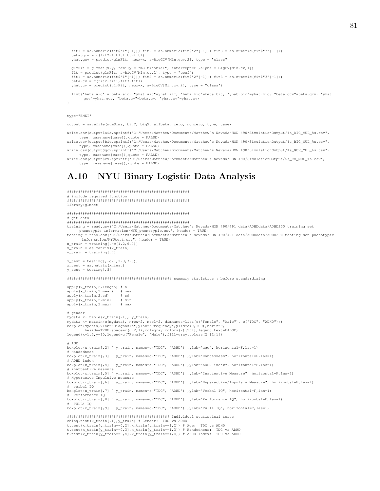```
fit1 = as.numeric(fit$"1"[-1]); fit2 = as.numeric(fit$"2"[-1]); fit3 = as.numeric(fit$"3"[-1]);
beta.gcv = c(fit2-fit1,fit3-fit1)yhat.gcv = predict(glmFit, newx=x, s=BigGCV[Min.gcv,2], type = "class")
glmFit = glmnet(x, y, family = "multinomial", intercept=F , alpha = BigCV[Min.cv, 1])
fit = predict(glmFit, s=BigCV[Min.cv,2], type = "coef")
fit1 = as.numeric(fit$"1"[-1]); fit2 = as.numeric(fit$"2"[-1]); fit3 = as.numeric(fit$"3"[-1]);
beta.cv = c(fit2-fit1,fit3-fit1)yhat.cv = predict(glmFit, newx=x, s=BigCV[Min.cv,2], type = "class")
list("beta.aic" = beta.aic, "yhat.aic"=yhat.aic, "beta.bic"=beta.bic, "yhat.bic"=yhat.bic, "beta.gcv"=beta.gcv, "yhat.<br>gcv"=yhat.gcv, "beta.cv"=beta.cv, "yhat.cv"=yhat.cv)
```

```
type="ENET"
```
}

output = savefile(numSims, bigY, bigX, allbeta, zero, nonzero, type, case)

write.csv(output\$aic,sprintf("C:/Users/Matthew/Documents/Matthew's Nevada/HON 490/SimulationOutput/%s AIC MUL %s.csv", type, casename[case]),quote = FALSE)

write.csv(output\$bic,sprintf("C:/Users/Matthew/Documents/Matthew's Nevada/HON 490/SimulationOutput/%s BIC MUL %s.csv", type, casename[case]),quote = FALSE) write.csv(output\$gcv,sprintf("C:/Users/Matthew/Documents/Matthew's Nevada/HON 490/SimulationOutput/%s\_GCV\_MUL\_%s.csv",

type, casename[case]),quote = FALSE) write.csv(output\$cv,sprintf("C:/Users/Matthew/Documents/Matthew's Nevada/HON 490/SimulationOutput/%s\_CV\_MUL\_%s.csv",

```
type, casename[case]),quote = FALSE)
```
# A.10 NYU Binary Logistic Data Analysis

```
#######################################################
# include required function
#######################################################
library(glmnet)
#######################################################
# get data
#######################################################
training = read.csv("C:/Users/Matthew/Documents/Matthew's Nevada/HON 490/491 data/ADHDdata/ADHD200 training set
      phenotypic information/NYU_phenotypic.csv", header = TRUE)
testing = read.csv("C:/Users/Matthew/Documents/Matthew's Nevada/HON 490/491 data/ADHDdata/ADHD200 testing set phenotypic
       information/NYUtest.csv", header = TRUE)
x_train = training[,-c(1,2,6,7)]
x_train = as.matrix(x_train)
y_train = training[,7]
x test = testing[,-c(1,2,3,7,8)]
x_test = as.matrix(x_test)
y_t test = testing[, 8]
############################################### summary statistics : before standardizing
apply(x_train,2,length) # n
\begin{array}{lll}\n\text{apply}(x_\text{train}, 2, \text{mean}) & \text{#} \text{ mean} \\
\text{apply}(x_\text{train}, 2, \text{sd}) & \text{#} \text{ sd}\n\end{array}apply(x train,2,sd)apply(x train,2,min) # min
apply(x_train, 2, max)
# gender
mydata <- table(x_train[,1], y_train)
mydata <- matrix(c(mydata), nrow=2, ncol=2, dimnames=list(c("Female", "Male"), c("TDC", "ADHD")))<br>barplot(mydata,xlab="Diagnosis",ylab="Frequency",ylim=c(0,100),horiz=F,
beside=TRUE, space=c(0.2,1), col=gray.colors(2)[2:1], legend.text=FALSE)<br>legend(x=1.5,y=90,legend=c("Female", "Male"),fill=gray.colors(2)[2:1])
# AGE
boxplot(x_train[,2] ˜ y_train, names=c("TDC", "ADHD") ,ylab="age", horizontal=F,las=1)
# Handedness
boxplot(x_train[,3] ˜ y_train, names=c("TDC", "ADHD") ,ylab="Handedness", horizontal=F,las=1)
# ADHD index
boxplot(x_train[,4] ˜ y_train, names=c("TDC", "ADHD") ,ylab="ADHD index", horizontal=F,las=1)
# inattentive measure<br>boxplot(x_train[,5] ~ y_train, names=c("TDC", "ADHD") ,ylab="Inattentive Measure", horizontal=F,las=1)<br># Hyperacive Impulsive measure
boxplot(x_train(y) '__train, names=c("TDC", "ADHD") ,ylab="Hyperactive/Impulsiv Measure", horizontal=F,las=1)<br>boxplot(x_train[,6] ~ y_train, names=c("TDC", "ADHD") ,ylab="Hyperactive/Impulsiv Measure", horizontal=F,las=1)
  verbal IQ
boxplot(x_train[,7] ˜ y_train, names=c("TDC", "ADHD") ,ylab="Verbal IQ", horizontal=F,las=1)
# Performance IQ
boxplot(x_train[,8] ˜ y_train, names=c("TDC", "ADHD") ,ylab="Performance IQ", horizontal=F,las=1)
# FULL4 IQ
boxplot(x_train[,9] ˜ y_train, names=c("TDC", "ADHD") ,ylab="Full4 IQ", horizontal=F,las=1)
############################################## Individual statistical tests
chisq.test(x_train[,1],y_train) # Gender:  TDC vs ADHD<br>t.test(x_train[y_train==0,2],x_train[y_train==1,2]) # Age:  TDC vs ADHD
```
t.test(x\_train[y\_train==0,3],x\_train[y\_train==1,3]) # Handedness: TDC vs ADHD<br>t.test(x\_train[y\_train==0,4],x\_train[y\_train==1,4]) # ADHD index: TDC vs ADHD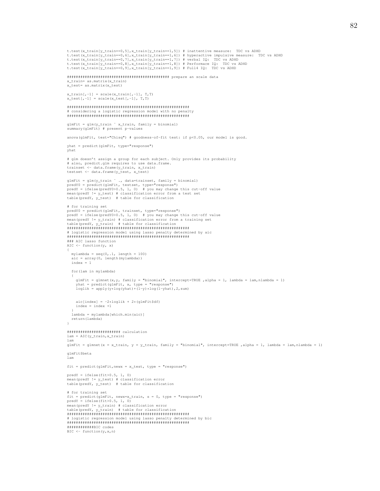```
t.test(x_train[y_train==0,5],x_train[y_train==1,5]) # inattentive measure: TDC vs ADHD
t.test(x_train[y_train==0,6],x_train[y_train==1,6]) # hyperactive impulsive measure: TDC vs ADHD
t.test(x_train[y_train==0,7],x_train[y_train==1,7]) # verbal IQ: TDC vs ADHD
t.test(x_train[y_train==0,8],x_train[y_train==1,8]) # Performace IQ: TDC vs ADHD
t.test(x_train[y_train==0,9],x_train[y_train==1,9]) # Full4 IQ: TDC vs ADHD
############################################## prepare an scale data
x_train= as.matrix(x_train)
x_test= as.matrix(x_test)
x_train[,-1] = scale(x_train[,-1], T,T)
x_test[,-1] = scale(x_test[,-1], T,T)
#######################################################
# considering a logistic regression model with no penalty
#######################################################
glmFit = glm(y_train ˜ x_train, family = binomial)
summary(glmFit) # present p-values
anova(glmFit, test="Chisq") # goodness-of-fit test: if p<0.05, our model is good.
yhat = predict(glmFit, type="response")
yhat
# glm doesn't assign a group for each subject. Only provides its probability
# also, predict.glm requires to use data.frame.
trainset <- data.frame(y_train, x_train)
testset <- data.frame(y_test, x_test)
glmFit = glm(y_train ~ ., data=trainset, family = binomial)<br>predY0 = predict(glmFit, testset, type="response")<br>predY = ifelse(predY0>0.5, 1, 0)  # you may change this cut-off value
mean(predY != y_test) # classification error from a test set
table(predY, y_test) # table for classification
# for training set
predY0 = predict(glmFit, trainset, type="response")
predY = ifelse(predY0>0.5, 1, 0) # you may change this cut-off value
mean(predY != y_train) # classification error from a training set
table(predY, y_train) # table for classification
#######################################################
# logistic regression model using lasso penalty determined by aic
#######################################################
### AIC lasso function
AIC \leftarrow function(y, x)
{
   mylambda = seq(0,.1, length = 100)
aic = array(0, length(mylambda))
  index = 1
  for(lam in mylambda)
   {
     glmFit = glmnet(x, y, family = "binomial", intercept=True, alpha = 1, lambda = lamnda = 1)yhat = predict(glmFit, x, type = "response")
loglik = apply(y*log(yhat)+(1-y)*log(1-yhat),2,sum)
     aic[index] = -2*loglik + 2*(qlmFit$df)index = index +1}
lambda = mylambda[which.min(aic)]
  return(lambda)
}
######################## calculation
lam = AIC(y_train,x_train)
lam
glmFit = glmnet(x = x_train, y = y_train, family = "binomial", intercept=True , alpha = 1, lambda = lam, nlambda = 1)glmFit$beta
lam
\texttt{fit = predict(glmFit, newx = x_test, type = "response")}predY = ifelse(fit>0.5, 1, 0)mean(predY != y_test) # classification error
table(predY, y_test) # table for classification
# for training set
fit = predict(glmFit, newx=x_train, s = 0, type = "response")<br>predY = ifelse(fit>0.5, 1, 0)<br>mean(predY != y_train) # classification error<br>table(predY, y_train) # table for classification<br>###################################
# logistic regression model using lasso penalty determined by bic
#######################################################
############BIC codes
BIC \leftarrow function(v, x, n)
```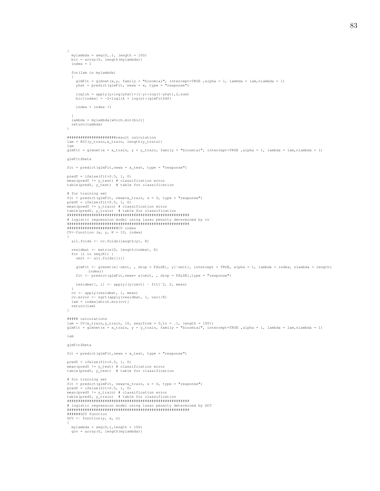```
{
  mylambda = seq(0,.1, length = 100)
  bic = array(0, length(mylambda))
  index = 1for(lam in mylambda)
   {
      glmFit = glmnet(x,y, family = "binomial", intercept=TRUE ,alpha = 1, lambda = lam,nlambda = 1)
yhat = predict(glmFit, newx = x, type = "response")
      loglik = apply(y*log(yhat)+(1-y)*log(1-yhat),2,sum)
bic[index] = -2*loglik + log(n)*(glmFit$df)
     index = index +1}
lambda = mylambda[which.min(bic)]
  return(lambda)
\lambda######################result calculation
\mathtt{lam = BIC(y\_train,x\_train, \ length(y\_train))}lam
glmFit = glmnet(x = x_train, y = y_train, family = "binomial", intercept=True , alpha = 1, lambda = lam, nlambda = 1)glmFit$beta
fit = predict(glmFit,newx = x_test, type = "response")
predY = ifelse(fit>0.5, 1, 0)<br>mean(predY != y_test) # classification error<br>table(predY, y_test)  # table for classification
# for training set
fit = predict(glmFit, newx=x_train, s = 0, type = "response")<br>predY = ifelse(fit>0.5, 1, 0)<br>mean(predY != y_train) # classification error<br>table(predY, y_train) # table for classification<br>###################################
# logistic regression model using lasso penalty determined by cv
#######################################################
#######################CV codes
CV<-function (x, y, K = 10, index){
  all.folds <- cv.folds(length(y), K)
  residmat <- matrix(0, length(index), K)
  for (i in seq(K))
     omit <- all.folds[[i]]
     glmFit <- glmnet(x[-omit, , drop = FALSE], y[-omit], intercept = TRUE, alpha = 1, lambda = index, nlambda = length(
             index))
     fit <- predict(glmFit,newx= x[omit, , drop = FALSE],type = "response")
     residmat[, i] <- apply((y[omit] - fit)ˆ2, 2, mean)
  }
  cv <- apply(residmat, 1, mean)
   cv.error <- sqrt(apply(residmat, 1, var)/K)
lam = index[which.min(cv)]
  return(lam)
}
##### calculations
lam = CV(x_train,y_train, 10, seq(from = 0,to = .1, length = 100))<br>glmFit = glmnet(x = x_train, y = y_train, family = "binomial", intercept=TRUE ,alpha = 1, lambda = lam,nlambda = 1)
lam
glmFit$beta
fit = predict(glmFit,newx = x_test, type = "response")
predY = ifelse(fit>0.5, 1, 0)mean(predY != y_test) # classification error<br>table(predY, y_test)  # table for classification
# for training set
fit = predict(glmFit, newx=x_train, s = 0, type = "response")
predY = ifelse(fit>0.5, 1, 0)
mean(predY != y_train) # classification error
table(predY, y_train) # table for classification
#######################################################
# logistic regression model using lasso penalty determined by GCV
#######################################################
######GCV function
GCV \leftarrow function(y, x, n)
```

```
mylambda = seq(0, 1, length = 100)gcv = array(0, length(mylambda))
```
{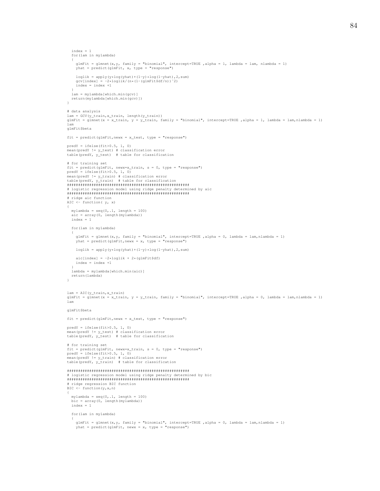```
index = 1for(lam in mylambda)
   {
      glmFit = glmnet(x,y, family = "binomial", intercept=TRUE ,alpha = 1, lambda = lam, nlambda = 1)
yhat = predict(glmFit, x, type = "response")
      loglik = apply(y*log(yhat)+(1-y)*log(1-yhat),2,sum)
gcv[index] = -2*loglik/(n*(1-(glmFit$df/n))ˆ2)
index = index +1
   }
  lam = mylambda[which.min(gcv)]
  return(mylambda[which.min(gcv)])
 }
# data analysis
lam = GCV(y_train, x_train, length(y_train))glmFit = glmnet(x = x_train, y = y_train, family = "binomial", intercept=TRUE ,alpha = 1, lambda = lam,nlambda = 1)
 lam
glmFit$beta
fit = predict(glmFit,newx = x_test, type = "response")
 predY = ifelse(fit>0.5, 1, 0)<br>mean(predY != y_test) # classification error<br>table(predY, y_test)  # table for classification
# for training set
 fit = predict(glmFit, newx=x_train, s = 0, type = "response")
predY = ifelse(fit>0.5, 1, 0)
 mean(predY != y_train) # classification error
table(predY, y_train) # table for classification
#######################################################
 # logistic regression model using ridge penalty determined by aic
#######################################################
 # ridge aic function
AIC <- function( y, x)
 {
   mylambda = seq(0,.1, length = 100)
   \texttt{aic} = \texttt{array}(0, \texttt{length}(\texttt{mylambda}))index = 1for(lam in mylambda)
   {
      glmFit = glmnet(x,y, family = "binomial", intercept=TRUE ,alpha = 0, lambda = lam,nlambda = 1)
yhat = predict(glmFit,newx = x, type = "response")
     loglik = apply(y*log(yhat)+(1-y)*log(1-yhat),2,sum)
     aic[index] = -2*loglik + 2*(glmFit$df)index = index +1
   }
   lambda = mylambda[which.min(aic)]
  return(lambda)
 }
lam = AIC(y_train,x_train)
glmFit = glmnet(x = x_train, y = y_train, family = "binomial", intercept=TRUE ,alpha = 0, lambda = lam,nlambda = 1)
lam
glmFit$beta
fit = predict(glmFit,newx = x_test, type = "response")
predY = ifelse(fit>0.5, 1, 0)
 .<br>mean(predY != y_test) # classification error
table(predY, y_test) # table for classification
# for training set
 fit = predict(glmFit, newx=x_train, s = 0, type = "response")
predY = ifelse(fit>0.5, 1, 0)
mean(predY != y_train) # classification error
table(predY, y_train) # table for classification
#######################################################
# logistic regression model using ridge penalty determined by bic
#######################################################
 # ridge regression BIC function
BIC <- function(y,x,n)
 {
   mylambda = seq(0,.1, length = 100)
bic = array(0, length(mylambda))
  index = 1for(lam in mylambda)
   {
      glmFit = glmnet(x,y, family = "binomial", intercept=TRUE ,alpha = 0, lambda = lam,nlambda = 1)
yhat = predict(glmFit, newx = x, type = "response")
```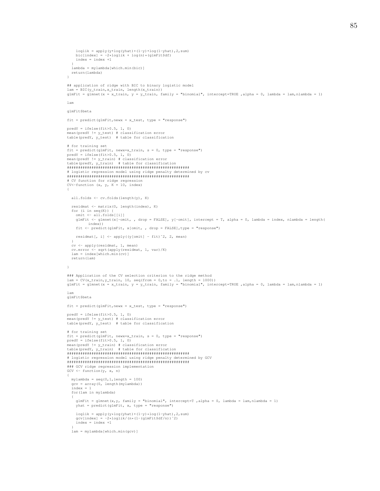```
loglik = apply(y * log( y hat) + (1-y) * log(1-y hat) , 2, sum)bic[index] = -2*loglik + log(n)*(glmFit$df)index = index +1}
   lambda = mylambda[which.min(bic)]
  return(lambda)
 }
## application of ridge with BIC to binary logistic model
      = BIC(y_train, x_train, length(x_train))
glmFit = glmnet(x = x_train, y = y_train, family = "binomial", intercept=TRUE ,alpha = 0, lambda = lam,nlambda = 1)
lam
glmFit$beta
fit = predict(glmFit, newx = x_test, type = "response")predY = ifelse(fit>0.5, 1, 0)<br>mean(predY != y_test) # classification error<br>table(predY, y_test) = # table for classification
# for training set
 fit = predict(glmFit, newx=x_train, s = 0, type = "response")<br>predY = ifelse(fit>0.5, 1, 0)<br>mean(predY != y_train) # classification error
 table(predY, y_train) # table for classification
#######################################################
# logistic regression model using ridge penalty determined by cv
#######################################################
 # CV function for ridge regression
CV<-function (x, y, K = 10, index)
 {
  all.folds <- cv.folds(length(y), K)
   residmat <- matrix(0, length(index), K)
   for (i in seq(K)) {
omit <- all.folds[[i]]
     glmFit <- glmnet(x[-omit, , drop = FALSE], y[-omit], intercept = T, alpha = 0, lambda = index, nlambda = length(
            index))
     fit <- predict(glmFit, x[omit, , drop = FALSE],type = "response")
     residmat[, i] <- apply((y[omit] - fit)ˆ2, 2, mean)
   }
cv <- apply(residmat, 1, mean)
   cv.error <- sqrt(apply(residmat, 1, var)/K)
lam = index[which.min(cv)]
   return(lam)
}
### Application of the CV selection criterion to the ridge method
 lam = CV(x_train,y_train, 10, seq(from = 0,to = .1, length = 1000))<br>glmFit = glmnet(x = x_train, y = y_train, family = "binomial", intercept=TRUE ,alpha = 0, lambda = lam,nlambda = 1)
lam
glmFit$beta
fit = predict(glmFit,newx = x_test, type = "response")
predY = ifelse(fit>0.5, 1, 0)
 .<br>mean(predY != y_test) # classification error
table(predY, y_test) # table for classification
# for training set
 fit = predict(glmFit, newx=x_train, s = 0, type = "response")
predY = ifelse(fit>0.5, 1, 0)
 mean(predY != y_train) # classification error
table(predY, y_train) # table for classification
#######################################################
 # logistic regression model using ridge penalty determined by GCV
#######################################################
### GCV ridge regression implementation
GCV \leftarrow function(y, x, n)
 {
   mylambda = seq(0, 1, length = 100)gcv = array(0, length(mylambda))
index = 1
   for(lam in mylambda)
   {
      glmFit = glmnet(x,y, family = "binomial", intercept=T ,alpha = 0, lambda = lam,nlambda = 1)
yhat = predict(glmFit, x, type = "response")
      loglik = apply(y*log(yhat)+(1-y)*log(1-yhat),2,sum)
gcv[index] = -2*loglik/(n*(1-(glmFit$df/n))ˆ2)
     index = index +1}
   lam = mylambda[which.min(gcv)]
```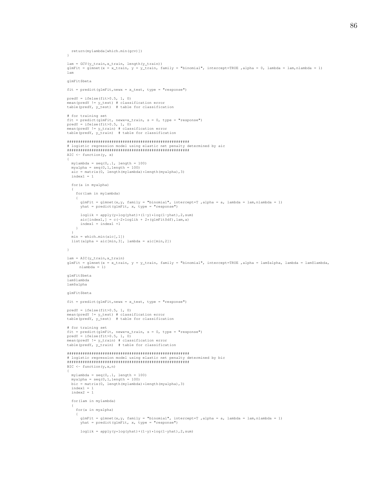```
return(mylambda[which.min(gcv)])
 }
lam = GCV(y_train, x_train, length(y_train))
glmFit = glmnet(x = x_train, y = y_train, family = "binomial", intercept=TRUE ,alpha = 0, lambda = lam,nlambda = 1)
lam
glmFit$beta
fit = predict(glmFit,newx = x_test, type = "response")
predY = ifelse(fit>0.5, 1, 0)
 mean(predY != y_test) # classification error
table(predY, y_test) # table for classification
# for training set
 fit = predict(glmFit, newx=x_train, s = 0, type = "response")<br>predY = ifelse(fit>0.5, 1, 0)<br>mean(predY != y_train) # classification error<br>table(predY, y_train) # table for classification
#######################################################
 # logistic regression model using elastic net penalty determined by aic
#######################################################
AIC \leftarrow function(y, x)
 {
   mylambda = seq(0,.1, length = 100)
    myalpha = seq(0,1,length = 100)
aic = matrix(0, length(mylambda)*length(myalpha),3)
   index1 = 1for(a in myalpha)
    {
     for(lam in mylambda)
      {
        glmFit = glmnet(x, y, family = "binomial", intercept=T , alpha = a, lambda = lam, nlambda = 1)
        y = 0 , y = 0, y = 0, y = 0, y = 0, y = 0, y = 0, y = 0, y = 0, y = 0, y = 0, y = 0, y = 0, y = 0, y = 0, y = 0, y = 0, y = 0, y = 0, y = 0, y = 0, y = 0, y = 0, y = 0, y = 0, y = 0, y = 0, y = loglik = apply(y * log( y hat) + (1-y) * log(1-y hat), 2, sum)aic[index1,] = c(-2*loglik + 2*(glmFit$df),lam,a)
index1 = index1 +1
     }
    }
   min = which.min(aic[,1])
   list(alpha = \arccos \left(\frac{m}{n}, \frac{3}{2}\right), lambda = \arccos \left(\frac{m}{n}, \frac{2}{2}\right))
}
lam = AIC(y_train,x_train)
glmFit = glmnet(x = x_train, y = y_train, family = "binomial", intercept=TRUE ,alpha = lam$alpha, lambda = lam$lambda,
       nlambda = 1)
glmFit$beta
lam$lambda
lam$alpha
glmFit$beta
fit = predict(qlmFit, newx = x test, type = "response")predY = ifelse(fit>0.5, 1, 0)<br>mean(predY != y_test) # classification error<br>table(predY, y_test) = # table for classification
# for training set
fit = predict(glmFit, newx=x_train, s = 0, type = "response")
 predY = ifelse(fit>0.5<mark>, 1,</mark> 0)<br>mean(predY != y_train) # classification error<br>table(predY, y_train)  # table for classification
#######################################################
 # logistic regression model using elastic net penalty determined by bic
#######################################################
BIC \leftarrow function(y, x, n){
   mylambda = seq(0, .1, length = 100)myalpha = seq(0,1,length = 100)
bic = matrix(0, length(mylambda)*length(myalpha),3)
   index1 = 1index2 = 1for(lam in mylambda)
    {
     for(a in myalpha)
      {
        glmFit = glmnet(x, y, family = "binomial", intercept=T , alpha = a, lambda = lam, nlambda = 1)
        yhat = predict(glmFit, x, type = "response")
         loglik = apply(y * log( y hat) + (1-y) * log(1-y hat) , 2, sum)
```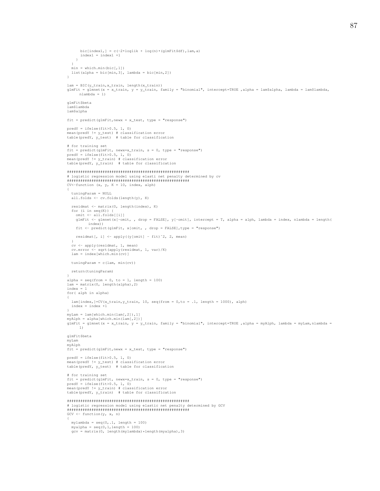```
bic[index1,] = c(-2 * loglik + log(n) * (glmFit$df), lam, a)index1 = index1 +1\rightarrow\begin{min} \ = \ \text{which}.\min\left(\text{bic} \ [\ ,1] \ \right) \end{min}list (alpha = bic[min, 3], lambda = bic[min, 2])
lam = BIC(y_train, x_train, length(x_train))glmFit = glmnet(x = x_train, y = y_train, family = "binomial", intercept=TRUE ,alpha = lam$alpha, lambda = lam$lambda,
     nlambda = 1)
glmFit$beta
lam$lambda
lam$alpha
fit = predict(glmFit, newx = x_test, type = "response")predY = ifelse(fit>0.5, 1, 0)p_{\text{real}} (predY != y_test) # classification error<br>table(predY, y_test) # table for classification
# for training set
" but cluming occurs fit = predict (glmFit, news-x_train, s = 0, type = "response")<br>predY = ifelse(fit>0.5, 1, 0)<br>mean(predY != y_train) # classification error
table(predY, y_train) # table for classification
CV<-function (x, y, K = 10, index, alpha)tuningParam = NULL
  all.folds <- cv.folds(length(y), K)residmat <- matrix (0, length(index), K)
  for (i \text{ in } \text{seq}(K)) {
    \text{unit} \leftarrow \text{all.folds}[\text{ii}]\glmFit <- glmnet(x[-omit, , drop = FALSE], y[-omit], intercept = T, alpha = alph, lambda = index, nlambda = length(
          index()fit <- predict(glmFit, x[omit, , drop = FALSE], type = "response")
    residmat [, i] <- apply((y[omit] - fit) 2, 2, mean)
  cv <- apply(residmat, 1, mean)
  cv.error <- sqrt(apply(residmat, 1, var)/K)<br>
lam = index[which.min(cv)]tuningParam = c(lam, min(cv))
  return(tuningParam)
alpha = seq(from = 0, to = 1, length = 100)lam = matrix(0, length(alpha), 2)index = 1for (alph in alpha)
  lam/index, l=CV(x train, y train, 10, seq(from = 0, to = .1, length = 1000), alph)index = index +1myLam = lam[which.min(lam[, 2]), 1]1)glmFit$beta
myLam
myAlphfit = predict(glmFit, newx = x_test, type = "response")predY = ifelse(fit>0.5, 1, 0)<br>mean(predY != y_test) # classification error
table(predY, y_t test) # table for classification
# for training set
" Lot channing occurs fit = predict (glmFit, news-x_train, s = 0, type = "response")<br>predY = ifelse(fit>0.5, 1, 0)<br>mean(predY != y_train) # classification error
table(predY, y_train) # table for classification
# logistic regression model using elastic net penalty determined by GCV
GCV \leftarrow function(y, x, n)mylambda = seq(0,.1, length = 100)<br>myalpha = seq(0,1, length = 100)<br>gcv = matrix(0, length(mylambda)*length(myalpha),3)
```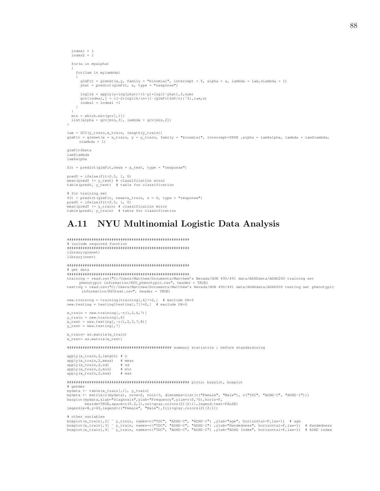```
88
```

```
index1 = 1index2 = 1for(a in myalpha)
   {
     for(lam in mylambda)
      {
         glmFit = glmnet(x,y, family = "binomial", intercept = T, alpha = a, lambda = lam,nlambda = 1)
yhat = predict(glmFit, x, type = "response")
         loglik = apply(y*log(yhat)+(1-y)*log(1-yhat),2,sum)
gcv[index1,] = c(-2*loglik/(n*(1-(glmFit$df/n))ˆ2),lam,a)
        index1 = index1 +1}
   }
  min = which.min(qcv[,1])\mathtt{list}\,(\mathtt{alpha}\,=\,\mathtt{gcv}\,[\min,3]\,,\, \mathtt{lambda}\,=\,\mathtt{gcv}\,[\min,2])}
lam = GCV(y_train,x_train, length(y_train))
glmFit = glmnet(x = x_train, y = y_train, family = "binomial", intercept=TRUE ,alpha = lam$alpha, lambda = lam$lambda,
       nlambda = 1)
glmFit$beta
lam$lambda
lam$alpha
fit = predict(qlmFit, newx = x_test, type = "response")predY = ifelse(fit>0.5, 1, 0)<br>mean(predY != y_test) # classification error<br>table(predY, y_test)  # table for classification
# for training set
fit = predict(glmFit, newx=x_train, s = 0, type = "response")<br>predY = ifelse(fit>0.5, 1, 0)<br>mean(predY != y_train) # classification error
```
# A.11 NYU Multinomial Logistic Data Analysis

```
#######################################################
# include required function
#######################################################
library(glmnet)
library(nnet)
```
table(predY, y\_train) # table for classification

####################################################### # get data ####################################################### training = read.csv("C:/Users/Matthew/Documents/Matthew's Nevada/HON 490/491 data/ADHDdata/ADHD200 training set

phenotypic information/NYU\_phenotypic.csv", header = TRUE)<br>testing = read.csv("C:/Users/Matthew/Documents/Matthew's Nevada/HON 490/491 data/ADHDdata/ADHD200 testing set phenotypic<br>information/NYUtest.csv", header = TRUE)

new.training = training[training[,6]!=2,] # exclude DX=2 new.testing = testing [testing  $[7]$   $!=$   $2$ ,  $]$  # exclude DX=2

```
x train = new.training[,-c(1,2,6,7)]
y_{\text{train}} = new.training[, 6]x test = new.testing[,-c(1,2,3,7,8)]
y_test = new.testing[,7]
```
 $x$  train= as.matrix(x train) x\_test= as.matrix(x\_test)

############################################### summary statistics : before standardizing

| apply(x_train, 2, length) | #n |        |
|---------------------------|----|--------|
| apply (x_train, 2, mean)  |    | # mean |
| apply(x_train, 2, sd)     |    | be #   |
| apply(x_train, 2, min)    |    | # min  |
| apply(x_train, 2, max)    |    | max    |

####################################################### plots: barplot, boxplot # gender mydata <- table(x\_train[,1], y\_train) mydata <- matrix(c(mydata), nrow=2, ncol=3, dimnames=list(c("Female", "Male"), c("TDC", "ADHD-C", "ADHD-I"))) barplot(mydata,xlab="Diagnosis",ylab="Frequency",ylim=c(0,70),horiz=F, beside=TRUE,space=c(0.2,1),col=gray.colors(2)[2:1],legend.text=FALSE)<br>legend(x=8,y=60,legend=c("Female", "Male"),fill=gray.colors(2)[2:1])

# other variables

boxplot(x\_train[,2] ~ y\_train, names=c("TDC", "ADHD-C", "ADHD-I") ,ylab="age", horizontal=F,las=1) # age<br>boxplot(x\_train[,3] ~ y\_train, names=c("TDC", "ADHD-C", "ADHD-I") ,ylab="Handedness", horizontal=F,las=1) # Handedn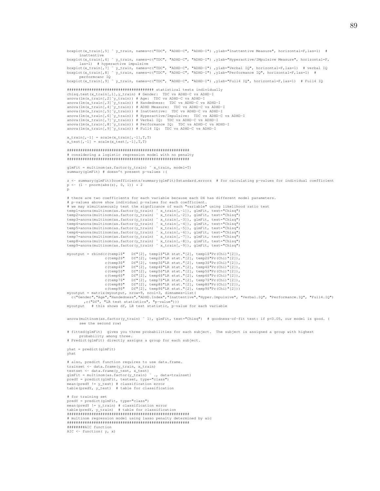```
boxplot(x_train[,5] ˜ y_train, names=c("TDC", "ADHD-C", "ADHD-I") ,ylab="Inattentive Measure", horizontal=F,las=1) #
       inattentive
boxplot(x_train[,6] ~ y_train, names=c("TDC", "ADHD-C", "ADHD-I") ,ylab="Hyperactive/IMpulsive Measure", horizontal=F,
        las=1) # hyperactive impulsive
boxplot(x_train[,7] ~ y_train, names=c("TDC", "ADHD-C", "ADHD-I") ,ylab="Verbal IQ", horizontal=F,las=1)  # verbal IQ<br>boxplot(x_train[,8] ~ y_train, names=c("TDC", "ADHD-C", "ADHD-I") ,ylab="Performance IQ", horizo
performcanc IQ
boxplot(x_train[,9] ˜ y_train, names=c("TDC", "ADHD-C", "ADHD-I") ,ylab="Full4 IQ", horizontal=F,las=1) # Full4 IQ
####################################### statistical tests individually
chisq.test(x_train[,1],y_train) # Gender: TDC vs ADHD-C vs ADHD-I<br>anova(lm(x_train[,2]~y_train)) # Age: TDC vs ADHD-C vs ADHD-I
anova(lm(x_train[,3]<sup>*</sup>y_train)) # Handedness: TDC vs ADHD-C vs ADHD-I
anova(lm(x_train[,4]~y_train)) # ADHD Measure: TDC vs ADHD-C vs ADHD-I<br>anova(lm(x_train[,5]~y_train)) # Inattentive: TDC vs ADHD-C vs ADHD-I
anova(lm(x_train[,6]~y_train)) # Hyperactive/Impulsive:  TDC vs ADHD-C vs ADHD-I<br>anova(lm(x_train[,7]^y_train)) # Verbal IQ:  TDC vs ADHD-C vs ADHD-I<br>anova(lm(x_train[,8]~y_train)) # Performance IQ:  TDC vs ADHD-C vs ADHD
anova (\ln(x_train[, 9]<sup>*</sup>y_train)) # Full4 IQ: TDC vs ADHD-C vs ADHD-I
x_train[, -1] = scale(x_train[, -1], T, T)x test[,-1] = scale(x_test[,-1],T,T)
#######################################################
# considering a logistic regression model with no penalty
#######################################################
\alphalmFit = multinom(as.factor(v_train) \tilde{ } x_train, model=T)
summary(glmFit) # doesn't present p-values : (
z <- summary(glmFit)$coefficients/summary(glmFit)$standard.errors # for calculating p-values for individual coefficient
p \leftarrow (1 - pnorm(abs(z), 0, 1)) * 2p
# there are two coefficients for each variable because each DX has different model parameters.
# p-values above show individual p-values for each coefficient.
# we may simultaneously test the signficance of each "variable" using likelihood ratio test
temp1=anova(multinom(as.factor(y_train) ˜ x_train[,-1]), glmFit, test="Chisq")
temp2=anova(multinom(as.factor(y_train) ˜ x_train[,-2]), glmFit, test="Chisq")
temp3=anova(multinom(as.factor(y_train) ˜ x_train[,-3]), glmFit, test="Chisq")
temp4=anova(multinom(as.factor(y_train) ˜ x_train[,-4]), glmFit, test="Chisq")
temp5=anova(multinom(as.factor(y_train) ˜ x_train[,-5]), glmFit, test="Chisq")
temp6=anova(multinom(as.factor(y_train) ˜ x_train[,-6]), glmFit, test="Chisq")
temp7=anova(multinom(as.factor(y_train) ~ x_train[,-7]), glmFit, test="Chisq")<br>temp8=anova(multinom(as.factor(y_train) ~ x_train[,-8]), glmFit, test="Chisq")<br>temp9=anova(multinom(as.factor(y_train) ~ x_train[,-9]), glmFit,
myoutput = rbind(c(temp1$" Df"[2], temp1$"LR stat."[2], temp1$"Pr(Chi)"[2]), c(temp2$" Df"[2], temp2$"LR stat."[2], temp2$"Pr(Chi)"[2]),
                         c(temp2$" Df"[2], temp2$"LR stat."[2], temp2$"Pr(Chi)"[2]),<br>c(temp3$" Df"[2], temp3$"LR stat."[2], temp3$"Pr(Chi)"[2]),
                         c(temp3$" Df"[2], temp3$"LR stat."[2], temp3$"Pr(Chi)"[2]), c(temp4$" Df"[2], temp4$"LR stat."[2], temp4$"Pr(Chi)"[2]),
                         c(temp4$" Df"[2], temp4$"LR stat."[2], temp4$"Pr(Chi)"[2]),<br>c(temp5$" Df"[2], temp5$"LR stat."[2], temp5$"Pr(Chi)"[2]),
                          c(temp5$" Df"[2], temp5$"LR stat."[2], temp5$"Pr(Chi)"[2]),
c(temp6$" Df"[2], temp6$"LR stat."[2], temp6$"Pr(Chi)"[2]),
                         c(temp6$" Df"[2], temp6$"LR stat."[2], temp6$"Pr(Chi)"[2]),<br>c(temp7$" Df"[2], temp7$"LR stat."[2], temp7$"Pr(Chi)"[2]),<br>c(temp8$" Df"[2], temp8$"LR stat."[2], temp8$"Pr(Chi)"[2]),
                          c(temp8$" Df"[2], temp8$"LR stat."[2], temp8$"Pr(Chi)"[2]),
c(temp9$" Df"[2], temp9$"LR stat."[2], temp9$"Pr(Chi)"[2]))
myoutput = matrix(myoutput, nrow=9, ncol=3, dimnames=list(<br>c("Gender","Age","Handedness","ADHD.Index","Inattentive","Hyper.Impulsive", "Verbal.IQ", "Performance.IQ", "Full4.IQ")<br>,c("Df", "Ek test statistics", "P-value")))<br>
anova(multinom(as.factor(y_train) ~ 1), glmFit, test="Chisq") # goodness-of-fit test: if p<0.05, our model is good. (
        see the second row)
# fitted(glmFit) gives you three probabilities for each subject. The subject is assigned a group with highest
probability among three.
# Predict(glmFit) directly assigns a group for each subject.
yhat = predict(glmFit)
yhat
# also, predict function requires to use data.frame.
trainset <- data.frame(y_train, x_train)
testset <- data.frame(y_test, x_test)<br>qlmFit = multinom(as.factor(y_train) ~ ., data=trainset)
predY = predict(glmFit, testset, type="class")
mean(predY != y_test) # classification error
table(predY, y_test) # table for classification
# for training set
predY = predict(glmFit, type="class")<br>mean(predY != y_train) # classification error<br>table(predY, y_train)  # table for classification
#######################################################
# multinom regression model using lasso penalty determined by aic
#######################################################
########AIC function
AIC \leftarrow function (\gamma, x)
```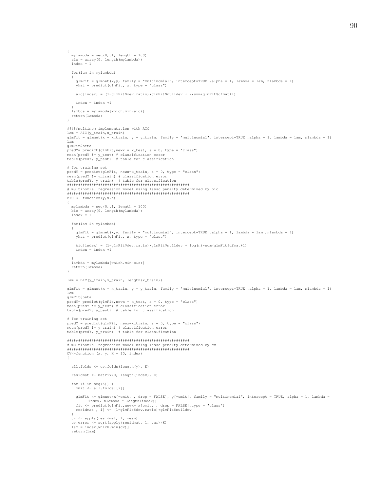```
mylambda = seq(0, .1, length = 100)\text{aic} = \text{array}(0, \text{ length}(\text{mylambda}))\frac{1}{1} \text{index} = 1for (lam in mylambda)
    glmFit = glmnet(x,y, family = "multinomial", intercept=TRUE ,alpha = 1, lambda = lam, nlambda = 1) yhat = predict(glmFit, x, type = "class")
    \texttt{aic}[\texttt{index}] = (1-g\texttt{ImFit}\$dev.\texttt{ratio}) * g\texttt{ImFit}\$nulldev + 2 * sum(q\texttt{ImFit}\$dfmat+1)index = index +1lambda = mylambda [which.min(aic)]
 return (lambda)
#####multinom implementation with ATC
lam = AIC(y_train, x_train)glmFit = glmnet(x = x_train, y = y_train, family = "multinomial", intercept=TRUE , alpha = 1, lambda = lam, nlambda = 1)
lam
glmFit$beta
yn="tv>cuddet" predict(glmFit, newx = x_test, s = 0, type = "class")<br>mean(predY != y_test) # classification error<br>table(predY, y_test) # table for classification
# for training set
predY = predict(glmFit, newx=x_train, s = 0, type = "class")# multinomial regression model using lasso penalty determined by bic
BIC \leftarrow function (y, x, n)mylambda = seq(0, .1, length = 100)bic = array(0, length(mylambda))index = 1for (lam in mylambda)
    glmFit = glmnet(x, y, family = "multinomial", intercept=TRUE , alpha = 1, lambda = lam , nlambda = 1)
    yhat = predict(glmFit, x, type = "class")
    bic[index] = (1-glmFit$dev.ratio)*glmFit$nulldev + log(n)*sum(glmFit$dfmat+1)
    index = index +1\verb|lambda = mylambda[which.min(bic)|]return (lambda)
lam = BIC(y_train, x_train, length(x_train))qlmFit = qlmnet(x = x train, y = y train, family = "multinomial", intercept=TRUE , alpha = 1, lambda = lam, nlambda = 1)1\,\mathrm{am}glmFit$beta
predY = predict(qlmFit, newx = x test, s = 0, type = "class")r=1 r=1 r=1 r=0 r=0 r=0 r=0 r=0 r=0 r=0 r=0 r=0 r=0 r=0 r=0 r=0 r=0 r=0 r=0 r=0 r=0 r=0 r=0 r=0 r=0 r=0 r=0 r=0 r=0 r=0 r=0 r=0 r=0 r=0 r=0 r=0 r=0# for training set
prior transmission product of predict (glmFit, newx=x_train, s = 0, type = "class")<br>mean (predY != y_train) # classification error<br>table (predY, y_train) # table for classification
# multinomial regression model using lasso penalty determined by cv
CV<-function (x, y, K = 10, index)
  all.folds <- cv.folds(length(y), K)
```

```
residmat <- matrix(0, length(index), K)
```
for  $(i \text{ in } \sec(K))$  {  $\text{unit} \leftarrow \text{all.folds}[[i]]$ 

 $\left\{ \right.$ 

```
glmFit <- glmnet(x[-omit, , drop = FALSE], y[-omit], family = "multinomial", intercept = TRUE, alpha = 1, lambda = index, nlambda = length(index))<br>
fit <- predict(glmFit, mxx= x[omit, , drop = FALSE], type = "class")
  residmat[, i] <- (1=glmFit$dev.ratio)*glmFit$nulldev
cv <- apply(residmat, 1, mean)
cv.error \leftarrow sqrt (apply (resident, 1, var) /K)<br>lam = index [which.min (cv)]
return (lam)
```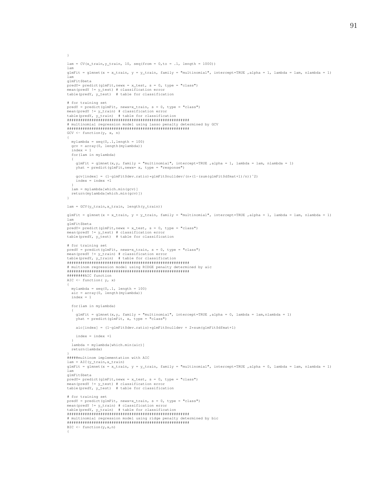```
}
lam = CV(x_train, y_train, 10, seq(from = 0, to = .1, length = 1000))lam
glmFit = glmnet(x = x_train, y = y_train, family = "multinomial", intercept=TRUE ,alpha = 1, lambda = lam, nlambda = 1)
lam
glmFit$beta
predY = predict(glmFit, newx = x_test, s = 0, type = "class")mean(predY != y_test) # classification error
table(predY, y_test) # table for classification
# for training set
predY = predict(glmFit, newx=x_train, s = 0, type = "class")
mean(predY != y_train) # classification error
table(predY, y_train) # table for classification
#######################################################
  multinomial regression model using lasso penalty determined by GCV
#######################################################
GCV \leftarrow function(y, x, n)
{
  mylambda = seq(0, .1, length = 100)\texttt{gcv = array} \left( \texttt{0, length} \left( \texttt{mylambda} \right) \right)index = 1
  for(lam in mylambda)
   {
     glmFit = glmnet(x,y, family = "multinomial", intercept=TRUE ,alpha = 1, lambda = lam, nlambda = 1)
yhat = predict(glmFit,newx= x, type = "response")
     gcv[index] = (1-glmFit$dev.ratio)*glmFit$nulldev/(n*(1-(sum(glmFit$dfmat+1)/n))^2)index = index +1}
lam = mylambda[which.min(gcv)]
 return(mylambda[which.min(gcv)])
\lambdalam = GCV(y train, x train, length(y train))glmFit = glmnet(x = x_train, y = y_train, family = "multinomial", intercept=TRUE ,alpha = 1, lambda = lam, nlambda = 1)
lam
glmFit$beta
predY= predict(glmFit,newx = x_test, s = 0, type = "class")
mean(predY != y_test) # classification error
table(predY, y_test) # table for classification
# for training set
predY = predict(glmFit, newx=x_train, s = 0, type = "class")<br>mean(predY != y_train) # classification error<br>table(predY, y_train) # table for classification
#######################################################
# multinom regression model using RIDGE penalty determined by aic
#######################################################
########AIC function
AIC \leftarrow function (\gamma, x)
{
  mylambda = seq(0, 1, lenqth = 100)aic = array(0, length(mylambda))
  index = 1for(lam in mylambda)
   {
     glmFit = glmnet(x,y, family = "multinomial", intercept=TRUE ,alpha = 0, lambda = lam,nlambda = 1)
yhat = predict(glmFit, x, type = "class")
    aic[index] = (1-glmFit$dev.ratio)*glmFit$nulldev + 2*sum(glmFit$dfmat+1)index = index +1}
  lambda = mylambda[which.min(aic)]
  return(lambda)
}
#####multinom implementation with AIC
lam = AIC(y train, x train)glmFit = glmnet(x = x_train, y = y_train, family = "multinomial", intercept=TRUE ,alpha = 0, lambda = lam, nlambda = 1)
lam
glmFit$beta
predY= predict(glmFit, newx = x_test, s = 0, type = "class")mean(predY != y_test) # classification error<br>table(predY, y_test) # table for classification
# for training set
predY = predict(glmFit, newx=x_train, s = 0, type = "class")<br>mean(predY != y_train) # classification error<br>table(predY, y_train) # table for classification
#######################################################
# multinomial regression model using ridge penalty determined by bic
#######################################################
BIC \leftarrow function(y, x, n)
{
```
91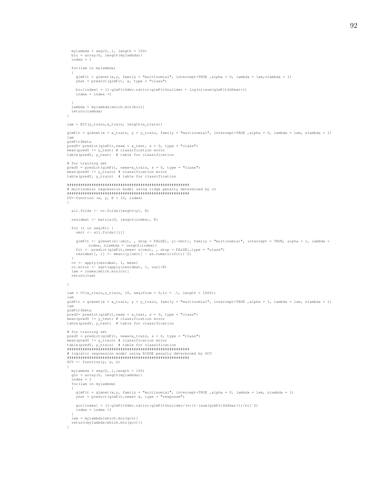```
mylambda = seq(0, .1, length = 100)bic = array(0, length(mylambda))
  index = 1for(lam in mylambda)
   {
     glmFit = glmnet(x,y, family = "multinomial", intercept=TRUE ,alpha = 0, lambda = lam,nlambda = 1)
yhat = predict(glmFit, x, type = "class")
    \texttt{bic}[\texttt{index}] = (1-g\texttt{ImFit}\$dev.\texttt{ratio})*g\texttt{ImFit}\$nulldev + \texttt{log(n)*sum(g\texttt{ImFit}\$dfmat+1)}index = index +1}
lambda = mylambda[which.min(bic)]
  return(lambda)
}
lam = BIC(y_train, x_train, length(x_train))
glmFit = glmnet(x = x_train, y = y_train, family = "multinomial", intercept=TRUE ,alpha = 0, lambda = lam, nlambda = 1)
lam
glmFit$beta
predY= predict(glmFit,newx = x_test, s = 0, type = "class")<br>mean(predY != y_test) # classification error<br>table(predY, y_test) # table for classification
# for training set
predY = predict(glmFit, newx=x_train, s = 0, type = "class")<br>mean(predY != y_train) # classification error
table(predY, y_train) # table for classification
#######################################################
# multinomial regression model using ridge penalty determined by cv
#######################################################
CV<-function (x, y, K = 10, index){
  all.folds <- cv.folds(length(y), K)
  residmat <- matrix(0, length(index), K)
  for (i in seq(K))
    omit <- all.folds[[i]]
    glmFit <- glmnet(x[-omit, , drop = FALSE], y[-omit], family = "multinomial", intercept = TRUE, alpha = 1, lambda =
            index, nlambda = length(index))
     fit <- predict(glmFit,newx= x[omit, , drop = FALSE],type = "class")
residmat[, i] <- mean((y[omit] - as.numeric(fit))ˆ2)
   }
   cv <- apply(residmat, 1, mean)
cv.error <- sqrt(apply(residmat, 1, var)/K)
  lam = index [which.min(cv)]
  return(lam)
}
lam = CV(x_train, y_train, 10, seq(from = 0, to = .1, length = 1000))lam
glmFit = glmnet(x = x train, y = y train, family = "multinomial", intercept=TRUE ,alpha = 1, lambda = lam, nlambda = 1)
lam
glmFit$beta
predY = predict(glmFit, newx = x_test, s = 0, type = "class")mean(predY != y_test) # classification error
table(predY, y_test) # table for classification
# for training set
predY = predict(glmFit, newx=x_train, s = 0, type = "class")<br>mean(predY != y_train) # classification error<br>table(predY, y_train) # table for classification
#######################################################
  logistic regression model using RIDGE penalty determined by GCV
#######################################################
GCV \leftarrow function(y, x, n)
{
   mylambda = seq(0,.1,length = 100)
gcv = array(0, length(mylambda))
   index = 1for(lam in mylambda)
   {
     glmFit = glmnet(x,y, family = "multinomial", intercept=TRUE ,alpha = 0, lambda = lam, nlambda = 1)
yhat = predict(glmFit,newx= x, type = "response")
    qcv[index] = (1-qlmFit$dev ratio) *qlmFit$nulldev/(n*(1-(sum(qlmFit$dim tart1)/n))^2)index = index +1}
  lam = mylambda[which.min(gcv)]
  return(mylambda[which.min(gcv)])
}
```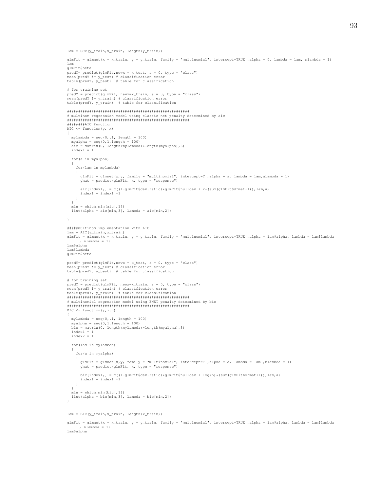93

```
lam = GCV(y_train, x_train, length(y_train))
```

```
glmFit = glmnet(x = x_train, y = y_train, family = "multinomial", intercept=True, alpha = 0, lambda = lam, nlambda = 1)lam
glmFit$beta
predY = predict(glmFit, newx = x_test, s = 0, type = "class")mean(predY != y_test) # classification error<br>table(predY, y_test)  # table for classification
# for training set
 predY = predict(glmFit, newx=x_train, s = 0, type = "class")
mean(predY != y_train) # classification error
table(predY, y_train) # table for classification
#######################################################
 # multinom regression model using elastic net penalty determined by aic
#######################################################
 ########AIC function
AIC \leftarrow function(y, x)
 {
  mylambda = seq(0, .1, length = 100)myalpha = seq(0, 1, length = 100)\text{aic} = \text{matrix}(0, \text{length}(\text{mylambda}) * \text{length}(\text{myalpha}), 3)index1 = 1for(a in myalpha)
  {
    for(lam in mylambda)
     {
        glmFit = glmnet(x,y, family = "multinomial", intercept=T ,alpha = a, lambda = lam,nlambda = 1)
yhat = predict(glmFit, x, type = "response")
      aic[index1,] = c((1-qlmFit$dev.ratio)*qlmFit$nulldev + 2*(sum(qlmFit$dfmat+1)),lam,a)
       index1 = index1 +1}
  }
  min = which.min(ai[c[, 1])list(alpha = \text{aic}[min,3], lambda = \text{aic}[min,2])}
#####multinom implementation with AIC
lam = AIC(y_train, x_train)glmFit = glmnet(x = x_train, y = y_train, family = "multinomial", intercept=TRUE ,alpha = lam$alpha, lambda = lam$lambda
, nlambda = 1)
lam$alpha
lam$lambda
glmFit$beta
 predY= predict(glmFit,newx = x_test, s = 0, type = "class")<br>mean(predY != y_test) # classification error<br>table(predY, y_test) # table for classification
# for training set
 predY = predict(glmFit, newx=x_train, s = 0, type = "class")<br>mean(predY != y_train) # classification error
table(predY, y_train) # table for classification
#######################################################
# multinomial regression model using ENET penalty determined by bic
#######################################################
BIC \leftarrow function(y, x, n)
 {
  mylambda = seq(0, .1, length = 100)myalpha = seq(0,1,length = 100)bic = matrix(0, length(mylambda)*length(myalpha),3)
  index1 = 1index2 = 1for(lam in mylambda)
   {
     for(a in myalpha)
     {
       glmFit = glmnet(x, y, family = "multinomial", intercept=T, alpha = a, lambda = lam, nlambda = 1)
      yhat = predict(glmFit, x, type = "response")
       bic[index1,] = c((1-glmFit$dev.ratio)*glmFit$nulldev + log(n)*(sum(glmFit$dfmat+1)),lam,a)
       index1 = index1 +1}
   }
  min = which.min(bic[,1])
  list(alpha = bic[\min,3], lambda = bic[\min,2])
 }
lam = BIC(y_train, x_train, length(x_train))
```
glmFit = glmnet(x = x\_train, y = y\_train, family = "multinomial", intercept=TRUE ,alpha = lam\$alpha, lambda = lam\$lambda , nlambda = 1) lam\$alpha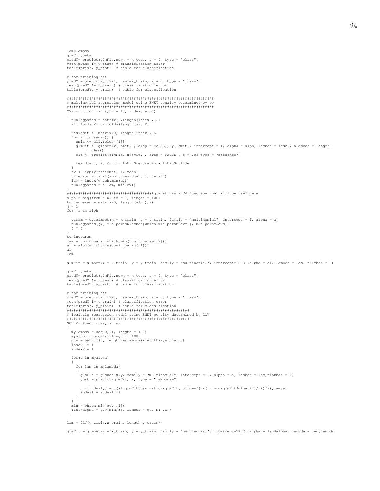94

```
lam$lambda
glmFit$beta
predY= predict(glmFit,newx = x_test, s = 0, type = "class")<br>mean(predY != y_test) # classification error<br>table(predY, y_test) # table for classification
# for training set
predY = predict(glmFit, newx=x_train, s = 0, type = "class")<br>mean(predY != y_train) # classification error
table(predY, y_train) # table for classification
##################################################################
# multinomial regression model using ENET penalty determined by cv
##################################################################
CV<-function (x, y, K = 10, index, alph)
{
   tuningparam = matrix(0,length(index), 2)
all.folds <- cv.folds(length(y), K)
  residmat <- matrix(0, length(index), K)
   for (i in seq(K)) {
    omit \le all.folds[[i]]
    glmFit <- glmnet(x[-omit, , drop = FALSE], y[-omit], intercept = T, alpha = alph, lambda = index, nlambda = length(
            index))
    fit <- predict(glmFit, x[omit, , drop = FALSE], s = .05, type = "response")
    residmat[, i] <- (1-glmFit$dev.ratio)*glmFit$nulldev
   }
cv <- apply(residmat, 1, mean)
   cv.error <- sqrt(apply(residmat, 1, var)/K)
lam = index[which.min(cv)]
  tuningparam = c(\text{lam}, \text{ min}(cv))}
#######################################glmnet has a CV function that will be used here
alph = seq(from = 0, to = 1, length = 100)
tuningparam = matrix(0, length(alph),2)
j = 1
for( a in alph)
{
   param = cv.glmnet(x = x_train, y = y_train, family = "multinomial", intercept = T, alpha = a)<br>tuningparam[j,] = c(param$lambda[which.min(param$cvm)], min(param$cvm))
  j = j + 1}
tuningparam
lam = tuningparam[which.min(tuningparam[,2])]
a1 = alpha[which.min(tuningparam[, 2])]al
lam
glmFit = glmnet(x = x_train, y = y_train, family = "multinomial", intercept=TRUE ,alpha = al, lambda = lam, nlambda = 1)
glmFit$beta
predY= predict(qlmFit,newx = x test, s = 0, type = "class")
mean(predY != y_test) # classification error<br>table(predY, y_test) # table for classification
# for training set
predY = predict(glmFit, newx=x_train, s = 0, type = "class")<br>mean(predY != y_train) # classification error<br>table(predY, y_train) # table for classification
#######################################################
# logistic regression model using ENET penalty determined by GCV
#######################################################
\textsf{GCV}\ \texttt{<= function}\left(\texttt{y, x, n}\right){
  mylambda = seq(0, .1, length = 100)myalpha = seq(0,1,length = 100)gcv = matrix(0, length(mylambda)*length(myalpha),3)
   index1 = 1index2 = 1for(a in myalpha)
   {
     for(lam in mylambda)
      {
       glmFit = glmnet(x, y, family = "multinomial", intercept = T, alpha = a, lambda = lam, nlambda = 1)
       yhat = predict(glmFit, x, type = "response")gcv[index1,] = c((1-glmFit$dev.ratio)*glmFit$nulldev/(n*(1-(sum(glmFit$dfmat+1)/n))^2),lam,a)
        index1 = index1 +1}
   }
  min = which.min(acc([.1]))\mathtt{list}\,(\mathtt{alpha}\,=\,\mathtt{gcv}\,[\min,3]\,,\, \mathtt{lambda}\,=\,\mathtt{gcv}\,[\min,2])}
lam = GCV(y_train,x_train, length(y_train))
```
glmFit = glmnet(x = x\_train, y = y\_train, family = "multinomial", intercept=TRUE ,alpha = lam\$alpha, lambda = lam\$lambda